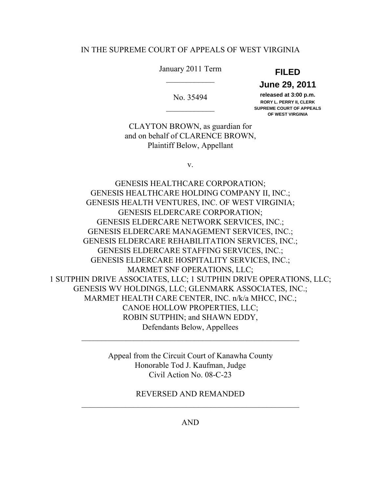## IN THE SUPREME COURT OF APPEALS OF WEST VIRGINIA

## January 2011 Term **FILED**   $\frac{1}{2}$

# **June 29, 2011**

 **released at 3:00 p.m.** No. 35494  **RORY L. PERRY II, CLERK**  \_\_\_\_\_\_\_\_\_\_\_\_ **SUPREME COURT OF APPEALS OF WEST VIRGINIA** 

 CLAYTON BROWN, as guardian for and on behalf of CLARENCE BROWN, Plaintiff Below, Appellant

v.

 GENESIS HEALTHCARE HOLDING COMPANY II, INC.; GENESIS HEALTH VENTURES, INC. OF WEST VIRGINIA; GENESIS ELDERCARE NETWORK SERVICES, INC.; GENESIS ELDERCARE MANAGEMENT SERVICES, INC.; GENESIS ELDERCARE REHABILITATION SERVICES, INC.; GENESIS ELDERCARE STAFFING SERVICES, INC.; GENESIS ELDERCARE HOSPITALITY SERVICES, INC.; MARMET SNF OPERATIONS, LLC; 1 SUTPHIN DRIVE ASSOCIATES, LLC; 1 SUTPHIN DRIVE OPERATIONS, LLC; GENESIS WV HOLDINGS, LLC; GLENMARK ASSOCIATES, INC.; MARMET HEALTH CARE CENTER, INC. n/k/a MHCC, INC.; CANOE HOLLOW PROPERTIES, LLC; ROBIN SUTPHIN; and SHAWN EDDY, Defendants Below, Appellees GENESIS HEALTHCARE CORPORATION; GENESIS ELDERCARE CORPORATION;

> Appeal from the Circuit Court of Kanawha County Honorable Tod J. Kaufman, Judge Civil Action No. 08-C-23

\_\_\_\_\_\_\_\_\_\_\_\_\_\_\_\_\_\_\_\_\_\_\_\_\_\_\_\_\_\_\_\_\_\_\_\_\_\_\_\_\_\_\_\_\_\_\_\_\_\_\_\_\_\_

 REVERSED AND REMANDED \_\_\_\_\_\_\_\_\_\_\_\_\_\_\_\_\_\_\_\_\_\_\_\_\_\_\_\_\_\_\_\_\_\_\_\_\_\_\_\_\_\_\_\_\_\_\_\_\_\_\_\_\_\_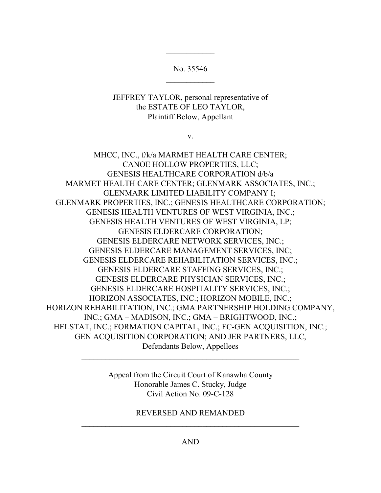$\frac{1}{2}$ No. 35546

 $\frac{1}{2}$ 

 JEFFREY TAYLOR, personal representative of the ESTATE OF LEO TAYLOR, Plaintiff Below, Appellant

v.

 MHCC, INC., f/k/a MARMET HEALTH CARE CENTER; CANOE HOLLOW PROPERTIES, LLC; MARMET HEALTH CARE CENTER; GLENMARK ASSOCIATES, INC.; GLENMARK LIMITED LIABILITY COMPANY I; GLENMARK PROPERTIES, INC.; GENESIS HEALTHCARE CORPORATION; GENESIS HEALTH VENTURES OF WEST VIRGINIA, INC.; GENESIS HEALTH VENTURES OF WEST VIRGINIA, LP; GENESIS ELDERCARE NETWORK SERVICES, INC.; GENESIS ELDERCARE MANAGEMENT SERVICES, INC; GENESIS ELDERCARE REHABILITATION SERVICES, INC.; GENESIS ELDERCARE STAFFING SERVICES, INC.; GENESIS ELDERCARE PHYSICIAN SERVICES, INC.; GENESIS ELDERCARE HOSPITALITY SERVICES, INC.; HORIZON ASSOCIATES, INC.; HORIZON MOBILE, INC.; HORIZON REHABILITATION, INC.; GMA PARTNERSHIP HOLDING COMPANY, INC.; GMA – MADISON, INC.; GMA – BRIGHTWOOD, INC.; HELSTAT, INC.; FORMATION CAPITAL, INC.; FC-GEN ACQUISITION, INC.; GEN ACQUISITION CORPORATION; AND JER PARTNERS, LLC, Defendants Below, Appellees GENESIS HEALTHCARE CORPORATION d/b/a GENESIS ELDERCARE CORPORATION;

> Appeal from the Circuit Court of Kanawha County Honorable James C. Stucky, Judge Civil Action No. 09-C-128

\_\_\_\_\_\_\_\_\_\_\_\_\_\_\_\_\_\_\_\_\_\_\_\_\_\_\_\_\_\_\_\_\_\_\_\_\_\_\_\_\_\_\_\_\_\_\_\_\_\_\_\_\_\_

 REVERSED AND REMANDED \_\_\_\_\_\_\_\_\_\_\_\_\_\_\_\_\_\_\_\_\_\_\_\_\_\_\_\_\_\_\_\_\_\_\_\_\_\_\_\_\_\_\_\_\_\_\_\_\_\_\_\_\_\_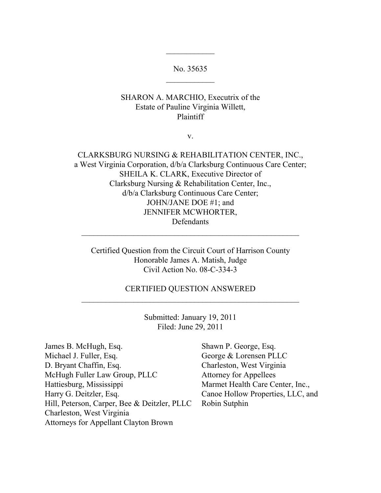$\frac{1}{2}$ No. 35635

 $\frac{1}{2}$ 

## SHARON A. MARCHIO, Executrix of the Estate of Pauline Virginia Willett, Plaintiff

v.

 CLARKSBURG NURSING & REHABILITATION CENTER, INC., a West Virginia Corporation, d/b/a Clarksburg Continuous Care Center; SHEILA K. CLARK, Executive Director of Clarksburg Nursing & Rehabilitation Center, Inc., d/b/a Clarksburg Continuous Care Center; JOHN/JANE DOE #1; and JENNIFER MCWHORTER, Defendants

 Certified Question from the Circuit Court of Harrison County Honorable James A. Matish, Judge Civil Action No. 08-C-334-3

\_\_\_\_\_\_\_\_\_\_\_\_\_\_\_\_\_\_\_\_\_\_\_\_\_\_\_\_\_\_\_\_\_\_\_\_\_\_\_\_\_\_\_\_\_\_\_\_\_\_\_\_\_\_

\_\_\_\_\_\_\_\_\_\_\_\_\_\_\_\_\_\_\_\_\_\_\_\_\_\_\_\_\_\_\_\_\_\_\_\_\_\_\_\_\_\_\_\_\_\_\_\_\_\_\_\_\_\_ CERTIFIED QUESTION ANSWERED

> Submitted: January 19, 2011 Filed: June 29, 2011

James B. McHugh, Esq. Shawn P. George, Esq. Michael J. Fuller, Esq. D. Bryant Chaffin, Esq. McHugh Fuller Law Group, PLLC Attorney for Appellees Hattiesburg, Mississippi Marmet Health Care Center, Inc., Harry G. Deitzler, Esq. Hill, Peterson, Carper, Bee & Deitzler, PLLC Robin Sutphin Charleston, West Virginia Attorneys for Appellant Clayton Brown

George & Lorensen PLLC Charleston, West Virginia Canoe Hollow Properties, LLC, and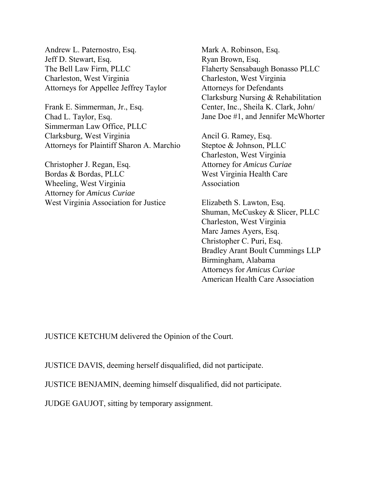Andrew L. Paternostro, Esq. Jeff D. Stewart, Esq. The Bell Law Firm, PLLC Charleston, West Virginia Attorneys for Appellee Jeffrey Taylor

 Frank E. Simmerman, Jr., Esq. Chad L. Taylor, Esq. Simmerman Law Office, PLLC Clarksburg, West Virginia Attorneys for Plaintiff Sharon A. Marchio

 Christopher J. Regan, Esq. Bordas & Bordas, PLLC Wheeling, West Virginia Attorney for *Amicus Curiae*  West Virginia Association for Justice

 Clarksburg Nursing & Rehabilitation Mark A. Robinson, Esq. Ryan Brown, Esq. Flaherty Sensabaugh Bonasso PLLC Charleston, West Virginia Attorneys for Defendants Center, Inc., Sheila K. Clark, John/ Jane Doe #1, and Jennifer McWhorter

 Charleston, West Virginia Ancil G. Ramey, Esq. Steptoe & Johnson, PLLC Attorney for *Amicus Curiae*  West Virginia Health Care Association

 Shuman, McCuskey & Slicer, PLLC Charleston, West Virginia Marc James Ayers, Esq. Christopher C. Puri, Esq. Bradley Arant Boult Cummings LLP Attorneys for *Amicus Curiae*  American Health Care Association Elizabeth S. Lawton, Esq. Birmingham, Alabama

JUSTICE KETCHUM delivered the Opinion of the Court.

JUSTICE DAVIS, deeming herself disqualified, did not participate.

JUSTICE BENJAMIN, deeming himself disqualified, did not participate.

JUDGE GAUJOT, sitting by temporary assignment.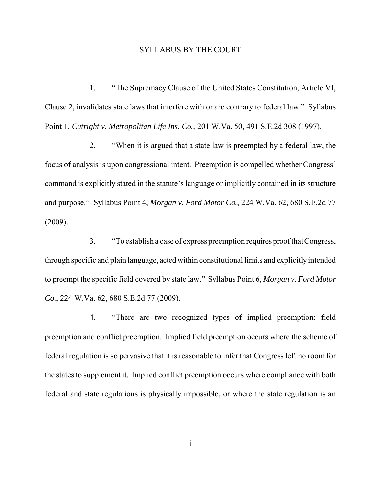### SYLLABUS BY THE COURT

 1. "The Supremacy Clause of the United States Constitution, Article VI, Clause 2, invalidates state laws that interfere with or are contrary to federal law." Syllabus Point 1, *Cutright v. Metropolitan Life Ins. Co.*, 201 W.Va. 50, 491 S.E.2d 308 (1997).

 2. "When it is argued that a state law is preempted by a federal law, the focus of analysis is upon congressional intent. Preemption is compelled whether Congress' command is explicitly stated in the statute's language or implicitly contained in its structure and purpose." Syllabus Point 4, *Morgan v. Ford Motor Co.*, 224 W.Va. 62, 680 S.E.2d 77 (2009).

 3. "To establish a case of express preemption requires proof that Congress, through specific and plain language, acted within constitutional limits and explicitlyintended to preempt the specific field covered by state law." Syllabus Point 6, *Morgan v. Ford Motor Co.*, 224 W.Va. 62, 680 S.E.2d 77 (2009).

 4. "There are two recognized types of implied preemption: field preemption and conflict preemption. Implied field preemption occurs where the scheme of federal regulation is so pervasive that it is reasonable to infer that Congress left no room for the states to supplement it. Implied conflict preemption occurs where compliance with both federal and state regulations is physically impossible, or where the state regulation is an

i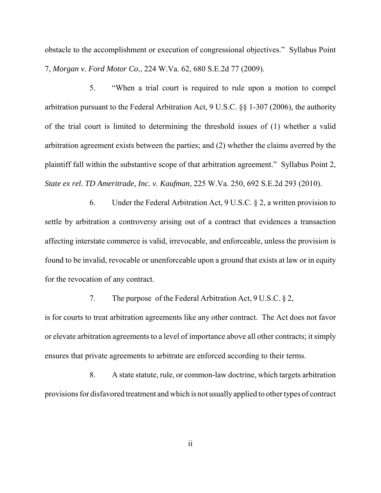obstacle to the accomplishment or execution of congressional objectives." Syllabus Point  7, *Morgan v. Ford Motor Co.*, 224 W.Va. 62, 680 S.E.2d 77 (2009).

 5. "When a trial court is required to rule upon a motion to compel arbitration pursuant to the Federal Arbitration Act, 9 U.S.C. §§ 1-307 (2006), the authority of the trial court is limited to determining the threshold issues of (1) whether a valid arbitration agreement exists between the parties; and (2) whether the claims averred by the plaintiff fall within the substantive scope of that arbitration agreement." Syllabus Point 2,  *State ex rel. TD Ameritrade, Inc. v. Kaufman*, 225 W.Va. 250, 692 S.E.2d 293 (2010).

6. Under the Federal Arbitration Act,  $9 \text{ U.S.C.} \S 2$ , a written provision to settle by arbitration a controversy arising out of a contract that evidences a transaction affecting interstate commerce is valid, irrevocable, and enforceable, unless the provision is found to be invalid, revocable or unenforceable upon a ground that exists at law or in equity for the revocation of any contract.

7. The purpose of the Federal Arbitration Act, 9 U.S.C. § 2,

 is for courts to treat arbitration agreements like any other contract. The Act does not favor or elevate arbitration agreements to a level of importance above all other contracts; it simply ensures that private agreements to arbitrate are enforced according to their terms.

 8. A state statute, rule, or common-law doctrine, which targets arbitration provisions for disfavored treatment and which is not usually applied to other types of contract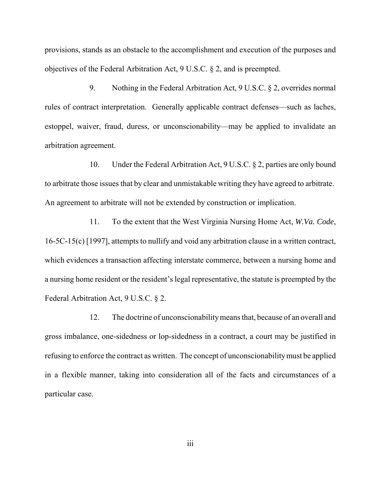provisions, stands as an obstacle to the accomplishment and execution of the purposes and objectives of the Federal Arbitration Act, 9 U.S.C. § 2, and is preempted.

 9. Nothing in the Federal Arbitration Act, 9 U.S.C. § 2, overrides normal rules of contract interpretation. Generally applicable contract defenses—such as laches, estoppel, waiver, fraud, duress, or unconscionability—may be applied to invalidate an arbitration agreement.

 10. Under the Federal Arbitration Act, 9 U.S.C. § 2, parties are only bound to arbitrate those issues that by clear and unmistakable writing they have agreed to arbitrate. An agreement to arbitrate will not be extended by construction or implication.

 11. To the extent that the West Virginia Nursing Home Act, *W.Va. Code*, 16-5C-15(c) [1997], attempts to nullify and void any arbitration clause in a written contract, which evidences a transaction affecting interstate commerce, between a nursing home and a nursing home resident or the resident's legal representative, the statute is preempted by the Federal Arbitration Act, 9 U.S.C. § 2.

 12. The doctrine of unconscionability means that, because of an overall and gross imbalance, one-sidedness or lop-sidedness in a contract, a court may be justified in refusing to enforce the contract as written. The concept of unconscionability must be applied in a flexible manner, taking into consideration all of the facts and circumstances of a particular case.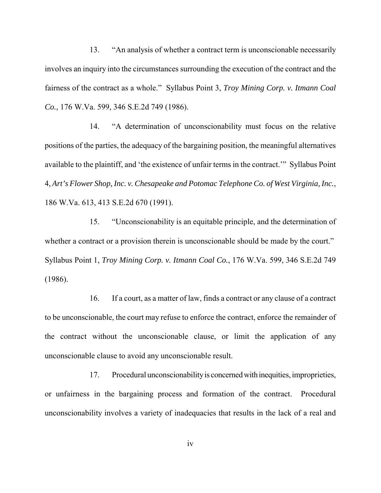13. "An analysis of whether a contract term is unconscionable necessarily involves an inquiry into the circumstances surrounding the execution of the contract and the fairness of the contract as a whole." Syllabus Point 3, *Troy Mining Corp. v. Itmann Coal Co.*, 176 W.Va. 599, 346 S.E.2d 749 (1986).

 14. "A determination of unconscionability must focus on the relative positions of the parties, the adequacy of the bargaining position, the meaningful alternatives available to the plaintiff, and 'the existence of unfair terms in the contract.'" Syllabus Point  4, *Art's Flower Shop, Inc. v. Chesapeake and Potomac Telephone Co. of West Virginia, Inc.*, 186 W.Va. 613, 413 S.E.2d 670 (1991).

 15. "Unconscionability is an equitable principle, and the determination of whether a contract or a provision therein is unconscionable should be made by the court." Syllabus Point 1, *Troy Mining Corp. v. Itmann Coal Co.*, 176 W.Va. 599, 346 S.E.2d 749 (1986).

 16. If a court, as a matter of law, finds a contract or any clause of a contract to be unconscionable, the court may refuse to enforce the contract, enforce the remainder of the contract without the unconscionable clause, or limit the application of any unconscionable clause to avoid any unconscionable result.

 17. Procedural unconscionabilityis concerned with inequities, improprieties, or unfairness in the bargaining process and formation of the contract. Procedural unconscionability involves a variety of inadequacies that results in the lack of a real and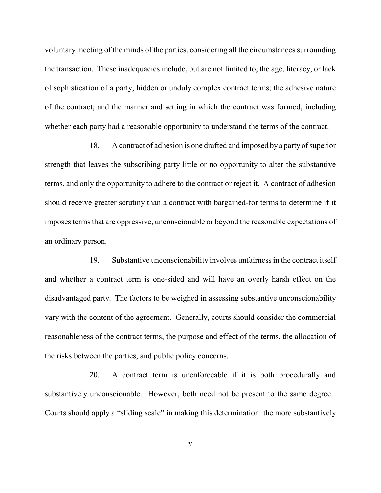voluntary meeting of the minds of the parties, considering all the circumstances surrounding the transaction. These inadequacies include, but are not limited to, the age, literacy, or lack of sophistication of a party; hidden or unduly complex contract terms; the adhesive nature of the contract; and the manner and setting in which the contract was formed, including whether each party had a reasonable opportunity to understand the terms of the contract.

 18. A contract of adhesion is one drafted and imposed by a party of superior strength that leaves the subscribing party little or no opportunity to alter the substantive terms, and only the opportunity to adhere to the contract or reject it. A contract of adhesion should receive greater scrutiny than a contract with bargained-for terms to determine if it imposes terms that are oppressive, unconscionable or beyond the reasonable expectations of an ordinary person.

 19. Substantive unconscionability involves unfairness in the contract itself and whether a contract term is one-sided and will have an overly harsh effect on the disadvantaged party. The factors to be weighed in assessing substantive unconscionability vary with the content of the agreement. Generally, courts should consider the commercial reasonableness of the contract terms, the purpose and effect of the terms, the allocation of the risks between the parties, and public policy concerns.

 20. A contract term is unenforceable if it is both procedurally and substantively unconscionable. However, both need not be present to the same degree. Courts should apply a "sliding scale" in making this determination: the more substantively

v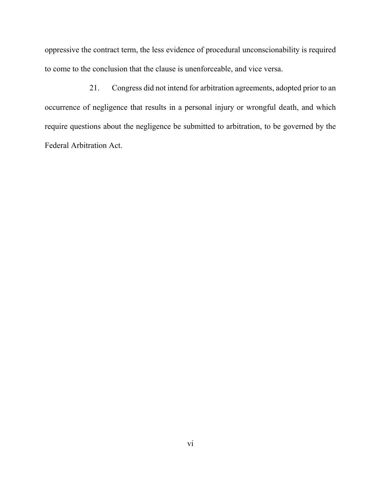oppressive the contract term, the less evidence of procedural unconscionability is required to come to the conclusion that the clause is unenforceable, and vice versa.

 21. Congress did not intend for arbitration agreements, adopted prior to an occurrence of negligence that results in a personal injury or wrongful death, and which require questions about the negligence be submitted to arbitration, to be governed by the Federal Arbitration Act.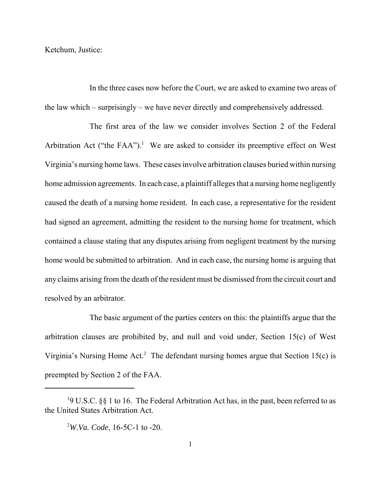Ketchum, Justice:

 In the three cases now before the Court, we are asked to examine two areas of the law which – surprisingly – we have never directly and comprehensively addressed.

 The first area of the law we consider involves Section 2 of the Federal Arbitration Act ("the FAA").<sup>1</sup> We are asked to consider its preemptive effect on West Virginia's nursing home laws. These cases involve arbitration clauses buried within nursing home admission agreements. In each case, a plaintiff alleges that a nursing home negligently caused the death of a nursing home resident. In each case, a representative for the resident had signed an agreement, admitting the resident to the nursing home for treatment, which contained a clause stating that any disputes arising from negligent treatment by the nursing home would be submitted to arbitration. And in each case, the nursing home is arguing that any claims arising from the death of the resident must be dismissed from the circuit court and resolved by an arbitrator.

 The basic argument of the parties centers on this: the plaintiffs argue that the arbitration clauses are prohibited by, and null and void under, Section 15(c) of West Virginia's Nursing Home Act.<sup>2</sup> The defendant nursing homes argue that Section 15 $(c)$  is preempted by Section 2 of the FAA.

<sup>&</sup>lt;sup>1</sup>9 U.S.C. §§ 1 to 16. The Federal Arbitration Act has, in the past, been referred to as the United States Arbitration Act.

 2 *W.Va. Code*, 16-5C-1 to -20.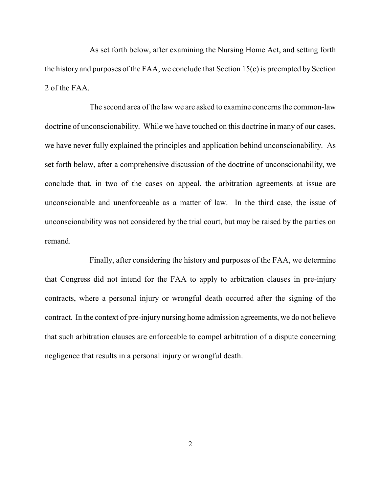As set forth below, after examining the Nursing Home Act, and setting forth the history and purposes of the FAA, we conclude that Section 15(c) is preempted by Section 2 of the FAA.

 The second area of the law we are asked to examine concerns the common-law doctrine of unconscionability. While we have touched on this doctrine in many of our cases, we have never fully explained the principles and application behind unconscionability. As set forth below, after a comprehensive discussion of the doctrine of unconscionability, we conclude that, in two of the cases on appeal, the arbitration agreements at issue are unconscionable and unenforceable as a matter of law. In the third case, the issue of unconscionability was not considered by the trial court, but may be raised by the parties on remand.

 Finally, after considering the history and purposes of the FAA, we determine that Congress did not intend for the FAA to apply to arbitration clauses in pre-injury contracts, where a personal injury or wrongful death occurred after the signing of the contract. In the context of pre-injury nursing home admission agreements, we do not believe that such arbitration clauses are enforceable to compel arbitration of a dispute concerning negligence that results in a personal injury or wrongful death.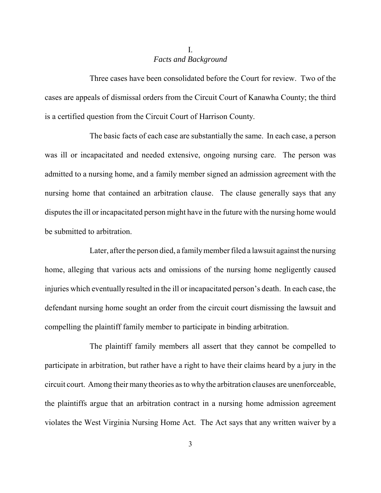# *Facts and Background*  I.

 Three cases have been consolidated before the Court for review. Two of the cases are appeals of dismissal orders from the Circuit Court of Kanawha County; the third is a certified question from the Circuit Court of Harrison County.

 The basic facts of each case are substantially the same. In each case, a person was ill or incapacitated and needed extensive, ongoing nursing care. The person was admitted to a nursing home, and a family member signed an admission agreement with the nursing home that contained an arbitration clause. The clause generally says that any disputes the ill or incapacitated person might have in the future with the nursing home would be submitted to arbitration.

 Later, after the person died, a familymember filed a lawsuit against the nursing home, alleging that various acts and omissions of the nursing home negligently caused injuries which eventually resulted in the ill or incapacitated person's death. In each case, the defendant nursing home sought an order from the circuit court dismissing the lawsuit and compelling the plaintiff family member to participate in binding arbitration.

 The plaintiff family members all assert that they cannot be compelled to participate in arbitration, but rather have a right to have their claims heard by a jury in the circuit court. Among their many theories as to why the arbitration clauses are unenforceable, the plaintiffs argue that an arbitration contract in a nursing home admission agreement violates the West Virginia Nursing Home Act. The Act says that any written waiver by a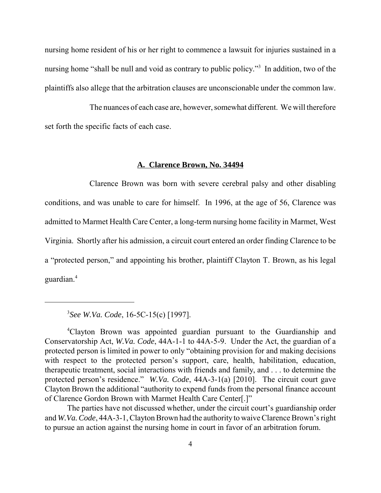nursing home resident of his or her right to commence a lawsuit for injuries sustained in a nursing home "shall be null and void as contrary to public policy."<sup>3</sup> In addition, two of the plaintiffs also allege that the arbitration clauses are unconscionable under the common law.

 The nuances of each case are, however, somewhat different. We will therefore set forth the specific facts of each case.

### **A. Clarence Brown, No. 34494**

 Clarence Brown was born with severe cerebral palsy and other disabling conditions, and was unable to care for himself. In 1996, at the age of 56, Clarence was admitted to Marmet Health Care Center, a long-term nursing home facility in Marmet, West Virginia. Shortly after his admission, a circuit court entered an order finding Clarence to be a "protected person," and appointing his brother, plaintiff Clayton T. Brown, as his legal guardian.4

3 *See W.Va. Code*, 16-5C-15(c) [1997].

 The parties have not discussed whether, under the circuit court's guardianship order and *W.Va. Code*, 44A-3-1, Clayton Brown had the authority to waive Clarence Brown's right to pursue an action against the nursing home in court in favor of an arbitration forum.

 4 Clayton Brown was appointed guardian pursuant to the Guardianship and Conservatorship Act, *W.Va. Code*, 44A-1-1 to 44A-5-9. Under the Act, the guardian of a protected person is limited in power to only "obtaining provision for and making decisions with respect to the protected person's support, care, health, habilitation, education, therapeutic treatment, social interactions with friends and family, and . . . to determine the protected person's residence." *W.Va. Code*, 44A-3-1(a) [2010]. The circuit court gave Clayton Brown the additional "authority to expend funds from the personal finance account of Clarence Gordon Brown with Marmet Health Care Center[.]"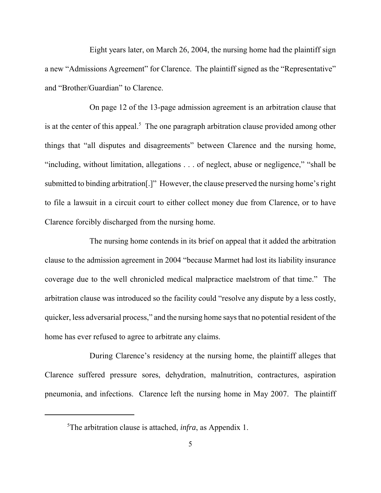Eight years later, on March 26, 2004, the nursing home had the plaintiff sign a new "Admissions Agreement" for Clarence. The plaintiff signed as the "Representative" and "Brother/Guardian" to Clarence.

 On page 12 of the 13-page admission agreement is an arbitration clause that is at the center of this appeal. $5$  The one paragraph arbitration clause provided among other things that "all disputes and disagreements" between Clarence and the nursing home, "including, without limitation, allegations . . . of neglect, abuse or negligence," "shall be submitted to binding arbitration[.]" However, the clause preserved the nursing home's right to file a lawsuit in a circuit court to either collect money due from Clarence, or to have Clarence forcibly discharged from the nursing home.

 The nursing home contends in its brief on appeal that it added the arbitration clause to the admission agreement in 2004 "because Marmet had lost its liability insurance coverage due to the well chronicled medical malpractice maelstrom of that time." The arbitration clause was introduced so the facility could "resolve any dispute by a less costly, quicker, less adversarial process," and the nursing home says that no potential resident of the home has ever refused to agree to arbitrate any claims.

 During Clarence's residency at the nursing home, the plaintiff alleges that Clarence suffered pressure sores, dehydration, malnutrition, contractures, aspiration pneumonia, and infections. Clarence left the nursing home in May 2007. The plaintiff

 5 The arbitration clause is attached, *infra*, as Appendix 1.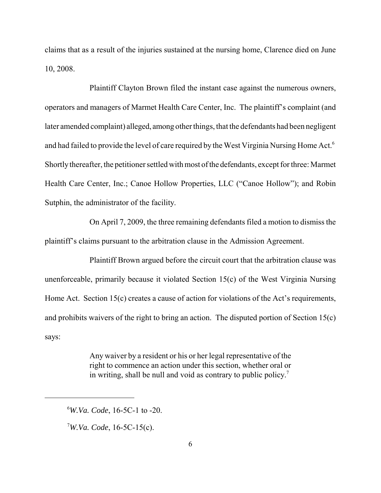claims that as a result of the injuries sustained at the nursing home, Clarence died on June 10, 2008.

 Plaintiff Clayton Brown filed the instant case against the numerous owners, operators and managers of Marmet Health Care Center, Inc. The plaintiff's complaint (and later amended complaint) alleged, among other things, that the defendants had been negligent and had failed to provide the level of care required by the West Virginia Nursing Home Act.<sup>6</sup> Shortly thereafter, the petitioner settled with most of the defendants, except for three: Marmet Health Care Center, Inc.; Canoe Hollow Properties, LLC ("Canoe Hollow"); and Robin Sutphin, the administrator of the facility.

 On April 7, 2009, the three remaining defendants filed a motion to dismiss the plaintiff's claims pursuant to the arbitration clause in the Admission Agreement.

 Plaintiff Brown argued before the circuit court that the arbitration clause was unenforceable, primarily because it violated Section 15(c) of the West Virginia Nursing Home Act. Section 15(c) creates a cause of action for violations of the Act's requirements, and prohibits waivers of the right to bring an action. The disputed portion of Section 15(c) says:

> Any waiver by a resident or his or her legal representative of the right to commence an action under this section, whether oral or in writing, shall be null and void as contrary to public policy.<sup>7</sup>

7 *W.Va. Code*, 16-5C-15(c).

 6 *W.Va. Code*, 16-5C-1 to -20.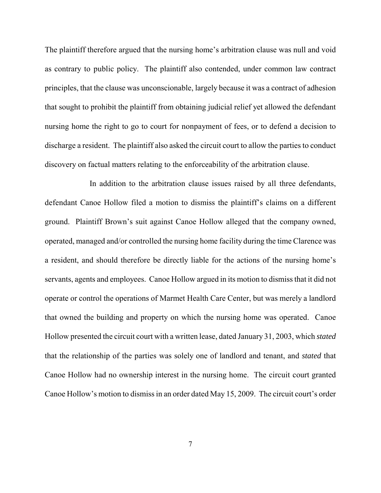The plaintiff therefore argued that the nursing home's arbitration clause was null and void as contrary to public policy. The plaintiff also contended, under common law contract principles, that the clause was unconscionable, largely because it was a contract of adhesion that sought to prohibit the plaintiff from obtaining judicial relief yet allowed the defendant nursing home the right to go to court for nonpayment of fees, or to defend a decision to discharge a resident. The plaintiff also asked the circuit court to allow the parties to conduct discovery on factual matters relating to the enforceability of the arbitration clause.

 In addition to the arbitration clause issues raised by all three defendants, defendant Canoe Hollow filed a motion to dismiss the plaintiff's claims on a different ground. Plaintiff Brown's suit against Canoe Hollow alleged that the company owned, operated, managed and/or controlled the nursing home facility during the time Clarence was a resident, and should therefore be directly liable for the actions of the nursing home's servants, agents and employees. Canoe Hollow argued in its motion to dismiss that it did not operate or control the operations of Marmet Health Care Center, but was merely a landlord that owned the building and property on which the nursing home was operated. Canoe Hollow presented the circuit court with a written lease, dated January 31, 2003, which *stated*  that the relationship of the parties was solely one of landlord and tenant, and *stated* that Canoe Hollow had no ownership interest in the nursing home. The circuit court granted Canoe Hollow's motion to dismiss in an order dated May 15, 2009. The circuit court's order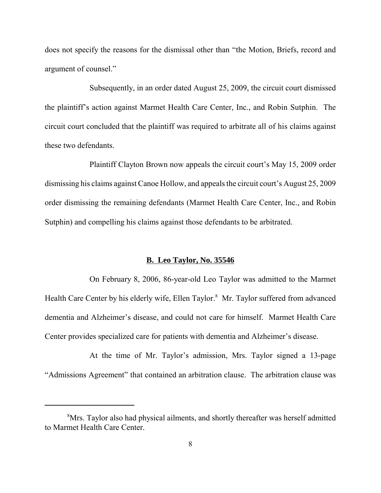does not specify the reasons for the dismissal other than "the Motion, Briefs, record and argument of counsel."

 Subsequently, in an order dated August 25, 2009, the circuit court dismissed the plaintiff's action against Marmet Health Care Center, Inc., and Robin Sutphin. The circuit court concluded that the plaintiff was required to arbitrate all of his claims against these two defendants.

 Plaintiff Clayton Brown now appeals the circuit court's May 15, 2009 order dismissing his claims against Canoe Hollow, and appeals the circuit court's August 25, 2009 order dismissing the remaining defendants (Marmet Health Care Center, Inc., and Robin Sutphin) and compelling his claims against those defendants to be arbitrated.

### **B. Leo Taylor, No. 35546**

 On February 8, 2006, 86-year-old Leo Taylor was admitted to the Marmet Health Care Center by his elderly wife, Ellen Taylor.<sup>8</sup> Mr. Taylor suffered from advanced dementia and Alzheimer's disease, and could not care for himself. Marmet Health Care Center provides specialized care for patients with dementia and Alzheimer's disease.

 At the time of Mr. Taylor's admission, Mrs. Taylor signed a 13-page "Admissions Agreement" that contained an arbitration clause. The arbitration clause was

<sup>&</sup>lt;sup>8</sup>Mrs. Taylor also had physical ailments, and shortly thereafter was herself admitted to Marmet Health Care Center.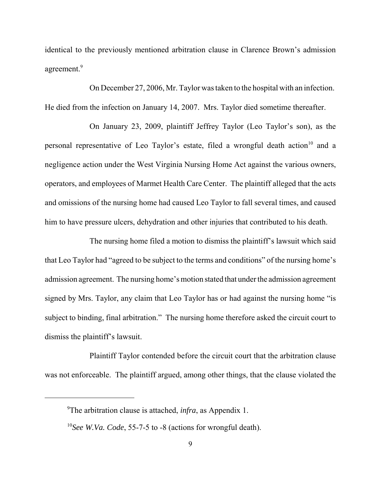identical to the previously mentioned arbitration clause in Clarence Brown's admission agreement.<sup>9</sup>

 On December 27, 2006, Mr. Taylor was taken to the hospital with an infection. He died from the infection on January 14, 2007. Mrs. Taylor died sometime thereafter.

 On January 23, 2009, plaintiff Jeffrey Taylor (Leo Taylor's son), as the personal representative of Leo Taylor's estate, filed a wrongful death action<sup>10</sup> and a negligence action under the West Virginia Nursing Home Act against the various owners, operators, and employees of Marmet Health Care Center. The plaintiff alleged that the acts and omissions of the nursing home had caused Leo Taylor to fall several times, and caused him to have pressure ulcers, dehydration and other injuries that contributed to his death.

 The nursing home filed a motion to dismiss the plaintiff's lawsuit which said that Leo Taylor had "agreed to be subject to the terms and conditions" of the nursing home's admission agreement. The nursing home's motion stated that under the admission agreement signed by Mrs. Taylor, any claim that Leo Taylor has or had against the nursing home "is subject to binding, final arbitration." The nursing home therefore asked the circuit court to dismiss the plaintiff's lawsuit.

 Plaintiff Taylor contended before the circuit court that the arbitration clause was not enforceable. The plaintiff argued, among other things, that the clause violated the

 9 The arbitration clause is attached, *infra*, as Appendix 1.

 <sup>10</sup>*See W.Va. Code*, 55-7-5 to -8 (actions for wrongful death).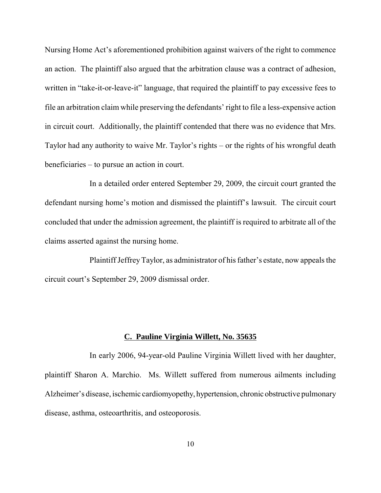Nursing Home Act's aforementioned prohibition against waivers of the right to commence an action. The plaintiff also argued that the arbitration clause was a contract of adhesion, written in "take-it-or-leave-it" language, that required the plaintiff to pay excessive fees to file an arbitration claim while preserving the defendants' right to file a less-expensive action in circuit court. Additionally, the plaintiff contended that there was no evidence that Mrs. Taylor had any authority to waive Mr. Taylor's rights – or the rights of his wrongful death beneficiaries – to pursue an action in court.

 In a detailed order entered September 29, 2009, the circuit court granted the defendant nursing home's motion and dismissed the plaintiff's lawsuit. The circuit court concluded that under the admission agreement, the plaintiff is required to arbitrate all of the claims asserted against the nursing home.

 Plaintiff Jeffrey Taylor, as administrator of his father's estate, now appeals the circuit court's September 29, 2009 dismissal order.

### **C. Pauline Virginia Willett, No. 35635**

 In early 2006, 94-year-old Pauline Virginia Willett lived with her daughter, plaintiff Sharon A. Marchio. Ms. Willett suffered from numerous ailments including Alzheimer's disease, ischemic cardiomyopethy, hypertension, chronic obstructive pulmonary disease, asthma, osteoarthritis, and osteoporosis.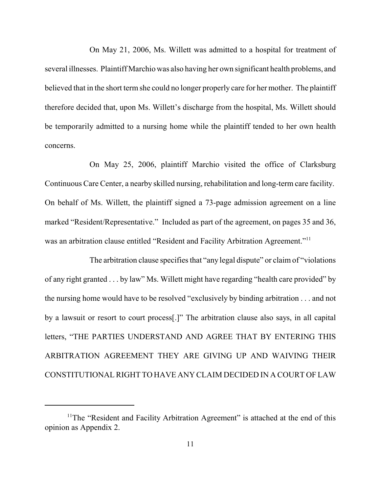On May 21, 2006, Ms. Willett was admitted to a hospital for treatment of several illnesses. Plaintiff Marchio was also having her own significant health problems, and believed that in the short term she could no longer properly care for her mother. The plaintiff therefore decided that, upon Ms. Willett's discharge from the hospital, Ms. Willett should be temporarily admitted to a nursing home while the plaintiff tended to her own health concerns.

 On May 25, 2006, plaintiff Marchio visited the office of Clarksburg Continuous Care Center, a nearby skilled nursing, rehabilitation and long-term care facility. On behalf of Ms. Willett, the plaintiff signed a 73-page admission agreement on a line marked "Resident/Representative." Included as part of the agreement, on pages 35 and 36, was an arbitration clause entitled "Resident and Facility Arbitration Agreement."<sup>11</sup>

 The arbitration clause specifies that "any legal dispute" or claim of "violations of any right granted . . . by law" Ms. Willett might have regarding "health care provided" by the nursing home would have to be resolved "exclusively by binding arbitration . . . and not by a lawsuit or resort to court process[.]" The arbitration clause also says, in all capital letters, "THE PARTIES UNDERSTAND AND AGREE THAT BY ENTERING THIS ARBITRATION AGREEMENT THEY ARE GIVING UP AND WAIVING THEIR CONSTITUTIONAL RIGHT TO HAVE ANY CLAIM DECIDED IN A COURT OF LAW

<sup>&</sup>lt;sup>11</sup>The "Resident and Facility Arbitration Agreement" is attached at the end of this opinion as Appendix 2.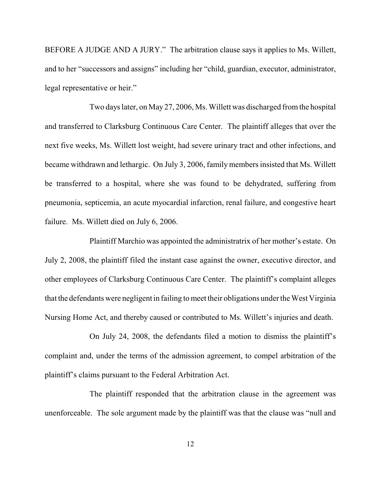BEFORE A JUDGE AND A JURY." The arbitration clause says it applies to Ms. Willett, and to her "successors and assigns" including her "child, guardian, executor, administrator, legal representative or heir."

 Two days later, on May 27, 2006, Ms. Willett was discharged from the hospital and transferred to Clarksburg Continuous Care Center. The plaintiff alleges that over the next five weeks, Ms. Willett lost weight, had severe urinary tract and other infections, and became withdrawn and lethargic. On July 3, 2006, family members insisted that Ms. Willett be transferred to a hospital, where she was found to be dehydrated, suffering from pneumonia, septicemia, an acute myocardial infarction, renal failure, and congestive heart failure. Ms. Willett died on July 6, 2006.

 Plaintiff Marchio was appointed the administratrix of her mother's estate. On July 2, 2008, the plaintiff filed the instant case against the owner, executive director, and other employees of Clarksburg Continuous Care Center. The plaintiff's complaint alleges that the defendants were negligent in failing to meet their obligations under the West Virginia Nursing Home Act, and thereby caused or contributed to Ms. Willett's injuries and death.

 On July 24, 2008, the defendants filed a motion to dismiss the plaintiff's complaint and, under the terms of the admission agreement, to compel arbitration of the plaintiff's claims pursuant to the Federal Arbitration Act.

 The plaintiff responded that the arbitration clause in the agreement was unenforceable. The sole argument made by the plaintiff was that the clause was "null and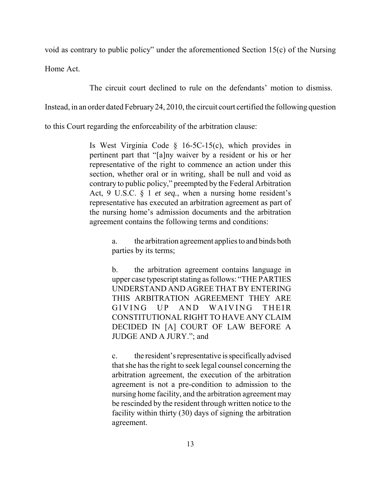void as contrary to public policy" under the aforementioned Section 15(c) of the Nursing

Home Act.

The circuit court declined to rule on the defendants' motion to dismiss.

Instead, in an order dated February 24, 2010, the circuit court certified the following question

to this Court regarding the enforceability of the arbitration clause:

 Is West Virginia Code § 16-5C-15(c), which provides in pertinent part that "[a]ny waiver by a resident or his or her representative of the right to commence an action under this section, whether oral or in writing, shall be null and void as contrary to public policy," preempted by the Federal Arbitration Act, 9 U.S.C. § 1 *et seq.*, when a nursing home resident's representative has executed an arbitration agreement as part of the nursing home's admission documents and the arbitration agreement contains the following terms and conditions:

> a. the arbitration agreement applies to and binds both parties by its terms;

> b. the arbitration agreement contains language in upper case typescript stating as follows: "THE PARTIES UNDERSTAND AND AGREE THAT BY ENTERING THIS ARBITRATION AGREEMENT THEY ARE **GIVING**  CONSTITUTIONAL RIGHT TO HAVE ANY CLAIM DECIDED IN [A] COURT OF LAW BEFORE A JUDGE AND A JURY."; and UP AND WAIVING THEIR

> c. the resident's representative is specificallyadvised that she has the right to seek legal counsel concerning the arbitration agreement, the execution of the arbitration agreement is not a pre-condition to admission to the nursing home facility, and the arbitration agreement may be rescinded by the resident through written notice to the facility within thirty (30) days of signing the arbitration agreement.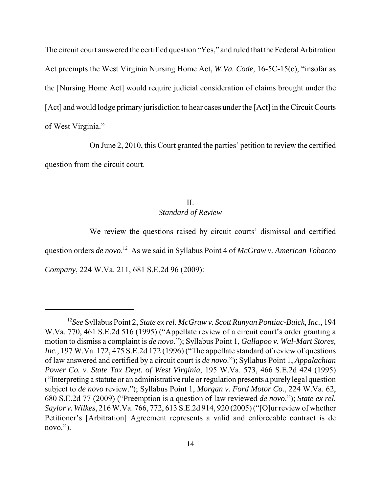The circuit court answered the certified question "Yes," and ruled that the Federal Arbitration Act preempts the West Virginia Nursing Home Act, *W.Va. Code*, 16-5C-15(c), "insofar as the [Nursing Home Act] would require judicial consideration of claims brought under the [Act] and would lodge primary jurisdiction to hear cases under the [Act] in the Circuit Courts of West Virginia."

 On June 2, 2010, this Court granted the parties' petition to review the certified question from the circuit court.

## *Standard of Review*  II.

 We review the questions raised by circuit courts' dismissal and certified question orders *de novo*. 12 As we said in Syllabus Point 4 of *McGraw v. American Tobacco Company*, 224 W.Va. 211, 681 S.E.2d 96 (2009):

 <sup>12</sup>*See* Syllabus Point 2, *State ex rel. McGraw v. Scott Runyan Pontiac-Buick, Inc.*, 194 W.Va. 770, 461 S.E.2d 516 (1995) ("Appellate review of a circuit court's order granting a motion to dismiss a complaint is *de novo*."); Syllabus Point 1, *Gallapoo v. Wal-Mart Stores, Inc.*, 197 W.Va. 172, 475 S.E.2d 172 (1996) ("The appellate standard of review of questions of law answered and certified by a circuit court is *de novo*."); Syllabus Point 1, *Appalachian Power Co. v. State Tax Dept. of West Virginia*, 195 W.Va. 573, 466 S.E.2d 424 (1995) ("Interpreting a statute or an administrative rule or regulation presents a purely legal question subject to *de novo* review."); Syllabus Point 1, *Morgan v. Ford Motor Co.*, 224 W.Va. 62, 680 S.E.2d 77 (2009) ("Preemption is a question of law reviewed *de novo*."); *State ex rel. Saylor v. Wilkes*, 216 W.Va. 766, 772, 613 S.E.2d 914, 920 (2005) ("[O]ur review of whether Petitioner's [Arbitration] Agreement represents a valid and enforceable contract is de novo.").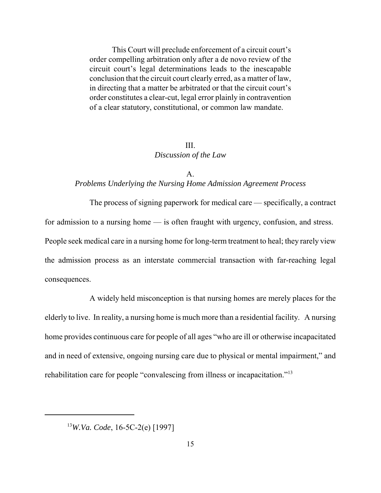This Court will preclude enforcement of a circuit court's order compelling arbitration only after a de novo review of the circuit court's legal determinations leads to the inescapable conclusion that the circuit court clearly erred, as a matter of law, in directing that a matter be arbitrated or that the circuit court's order constitutes a clear-cut, legal error plainly in contravention of a clear statutory, constitutional, or common law mandate.

## *Discussion of the Law*  III.

## *Problems Underlying the Nursing Home Admission Agreement Process*  A.

 The process of signing paperwork for medical care — specifically, a contract for admission to a nursing home — is often fraught with urgency, confusion, and stress. People seek medical care in a nursing home for long-term treatment to heal; they rarely view the admission process as an interstate commercial transaction with far-reaching legal consequences.

 A widely held misconception is that nursing homes are merely places for the elderly to live. In reality, a nursing home is much more than a residential facility. A nursing home provides continuous care for people of all ages "who are ill or otherwise incapacitated and in need of extensive, ongoing nursing care due to physical or mental impairment," and rehabilitation care for people "convalescing from illness or incapacitation."<sup>13</sup>

<sup>13</sup>*W.Va. Code*, 16-5C-2(e) [1997]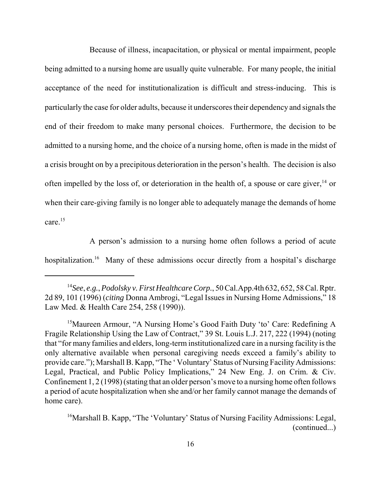Because of illness, incapacitation, or physical or mental impairment, people being admitted to a nursing home are usually quite vulnerable. For many people, the initial acceptance of the need for institutionalization is difficult and stress-inducing. This is particularly the case for older adults, because it underscores their dependency and signals the end of their freedom to make many personal choices. Furthermore, the decision to be admitted to a nursing home, and the choice of a nursing home, often is made in the midst of a crisis brought on by a precipitous deterioration in the person's health. The decision is also often impelled by the loss of, or deterioration in the health of, a spouse or care giver,  $^{14}$  or when their care-giving family is no longer able to adequately manage the demands of home care. $15$ 

 A person's admission to a nursing home often follows a period of acute hospitalization.<sup>16</sup> Many of these admissions occur directly from a hospital's discharge

 <sup>14</sup>*See*, *e.g.*, *Podolsky v. First Healthcare Corp.*, 50 Cal.App.4th 632, 652, 58 Cal. Rptr. 2d 89, 101 (1996) (*citing* Donna Ambrogi, "Legal Issues in Nursing Home Admissions," 18 Law Med. & Health Care 254, 258 (1990)).

<sup>&</sup>lt;sup>15</sup>Maureen Armour, "A Nursing Home's Good Faith Duty 'to' Care: Redefining A Fragile Relationship Using the Law of Contract," 39 St. Louis L.J. 217, 222 (1994) (noting that "for many families and elders, long-term institutionalized care in a nursing facility is the only alternative available when personal caregiving needs exceed a family's ability to provide care."); Marshall B. Kapp, "The ' Voluntary' Status of Nursing Facility Admissions: Legal, Practical, and Public Policy Implications," 24 New Eng. J. on Crim. & Civ. Confinement 1, 2 (1998) (stating that an older person's move to a nursing home often follows a period of acute hospitalization when she and/or her family cannot manage the demands of home care).

<sup>&</sup>lt;sup>16</sup>Marshall B. Kapp, "The 'Voluntary' Status of Nursing Facility Admissions: Legal, (continued...)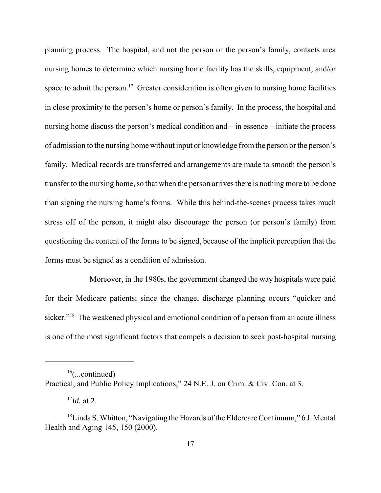planning process. The hospital, and not the person or the person's family, contacts area nursing homes to determine which nursing home facility has the skills, equipment, and/or space to admit the person.<sup>17</sup> Greater consideration is often given to nursing home facilities in close proximity to the person's home or person's family. In the process, the hospital and nursing home discuss the person's medical condition and – in essence – initiate the process of admission to the nursing home without input or knowledge from the person or the person's family. Medical records are transferred and arrangements are made to smooth the person's transfer to the nursing home, so that when the person arrives there is nothing more to be done than signing the nursing home's forms. While this behind-the-scenes process takes much stress off of the person, it might also discourage the person (or person's family) from questioning the content of the forms to be signed, because of the implicit perception that the forms must be signed as a condition of admission.

 Moreover, in the 1980s, the government changed the way hospitals were paid for their Medicare patients; since the change, discharge planning occurs "quicker and sicker."<sup>18</sup> The weakened physical and emotional condition of a person from an acute illness is one of the most significant factors that compels a decision to seek post-hospital nursing

 $16$ (...continued)

 Practical, and Public Policy Implications," 24 N.E. J. on Crim. & Civ. Con. at 3.

 <sup>17</sup>*Id.* at 2.

<sup>&</sup>lt;sup>18</sup>Linda S. Whitton, "Navigating the Hazards of the Eldercare Continuum," 6 J. Mental Health and Aging 145, 150 (2000).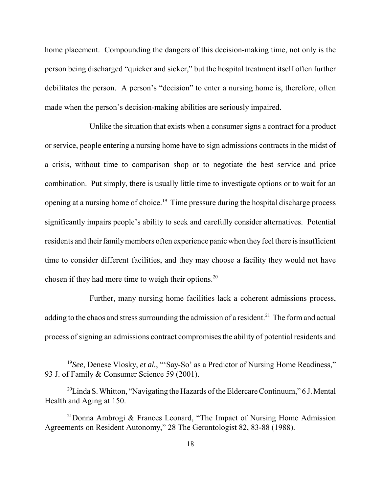home placement. Compounding the dangers of this decision-making time, not only is the person being discharged "quicker and sicker," but the hospital treatment itself often further debilitates the person. A person's "decision" to enter a nursing home is, therefore, often made when the person's decision-making abilities are seriously impaired.

 Unlike the situation that exists when a consumer signs a contract for a product or service, people entering a nursing home have to sign admissions contracts in the midst of a crisis, without time to comparison shop or to negotiate the best service and price combination. Put simply, there is usually little time to investigate options or to wait for an opening at a nursing home of choice.<sup>19</sup> Time pressure during the hospital discharge process significantly impairs people's ability to seek and carefully consider alternatives. Potential residents and their family members often experience panic when they feel there is insufficient time to consider different facilities, and they may choose a facility they would not have chosen if they had more time to weigh their options. $20$ 

 Further, many nursing home facilities lack a coherent admissions process, adding to the chaos and stress surrounding the admission of a resident.<sup>21</sup> The form and actual process of signing an admissions contract compromises the ability of potential residents and

<sup>&</sup>lt;sup>19</sup>See, Denese Vlosky, et al., "'Say-So' as a Predictor of Nursing Home Readiness," 93 J. of Family & Consumer Science 59 (2001).

<sup>&</sup>lt;sup>20</sup>Linda S. Whitton, "Navigating the Hazards of the Eldercare Continuum," 6 J. Mental Health and Aging at 150.

 $21$ Donna Ambrogi & Frances Leonard, "The Impact of Nursing Home Admission Agreements on Resident Autonomy," 28 The Gerontologist 82, 83-88 (1988).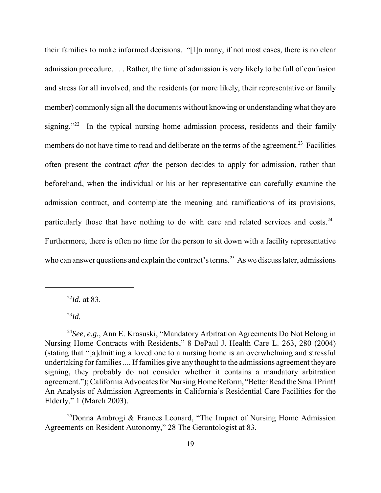their families to make informed decisions. "[I]n many, if not most cases, there is no clear admission procedure. . . . Rather, the time of admission is very likely to be full of confusion and stress for all involved, and the residents (or more likely, their representative or family member) commonly sign all the documents without knowing or understanding what they are signing."<sup>22</sup> In the typical nursing home admission process, residents and their family members do not have time to read and deliberate on the terms of the agreement.<sup>23</sup> Facilities often present the contract *after* the person decides to apply for admission, rather than beforehand, when the individual or his or her representative can carefully examine the admission contract, and contemplate the meaning and ramifications of its provisions, particularly those that have nothing to do with care and related services and costs. $24$  Furthermore, there is often no time for the person to sit down with a facility representative who can answer questions and explain the contract's terms.<sup>25</sup> As we discuss later, admissions

<sup>22</sup>*Id.* at 83.

 $^{23}Id$ .

 $25$ Donna Ambrogi & Frances Leonard, "The Impact of Nursing Home Admission Agreements on Resident Autonomy," 28 The Gerontologist at 83.

 <sup>24</sup>*See*, *e.g.*, Ann E. Krasuski, "Mandatory Arbitration Agreements Do Not Belong in Nursing Home Contracts with Residents," 8 DePaul J. Health Care L. 263, 280 (2004) (stating that "[a]dmitting a loved one to a nursing home is an overwhelming and stressful undertaking for families .... If families give any thought to the admissions agreement they are signing, they probably do not consider whether it contains a mandatory arbitration agreement."); California Advocates for Nursing Home Reform, "Better Read the Small Print! An Analysis of Admission Agreements in California's Residential Care Facilities for the Elderly," 1 (March 2003).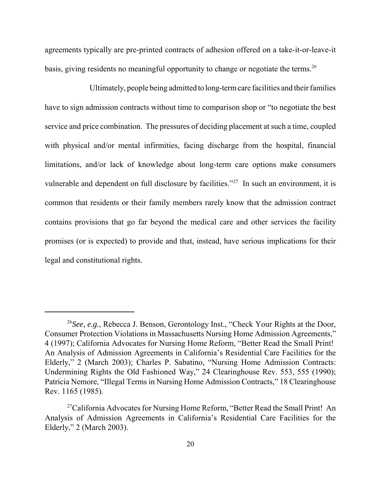agreements typically are pre-printed contracts of adhesion offered on a take-it-or-leave-it basis, giving residents no meaningful opportunity to change or negotiate the terms.<sup>26</sup>

 Ultimately, people being admitted to long-term care facilities and their families have to sign admission contracts without time to comparison shop or "to negotiate the best service and price combination. The pressures of deciding placement at such a time, coupled with physical and/or mental infirmities, facing discharge from the hospital, financial limitations, and/or lack of knowledge about long-term care options make consumers vulnerable and dependent on full disclosure by facilities."<sup>27</sup> In such an environment, it is common that residents or their family members rarely know that the admission contract contains provisions that go far beyond the medical care and other services the facility promises (or is expected) to provide and that, instead, have serious implications for their legal and constitutional rights.

 <sup>26</sup>*See, e.g.*, Rebecca J. Benson, Gerontology Inst., "Check Your Rights at the Door, Consumer Protection Violations in Massachusetts Nursing Home Admission Agreements," 4 (1997); California Advocates for Nursing Home Reform, "Better Read the Small Print! An Analysis of Admission Agreements in California's Residential Care Facilities for the Elderly," 2 (March 2003); Charles P. Sabatino, "Nursing Home Admission Contracts: Undermining Rights the Old Fashioned Way," 24 Clearinghouse Rev. 553, 555 (1990); Patricia Nemore, "Illegal Terms in Nursing Home Admission Contracts," 18 Clearinghouse Rev. 1165 (1985).

<sup>&</sup>lt;sup>27</sup>California Advocates for Nursing Home Reform, "Better Read the Small Print! An Analysis of Admission Agreements in California's Residential Care Facilities for the Elderly," 2 (March 2003).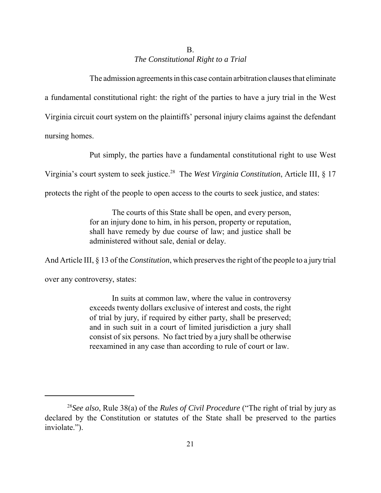# *The Constitutional Right to a Trial*  B.

 The admission agreements in this case contain arbitration clauses that eliminate a fundamental constitutional right: the right of the parties to have a jury trial in the West Virginia circuit court system on the plaintiffs' personal injury claims against the defendant nursing homes.

Put simply, the parties have a fundamental constitutional right to use West

Virginia's court system to seek justice.28 The *West Virginia Constitution*, Article III, § 17

protects the right of the people to open access to the courts to seek justice, and states:

 The courts of this State shall be open, and every person, for an injury done to him, in his person, property or reputation, shall have remedy by due course of law; and justice shall be administered without sale, denial or delay.

And Article III, § 13 of the *Constitution*, which preserves the right of the people to a jury trial

over any controversy, states:

 In suits at common law, where the value in controversy exceeds twenty dollars exclusive of interest and costs, the right of trial by jury, if required by either party, shall be preserved; and in such suit in a court of limited jurisdiction a jury shall consist of six persons. No fact tried by a jury shall be otherwise reexamined in any case than according to rule of court or law.

 <sup>28</sup>*See also*, Rule 38(a) of the *Rules of Civil Procedure* ("The right of trial by jury as declared by the Constitution or statutes of the State shall be preserved to the parties inviolate.").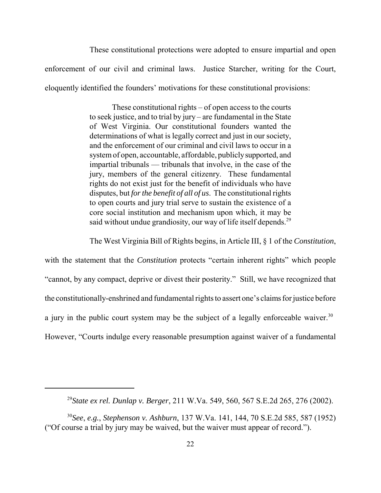These constitutional protections were adopted to ensure impartial and open enforcement of our civil and criminal laws. Justice Starcher, writing for the Court, eloquently identified the founders' motivations for these constitutional provisions:

> These constitutional rights – of open access to the courts to seek justice, and to trial by jury – are fundamental in the State of West Virginia. Our constitutional founders wanted the determinations of what is legally correct and just in our society, and the enforcement of our criminal and civil laws to occur in a system of open, accountable, affordable, publiclysupported, and impartial tribunals — tribunals that involve, in the case of the jury, members of the general citizenry. These fundamental rights do not exist just for the benefit of individuals who have disputes, but *for the benefit of all of us*. The constitutional rights to open courts and jury trial serve to sustain the existence of a core social institution and mechanism upon which, it may be said without undue grandiosity, our way of life itself depends.<sup>29</sup>

The West Virginia Bill of Rights begins, in Article III, § 1 of the *Constitution*,

 with the statement that the *Constitution* protects "certain inherent rights" which people "cannot, by any compact, deprive or divest their posterity." Still, we have recognized that the constitutionally-enshrined and fundamental rights to assert one's claims for justice before a jury in the public court system may be the subject of a legally enforceable waiver.<sup>30</sup> However, "Courts indulge every reasonable presumption against waiver of a fundamental

 <sup>29</sup>*State ex rel. Dunlap v. Berger*, 211 W.Va. 549, 560, 567 S.E.2d 265, 276 (2002).

 <sup>30</sup>*See*, *e.g.*, *Stephenson v. Ashburn*, 137 W.Va. 141, 144, 70 S.E.2d 585, 587 (1952) ("Of course a trial by jury may be waived, but the waiver must appear of record.").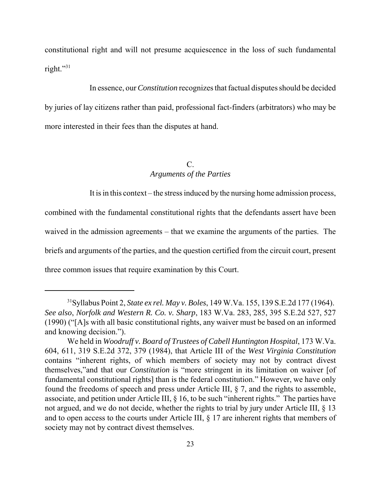constitutional right and will not presume acquiescence in the loss of such fundamental right."31

 In essence, our *Constitution* recognizes that factual disputes should be decided by juries of lay citizens rather than paid, professional fact-finders (arbitrators) who may be more interested in their fees than the disputes at hand.

# *Arguments of the Parties*  C.

It is in this context – the stress induced by the nursing home admission process,

 combined with the fundamental constitutional rights that the defendants assert have been waived in the admission agreements – that we examine the arguments of the parties. The briefs and arguments of the parties, and the question certified from the circuit court, present three common issues that require examination by this Court.

 31Syllabus Point 2, *State ex rel. May v. Boles*, 149 W.Va. 155, 139 S.E.2d 177 (1964).  *See also*, *Norfolk and Western R. Co. v. Sharp*, 183 W.Va. 283, 285, 395 S.E.2d 527, 527 (1990) ("[A]s with all basic constitutional rights, any waiver must be based on an informed and knowing decision.").

 We held in *Woodruff v. Board of Trustees of Cabell Huntington Hospital*, 173 W.Va. 604, 611, 319 S.E.2d 372, 379 (1984), that Article III of the *West Virginia Constitution*  contains "inherent rights, of which members of society may not by contract divest themselves,"and that our *Constitution* is "more stringent in its limitation on waiver [of fundamental constitutional rights] than is the federal constitution." However, we have only found the freedoms of speech and press under Article III, § 7, and the rights to assemble, associate, and petition under Article III,  $\S$  16, to be such "inherent rights." The parties have not argued, and we do not decide, whether the rights to trial by jury under Article III, § 13 and to open access to the courts under Article III, § 17 are inherent rights that members of society may not by contract divest themselves.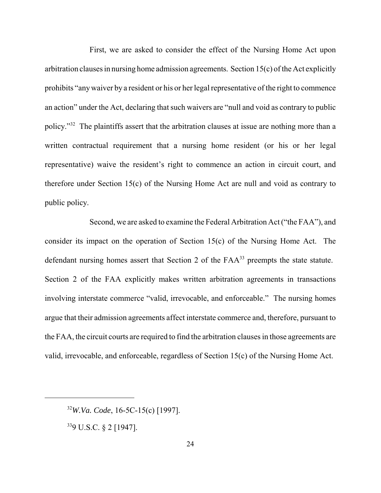First, we are asked to consider the effect of the Nursing Home Act upon arbitration clauses in nursing home admission agreements. Section 15(c) of the Act explicitly prohibits "any waiver by a resident or his or her legal representative of the right to commence an action" under the Act, declaring that such waivers are "null and void as contrary to public policy."<sup>32</sup> The plaintiffs assert that the arbitration clauses at issue are nothing more than a written contractual requirement that a nursing home resident (or his or her legal representative) waive the resident's right to commence an action in circuit court, and therefore under Section 15(c) of the Nursing Home Act are null and void as contrary to public policy.

 Second, we are asked to examine the Federal Arbitration Act ("the FAA"), and consider its impact on the operation of Section 15(c) of the Nursing Home Act. The defendant nursing homes assert that Section 2 of the  $FAA^{33}$  preempts the state statute. Section 2 of the FAA explicitly makes written arbitration agreements in transactions involving interstate commerce "valid, irrevocable, and enforceable." The nursing homes argue that their admission agreements affect interstate commerce and, therefore, pursuant to the FAA, the circuit courts are required to find the arbitration clauses in those agreements are valid, irrevocable, and enforceable, regardless of Section 15(c) of the Nursing Home Act.

 <sup>32</sup>*W.Va. Code*, 16-5C-15(c) [1997].

 339 U.S.C. § 2 [1947].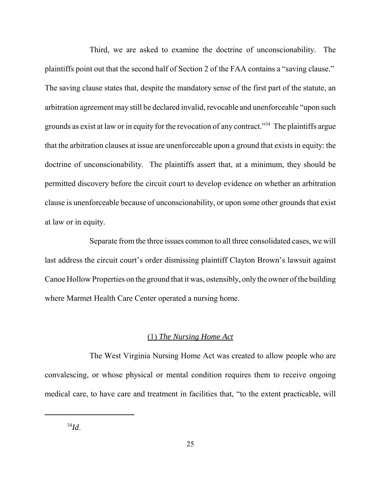Third, we are asked to examine the doctrine of unconscionability. The plaintiffs point out that the second half of Section 2 of the FAA contains a "saving clause." The saving clause states that, despite the mandatory sense of the first part of the statute, an arbitration agreement may still be declared invalid, revocable and unenforceable "upon such grounds as exist at law or in equity for the revocation of any contract."<sup>34</sup> The plaintiffs argue that the arbitration clauses at issue are unenforceable upon a ground that exists in equity: the doctrine of unconscionability. The plaintiffs assert that, at a minimum, they should be permitted discovery before the circuit court to develop evidence on whether an arbitration clause is unenforceable because of unconscionability, or upon some other grounds that exist at law or in equity.

 Separate from the three issues common to all three consolidated cases, we will last address the circuit court's order dismissing plaintiff Clayton Brown's lawsuit against Canoe Hollow Properties on the ground that it was, ostensibly, only the owner of the building where Marmet Health Care Center operated a nursing home.

## (1) *The Nursing Home Act*

 The West Virginia Nursing Home Act was created to allow people who are convalescing, or whose physical or mental condition requires them to receive ongoing medical care, to have care and treatment in facilities that, "to the extent practicable, will

<sup>34</sup>*Id*.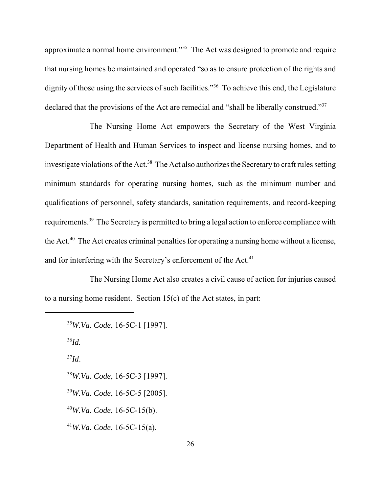approximate a normal home environment."<sup>35</sup> The Act was designed to promote and require that nursing homes be maintained and operated "so as to ensure protection of the rights and dignity of those using the services of such facilities."<sup>36</sup> To achieve this end, the Legislature declared that the provisions of the Act are remedial and "shall be liberally construed."<sup>37</sup>

 The Nursing Home Act empowers the Secretary of the West Virginia Department of Health and Human Services to inspect and license nursing homes, and to investigate violations of the Act.<sup>38</sup> The Act also authorizes the Secretary to craft rules setting minimum standards for operating nursing homes, such as the minimum number and qualifications of personnel, safety standards, sanitation requirements, and record-keeping requirements.<sup>39</sup> The Secretary is permitted to bring a legal action to enforce compliance with the Act.<sup>40</sup> The Act creates criminal penalties for operating a nursing home without a license, and for interfering with the Secretary's enforcement of the Act.<sup>41</sup>

 The Nursing Home Act also creates a civil cause of action for injuries caused to a nursing home resident. Section 15(c) of the Act states, in part:

```
 
35W.Va. Code, 16-5C-1 [1997]. 

38W.Va. Code, 16-5C-3 [1997]. 

39W.Va. Code, 16-5C-5 [2005]. 
36Id. 
37Id. 
40W.Va. Code, 16-5C-15(b). 
41W.Va. Code, 16-5C-15(a).
```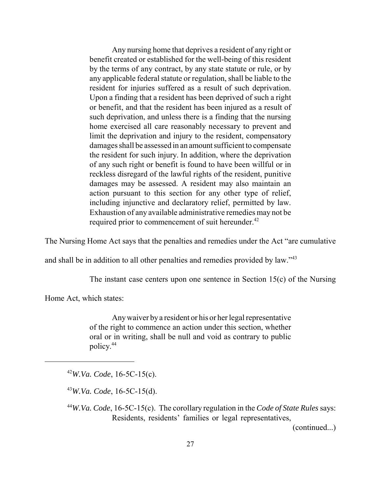Any nursing home that deprives a resident of any right or benefit created or established for the well-being of this resident by the terms of any contract, by any state statute or rule, or by any applicable federal statute or regulation, shall be liable to the resident for injuries suffered as a result of such deprivation. Upon a finding that a resident has been deprived of such a right or benefit, and that the resident has been injured as a result of such deprivation, and unless there is a finding that the nursing home exercised all care reasonably necessary to prevent and limit the deprivation and injury to the resident, compensatory damages shall be assessed in an amount sufficient to compensate the resident for such injury. In addition, where the deprivation of any such right or benefit is found to have been willful or in reckless disregard of the lawful rights of the resident, punitive damages may be assessed. A resident may also maintain an action pursuant to this section for any other type of relief, including injunctive and declaratory relief, permitted by law. Exhaustion of any available administrative remedies may not be required prior to commencement of suit hereunder.<sup>42</sup>

The Nursing Home Act says that the penalties and remedies under the Act "are cumulative

and shall be in addition to all other penalties and remedies provided by law." $43$ 

The instant case centers upon one sentence in Section 15(c) of the Nursing

Home Act, which states:

 Any waiver by a resident or his or her legal representative of the right to commence an action under this section, whether oral or in writing, shall be null and void as contrary to public policy.44

<sup>42</sup>*W.Va. Code*, 16-5C-15(c).

<sup>43</sup>*W.Va. Code*, 16-5C-15(d).

(continued...)

 <sup>44</sup>*W.Va. Code*, 16-5C-15(c). The corollary regulation in the *Code of State Rules* says: Residents, residents' families or legal representatives,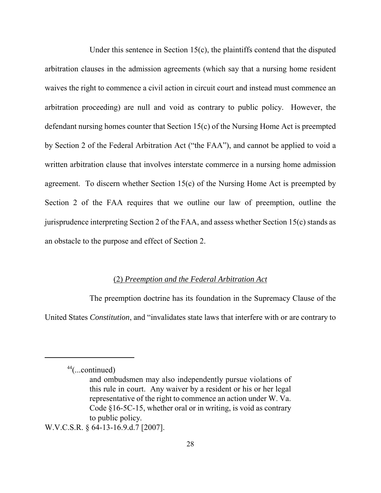Under this sentence in Section 15(c), the plaintiffs contend that the disputed arbitration clauses in the admission agreements (which say that a nursing home resident waives the right to commence a civil action in circuit court and instead must commence an arbitration proceeding) are null and void as contrary to public policy. However, the defendant nursing homes counter that Section 15(c) of the Nursing Home Act is preempted by Section 2 of the Federal Arbitration Act ("the FAA"), and cannot be applied to void a written arbitration clause that involves interstate commerce in a nursing home admission agreement. To discern whether Section 15(c) of the Nursing Home Act is preempted by Section 2 of the FAA requires that we outline our law of preemption, outline the jurisprudence interpreting Section 2 of the FAA, and assess whether Section 15(c) stands as an obstacle to the purpose and effect of Section 2.

## (2) *Preemption and the Federal Arbitration Act*

 The preemption doctrine has its foundation in the Supremacy Clause of the United States *Constitution*, and "invalidates state laws that interfere with or are contrary to

W.V.C.S.R. § 64-13-16.9.d.7 [2007].

 $44$ (...continued)

 and ombudsmen may also independently pursue violations of this rule in court. Any waiver by a resident or his or her legal representative of the right to commence an action under W. Va. Code §16-5C-15, whether oral or in writing, is void as contrary to public policy.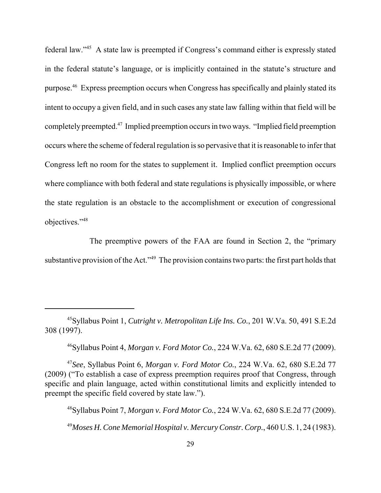federal law."45 A state law is preempted if Congress's command either is expressly stated in the federal statute's language, or is implicitly contained in the statute's structure and purpose.<sup>46</sup> Express preemption occurs when Congress has specifically and plainly stated its intent to occupy a given field, and in such cases any state law falling within that field will be completely preempted.<sup>47</sup> Implied preemption occurs in two ways. "Implied field preemption occurs where the scheme of federal regulation is so pervasive that it is reasonable to infer that Congress left no room for the states to supplement it. Implied conflict preemption occurs where compliance with both federal and state regulations is physically impossible, or where the state regulation is an obstacle to the accomplishment or execution of congressional objectives."48

 The preemptive powers of the FAA are found in Section 2, the "primary substantive provision of the Act."<sup>49</sup> The provision contains two parts: the first part holds that

46Syllabus Point 4, *Morgan v. Ford Motor Co.*, 224 W.Va. 62, 680 S.E.2d 77 (2009).

 <sup>47</sup>*See*, Syllabus Point 6, *Morgan v. Ford Motor Co.*, 224 W.Va. 62, 680 S.E.2d 77 (2009) ("To establish a case of express preemption requires proof that Congress, through specific and plain language, acted within constitutional limits and explicitly intended to preempt the specific field covered by state law.").

 48Syllabus Point 7, *Morgan v. Ford Motor Co.*, 224 W.Va. 62, 680 S.E.2d 77 (2009).  <sup>49</sup>*Moses H. Cone Memorial Hospital v. Mercury Constr. Corp.*, 460 U.S. 1, 24 (1983).

 45Syllabus Point 1, *Cutright v. Metropolitan Life Ins. Co.*, 201 W.Va. 50, 491 S.E.2d 308 (1997).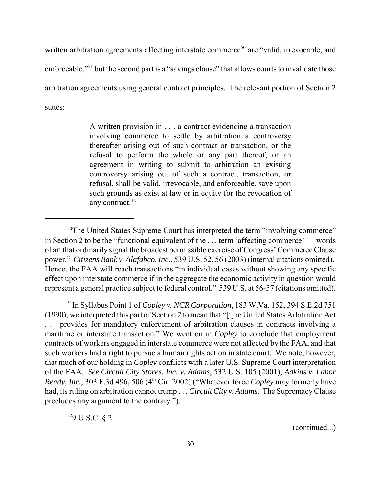written arbitration agreements affecting interstate commerce<sup>50</sup> are "valid, irrevocable, and enforceable,"<sup>51</sup> but the second part is a "savings clause" that allows courts to invalidate those arbitration agreements using general contract principles. The relevant portion of Section 2 states:

> A written provision in . . . a contract evidencing a transaction involving commerce to settle by arbitration a controversy thereafter arising out of such contract or transaction, or the refusal to perform the whole or any part thereof, or an agreement in writing to submit to arbitration an existing controversy arising out of such a contract, transaction, or refusal, shall be valid, irrevocable, and enforceable, save upon such grounds as exist at law or in equity for the revocation of any contract.<sup>52</sup>

 51In Syllabus Point 1 of *Copley v. NCR Corporation*, 183 W.Va. 152, 394 S.E.2d 751 (1990), we interpreted this part of Section 2 to mean that "[t]he United States Arbitration Act . . . provides for mandatory enforcement of arbitration clauses in contracts involving a maritime or interstate transaction." We went on in *Copley* to conclude that employment contracts of workers engaged in interstate commerce were not affected by the FAA, and that such workers had a right to pursue a human rights action in state court. We note, however, that much of our holding in *Copley* conflicts with a later U.S. Supreme Court interpretation of the FAA. *See Circuit City Stores, Inc. v. Adams*, 532 U.S. 105 (2001); *Adkins v. Labor Ready, Inc.,* 303 F.3d 496, 506 (4<sup>th</sup> Cir. 2002) ("Whatever force *Copley* may formerly have had, its ruling on arbitration cannot trump . . . *Circuit City v. Adams*. The Supremacy Clause precludes any argument to the contrary.").

529 U.S.C. § 2.

(continued...)

 $50$ The United States Supreme Court has interpreted the term "involving commerce" in Section 2 to be the "functional equivalent of the . . . term 'affecting commerce' — words of art that ordinarily signal the broadest permissible exercise of Congress' Commerce Clause power." *Citizens Bank v. Alafabco, Inc.*, 539 U.S. 52, 56 (2003) (internal citations omitted). Hence, the FAA will reach transactions "in individual cases without showing any specific effect upon interstate commerce if in the aggregate the economic activity in question would represent a general practice subject to federal control." 539 U.S. at 56-57 (citations omitted).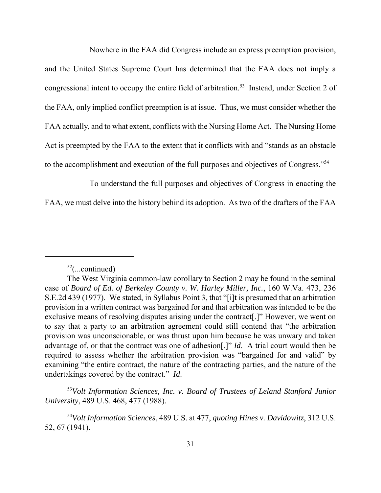Nowhere in the FAA did Congress include an express preemption provision,

 and the United States Supreme Court has determined that the FAA does not imply a congressional intent to occupy the entire field of arbitration.<sup>53</sup> Instead, under Section 2 of the FAA, only implied conflict preemption is at issue. Thus, we must consider whether the FAA actually, and to what extent, conflicts with the Nursing Home Act. The Nursing Home Act is preempted by the FAA to the extent that it conflicts with and "stands as an obstacle to the accomplishment and execution of the full purposes and objectives of Congress."<sup>54</sup>

To understand the full purposes and objectives of Congress in enacting the

FAA, we must delve into the history behind its adoption. As two of the drafters of the FAA

<sup>53</sup>Volt Information Sciences, Inc. v. Board of Trustees of Leland Stanford Junior *University*, 489 U.S. 468, 477 (1988).

 $52$ (...continued)

 The West Virginia common-law corollary to Section 2 may be found in the seminal case of *Board of Ed. of Berkeley County v. W. Harley Miller, Inc.*, 160 W.Va. 473, 236 S.E.2d 439 (1977). We stated, in Syllabus Point 3, that "[i]t is presumed that an arbitration provision in a written contract was bargained for and that arbitration was intended to be the exclusive means of resolving disputes arising under the contract[.]" However, we went on to say that a party to an arbitration agreement could still contend that "the arbitration provision was unconscionable, or was thrust upon him because he was unwary and taken advantage of, or that the contract was one of adhesion[.]" *Id*. A trial court would then be required to assess whether the arbitration provision was "bargained for and valid" by examining "the entire contract, the nature of the contracting parties, and the nature of the undertakings covered by the contract." *Id*.

 <sup>54</sup>*Volt Information Sciences*, 489 U.S. at 477, *quoting Hines v. Davidowitz*, 312 U.S. 52, 67 (1941).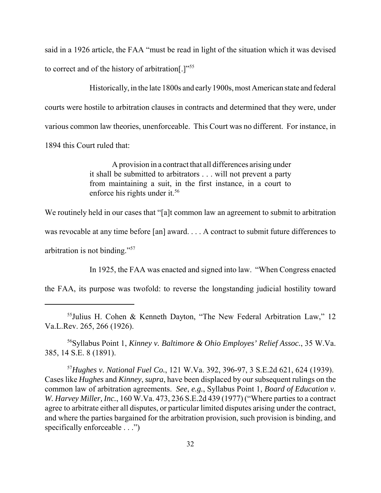said in a 1926 article, the FAA "must be read in light of the situation which it was devised to correct and of the history of arbitration[.]"<sup>55</sup>

 Historically, in the late 1800s and early1900s, most American state and federal courts were hostile to arbitration clauses in contracts and determined that they were, under various common law theories, unenforceable. This Court was no different. For instance, in 1894 this Court ruled that:

> A provision in a contract that all differences arising under it shall be submitted to arbitrators . . . will not prevent a party from maintaining a suit, in the first instance, in a court to enforce his rights under it.<sup>56</sup>

We routinely held in our cases that "[a]t common law an agreement to submit to arbitration

was revocable at any time before [an] award. . . . A contract to submit future differences to

arbitration is not binding."<sup>57</sup>

In 1925, the FAA was enacted and signed into law. "When Congress enacted

the FAA, its purpose was twofold: to reverse the longstanding judicial hostility toward

 56Syllabus Point 1, *Kinney v. Baltimore & Ohio Employes' Relief Assoc.*, 35 W.Va. 385, 14 S.E. 8 (1891).

 <sup>57</sup>*Hughes v. National Fuel Co.*, 121 W.Va. 392, 396-97, 3 S.E.2d 621, 624 (1939). Cases like *Hughes* and *Kinney*, *supra*, have been displaced by our subsequent rulings on the common law of arbitration agreements. *See*, *e.g.*, Syllabus Point 1, *Board of Education v. W. Harvey Miller, Inc.*, 160 W.Va. 473, 236 S.E.2d 439 (1977) ("Where parties to a contract agree to arbitrate either all disputes, or particular limited disputes arising under the contract, and where the parties bargained for the arbitration provision, such provision is binding, and specifically enforceable . . .")

 55Julius H. Cohen & Kenneth Dayton, "The New Federal Arbitration Law," 12 Va.L.Rev. 265, 266 (1926).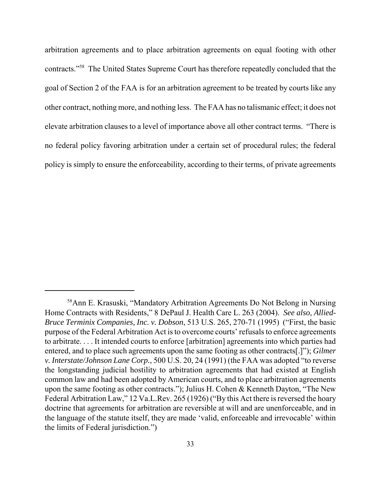arbitration agreements and to place arbitration agreements on equal footing with other contracts."<sup>58</sup> The United States Supreme Court has therefore repeatedly concluded that the goal of Section 2 of the FAA is for an arbitration agreement to be treated by courts like any other contract, nothing more, and nothing less. The FAA has no talismanic effect; it does not elevate arbitration clauses to a level of importance above all other contract terms. "There is no federal policy favoring arbitration under a certain set of procedural rules; the federal policy is simply to ensure the enforceability, according to their terms, of private agreements

 58Ann E. Krasuski, "Mandatory Arbitration Agreements Do Not Belong in Nursing Home Contracts with Residents," 8 DePaul J. Health Care L. 263 (2004). *See also*, *Allied- Bruce Terminix Companies, Inc. v. Dobson*, 513 U.S. 265, 270-71 (1995) ("First, the basic purpose of the Federal Arbitration Act is to overcome courts' refusals to enforce agreements to arbitrate. . . . It intended courts to enforce [arbitration] agreements into which parties had entered, and to place such agreements upon the same footing as other contracts[.]"); *Gilmer v. Interstate/Johnson Lane Corp.*, 500 U.S. 20, 24 (1991) (the FAA was adopted "to reverse the longstanding judicial hostility to arbitration agreements that had existed at English common law and had been adopted by American courts, and to place arbitration agreements upon the same footing as other contracts."); Julius H. Cohen & Kenneth Dayton, "The New Federal Arbitration Law," 12 Va.L.Rev. 265 (1926) ("By this Act there is reversed the hoary doctrine that agreements for arbitration are reversible at will and are unenforceable, and in the language of the statute itself, they are made 'valid, enforceable and irrevocable' within the limits of Federal jurisdiction.")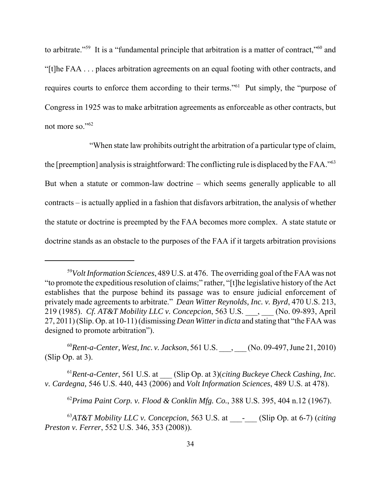to arbitrate."<sup>59</sup> It is a "fundamental principle that arbitration is a matter of contract,"<sup>60</sup> and "[t]he FAA . . . places arbitration agreements on an equal footing with other contracts, and requires courts to enforce them according to their terms."<sup>61</sup> Put simply, the "purpose of Congress in 1925 was to make arbitration agreements as enforceable as other contracts, but not more so."<sup>62</sup>

 "When state law prohibits outright the arbitration of a particular type of claim, the [preemption] analysis is straightforward: The conflicting rule is displaced by the FAA."<sup>63</sup> But when a statute or common-law doctrine – which seems generally applicable to all contracts – is actually applied in a fashion that disfavors arbitration, the analysis of whether the statute or doctrine is preempted by the FAA becomes more complex. A state statute or doctrine stands as an obstacle to the purposes of the FAA if it targets arbitration provisions

 <sup>59</sup>*Volt Information Sciences*, 489 U.S. at 476. The overriding goal of the FAA was not "to promote the expeditious resolution of claims;" rather, "[t]he legislative history of the Act establishes that the purpose behind its passage was to ensure judicial enforcement of privately made agreements to arbitrate." *Dean Witter Reynolds, Inc. v. Byrd*, 470 U.S. 213, 219 (1985). *Cf. AT&T Mobility LLC v. Concepcion*, 563 U.S. \_\_\_, \_\_\_ (No. 09-893, April 27, 2011) (Slip. Op. at 10-11) (dismissing *Dean Witter* in *dicta* and stating that "the FAA was designed to promote arbitration").

 <sup>60</sup>*Rent-a-Center, West, Inc. v. Jackson*, 561 U.S. \_\_\_, \_\_\_ (No. 09-497, June 21, 2010) (Slip Op. at 3).

 <sup>61</sup>*Rent-a-Center*, 561 U.S. at \_\_\_ (Slip Op. at 3)(*citing Buckeye Check Cashing, Inc. v. Cardegna,* 546 U.S. 440, 443 (2006) and *Volt Information Sciences*, 489 U.S. at 478).

 <sup>62</sup>*Prima Paint Corp. v. Flood & Conklin Mfg. Co.*, 388 U.S. 395, 404 n.12 (1967).

<sup>&</sup>lt;sup>63</sup>AT&T Mobility LLC v. Concepcion, 563 U.S. at \_\_\_\_\_\_\_ (Slip Op. at 6-7) (*citing Preston v. Ferrer*, 552 U.S. 346, 353 (2008)).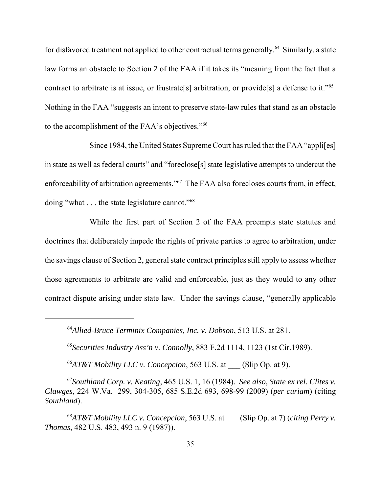for disfavored treatment not applied to other contractual terms generally.<sup>64</sup> Similarly, a state law forms an obstacle to Section 2 of the FAA if it takes its "meaning from the fact that a contract to arbitrate is at issue, or frustrate[s] arbitration, or provide[s] a defense to it."<sup>65</sup> Nothing in the FAA "suggests an intent to preserve state-law rules that stand as an obstacle to the accomplishment of the FAA's objectives."<sup>66</sup>

 Since 1984, the United States Supreme Court has ruled that the FAA "appli[es] in state as well as federal courts" and "foreclose[s] state legislative attempts to undercut the enforceability of arbitration agreements."<sup>67</sup> The FAA also forecloses courts from, in effect, doing "what . . . the state legislature cannot."<sup>68</sup>

 While the first part of Section 2 of the FAA preempts state statutes and doctrines that deliberately impede the rights of private parties to agree to arbitration, under the savings clause of Section 2, general state contract principles still apply to assess whether those agreements to arbitrate are valid and enforceable, just as they would to any other contract dispute arising under state law. Under the savings clause, "generally applicable

 <sup>64</sup>*Allied-Bruce Terminix Companies, Inc. v. Dobson*, 513 U.S. at 281.

 <sup>65</sup>*Securities Industry Ass'n v. Connolly*, 883 F.2d 1114, 1123 (1st Cir.1989).

 $^{66}$ AT&T Mobility LLC v. Concepcion, 563 U.S. at  $\_\_\_\$  (Slip Op. at 9).

 67*Southland Corp. v. Keating*, 465 U.S. 1, 16 (1984). *See also*, *State ex rel. Clites v. Clawges*, 224 W.Va. 299, 304-305, 685 S.E.2d 693, 698-99 (2009) (*per curiam*) (citing *Southland*).

 <sup>68</sup>*AT&T Mobility LLC v. Concepcion*, 563 U.S. at \_\_\_ (Slip Op. at 7) (*citing Perry v. Thomas*, 482 U.S. 483, 493 n. 9 (1987)).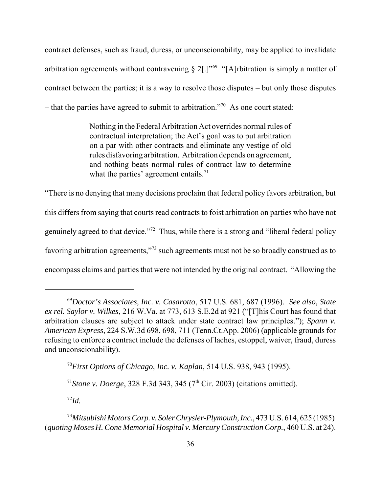contract defenses, such as fraud, duress, or unconscionability, may be applied to invalidate arbitration agreements without contravening  $\S 2$ [.]<sup>"69</sup> "[A]rbitration is simply a matter of contract between the parties; it is a way to resolve those disputes – but only those disputes – that the parties have agreed to submit to arbitration."<sup>70</sup> As one court stated:

> Nothing in the Federal Arbitration Act overrides normal rules of contractual interpretation; the Act's goal was to put arbitration on a par with other contracts and eliminate any vestige of old rules disfavoring arbitration. Arbitration depends on agreement, and nothing beats normal rules of contract law to determine what the parties' agreement entails. $71$

 "There is no denying that many decisions proclaim that federal policy favors arbitration, but this differs from saying that courts read contracts to foist arbitration on parties who have not genuinely agreed to that device."<sup>72</sup> Thus, while there is a strong and "liberal federal policy favoring arbitration agreements,"73 such agreements must not be so broadly construed as to encompass claims and parties that were not intended by the original contract. "Allowing the

 <sup>70</sup>*First Options of Chicago, Inc. v. Kaplan*, 514 U.S. 938, 943 (1995).

<sup>71</sup> Stone v. Doerge, 328 F.3d 343, 345 ( $7<sup>th</sup>$  Cir. 2003) (citations omitted).

 $^{72}Id.$ 

 <sup>73</sup>*Mitsubishi Motors Corp. v. Soler Chrysler-Plymouth, Inc.*, 473 U.S. 614, 625 (1985)  (*quoting Moses H. Cone Memorial Hospital v. Mercury Construction Corp.*, 460 U.S. at 24).

 <sup>69</sup>*Doctor's Associates, Inc. v. Casarotto*, 517 U.S. 681, 687 (1996). *See also*, *State ex rel. Saylor v. Wilkes*, 216 W.Va. at 773, 613 S.E.2d at 921 ("[T]his Court has found that arbitration clauses are subject to attack under state contract law principles."); *Spann v. American Express*, 224 S.W.3d 698, 698, 711 (Tenn.Ct.App. 2006) (applicable grounds for refusing to enforce a contract include the defenses of laches, estoppel, waiver, fraud, duress and unconscionability).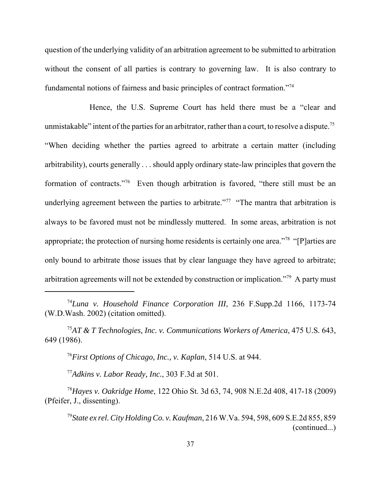question of the underlying validity of an arbitration agreement to be submitted to arbitration without the consent of all parties is contrary to governing law. It is also contrary to fundamental notions of fairness and basic principles of contract formation."<sup>74</sup>

 Hence, the U.S. Supreme Court has held there must be a "clear and unmistakable" intent of the parties for an arbitrator, rather than a court, to resolve a dispute.<sup>75</sup> "When deciding whether the parties agreed to arbitrate a certain matter (including arbitrability), courts generally . . . should apply ordinary state-law principles that govern the formation of contracts."<sup>76</sup> Even though arbitration is favored, "there still must be an underlying agreement between the parties to arbitrate."<sup>77</sup> "The mantra that arbitration is always to be favored must not be mindlessly muttered. In some areas, arbitration is not appropriate; the protection of nursing home residents is certainly one area."<sup>78</sup> "[P]arties are only bound to arbitrate those issues that by clear language they have agreed to arbitrate; arbitration agreements will not be extended by construction or implication."<sup>79</sup> A party must

 <sup>76</sup>*First Options of Chicago, Inc., v. Kaplan*, 514 U.S. at 944.

 <sup>77</sup>*Adkins v. Labor Ready, Inc.*, 303 F.3d at 501.

 <sup>78</sup>*Hayes v. Oakridge Home*, 122 Ohio St. 3d 63, 74, 908 N.E.2d 408, 417-18 (2009) (Pfeifer, J., dissenting).

 <sup>74</sup>*Luna v. Household Finance Corporation III*, 236 F.Supp.2d 1166, 1173-74 (W.D.Wash. 2002) (citation omitted).

 <sup>75</sup>*AT & T Technologies, Inc. v. Communications Workers of America*, 475 U.S. 643, 649 (1986).

 <sup>79</sup>*State ex rel. City Holding Co. v. Kaufman*, 216 W.Va. 594, 598, 609 S.E.2d 855, 859 (continued...)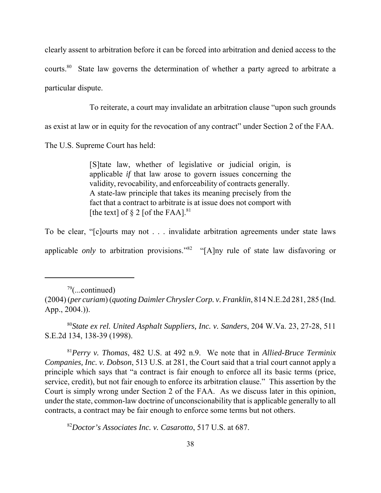clearly assent to arbitration before it can be forced into arbitration and denied access to the courts. $80$  State law governs the determination of whether a party agreed to arbitrate a particular dispute.

To reiterate, a court may invalidate an arbitration clause "upon such grounds

as exist at law or in equity for the revocation of any contract" under Section 2 of the FAA.

The U.S. Supreme Court has held:

 [S]tate law, whether of legislative or judicial origin, is applicable *if* that law arose to govern issues concerning the validity, revocability, and enforceability of contracts generally. A state-law principle that takes its meaning precisely from the fact that a contract to arbitrate is at issue does not comport with [the text] of  $\S 2$  [of the FAA].<sup>81</sup>

 To be clear, "[c]ourts may not . . . invalidate arbitration agreements under state laws applicable *only* to arbitration provisions."<sup>82</sup> "[A]ny rule of state law disfavoring or

 $79$ (...continued)

 <sup>80</sup>*State ex rel. United Asphalt Suppliers, Inc. v. Sanders*, 204 W.Va. 23, 27-28, 511 S.E.2d 134, 138-39 (1998).

 <sup>81</sup>*Perry v. Thomas*, 482 U.S. at 492 n.9. We note that in *Allied-Bruce Terminix Companies, Inc. v. Dobson*, 513 U.S. at 281, the Court said that a trial court cannot apply a principle which says that "a contract is fair enough to enforce all its basic terms (price, service, credit), but not fair enough to enforce its arbitration clause." This assertion by the Court is simply wrong under Section 2 of the FAA. As we discuss later in this opinion, under the state, common-law doctrine of unconscionability that is applicable generally to all contracts, a contract may be fair enough to enforce some terms but not others.

 <sup>82</sup>*Doctor's Associates Inc. v. Casarotto*, 517 U.S. at 687.

 (2004) (*per curiam*) (*quoting Daimler Chrysler Corp. v. Franklin*, 814 N.E.2d 281, 285 (Ind. App., 2004.)).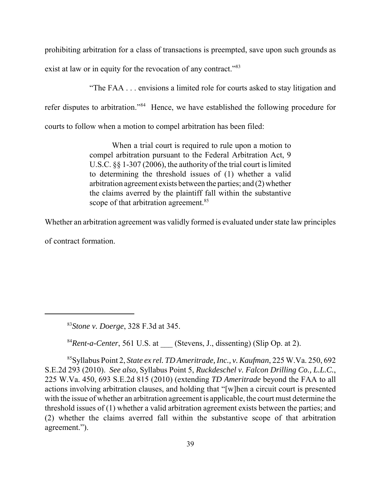prohibiting arbitration for a class of transactions is preempted, save upon such grounds as exist at law or in equity for the revocation of any contract."<sup>83</sup>

"The FAA . . . envisions a limited role for courts asked to stay litigation and

refer disputes to arbitration."<sup>84</sup> Hence, we have established the following procedure for

courts to follow when a motion to compel arbitration has been filed:

 When a trial court is required to rule upon a motion to compel arbitration pursuant to the Federal Arbitration Act, 9 U.S.C. §§ 1-307 (2006), the authority of the trial court is limited to determining the threshold issues of (1) whether a valid arbitration agreement exists between the parties; and (2) whether the claims averred by the plaintiff fall within the substantive scope of that arbitration agreement.<sup>85</sup>

Whether an arbitration agreement was validly formed is evaluated under state law principles

of contract formation.

<sup>84</sup>*Rent-a-Center*, 561 U.S. at \_\_\_ (Stevens, J., dissenting) (Slip Op. at 2).

 85Syllabus Point 2, *State ex rel. TD Ameritrade, Inc., v. Kaufman*, 225 W.Va. 250, 692 S.E.2d 293 (2010). *See also*, Syllabus Point 5, *Ruckdeschel v. Falcon Drilling Co., L.L.C.*, 225 W.Va. 450, 693 S.E.2d 815 (2010) (extending *TD Ameritrade* beyond the FAA to all actions involving arbitration clauses, and holding that "[w]hen a circuit court is presented with the issue of whether an arbitration agreement is applicable, the court must determine the threshold issues of (1) whether a valid arbitration agreement exists between the parties; and (2) whether the claims averred fall within the substantive scope of that arbitration agreement.").

 <sup>83</sup>*Stone v. Doerge*, 328 F.3d at 345.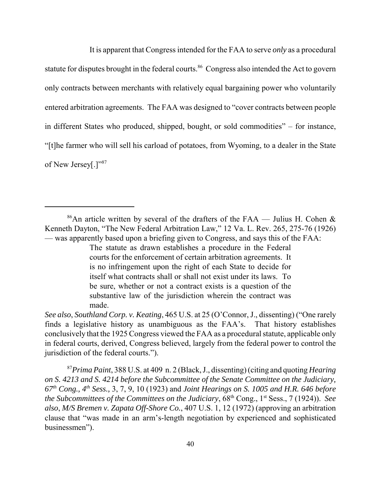It is apparent that Congress intended for the FAA to serve *only* as a procedural statute for disputes brought in the federal courts.<sup>86</sup> Congress also intended the Act to govern only contracts between merchants with relatively equal bargaining power who voluntarily entered arbitration agreements. The FAA was designed to "cover contracts between people in different States who produced, shipped, bought, or sold commodities" – for instance, "[t]he farmer who will sell his carload of potatoes, from Wyoming, to a dealer in the State of New Jersey[.]"87

 *See also*, *Southland Corp. v. Keating*, 465 U.S. at 25 (O'Connor, J., dissenting) ("One rarely finds a legislative history as unambiguous as the FAA's. That history establishes conclusively that the 1925 Congress viewed the FAA as a procedural statute, applicable only in federal courts, derived, Congress believed, largely from the federal power to control the jurisdiction of the federal courts.").

 <sup>87</sup>*Prima Paint*, 388 U.S. at 409 n. 2 (Black, J., dissenting) (citing and quoting *Hearing on S. 4213 and S. 4214 before the Subcommittee of the Senate Committee on the Judiciary, 67th Cong., 4th Sess.,* 3, 7, 9, 10 (1923) and *Joint Hearings on S. 1005 and H.R. 646 before the Subcommittees of the Committees on the Judiciary*,  $68<sup>th</sup>$  Cong., 1<sup>st</sup> Sess., 7 (1924)). *See also*, *M/S Bremen v. Zapata Off-Shore Co.*, 407 U.S. 1, 12 (1972) (approving an arbitration clause that "was made in an arm's-length negotiation by experienced and sophisticated businessmen").

<sup>&</sup>lt;sup>86</sup>An article written by several of the drafters of the FAA — Julius H. Cohen  $\&$  Kenneth Dayton, "The New Federal Arbitration Law," 12 Va. L. Rev. 265, 275-76 (1926) — was apparently based upon a briefing given to Congress, and says this of the FAA:

 The statute as drawn establishes a procedure in the Federal courts for the enforcement of certain arbitration agreements. It is no infringement upon the right of each State to decide for itself what contracts shall or shall not exist under its laws. To be sure, whether or not a contract exists is a question of the substantive law of the jurisdiction wherein the contract was made.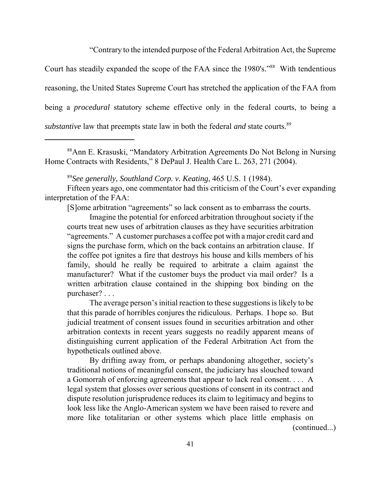"Contrary to the intended purpose of the Federal Arbitration Act, the Supreme

Court has steadily expanded the scope of the FAA since the 1980's."<sup>88</sup> With tendentious reasoning, the United States Supreme Court has stretched the application of the FAA from being a *procedural* statutory scheme effective only in the federal courts, to being a substantive law that preempts state law in both the federal *and* state courts.<sup>89</sup>

 88Ann E. Krasuski, "Mandatory Arbitration Agreements Do Not Belong in Nursing Home Contracts with Residents," 8 DePaul J. Health Care L. 263, 271 (2004).

 <sup>89</sup>*See generally*, *Southland Corp. v. Keating*, 465 U.S. 1 (1984).

 Fifteen years ago, one commentator had this criticism of the Court's ever expanding interpretation of the FAA:

[S]ome arbitration "agreements" so lack consent as to embarrass the courts.

 Imagine the potential for enforced arbitration throughout society if the courts treat new uses of arbitration clauses as they have securities arbitration "agreements." A customer purchases a coffee pot with a major credit card and signs the purchase form, which on the back contains an arbitration clause. If the coffee pot ignites a fire that destroys his house and kills members of his family, should he really be required to arbitrate a claim against the manufacturer? What if the customer buys the product via mail order? Is a written arbitration clause contained in the shipping box binding on the purchaser? . . .

 The average person's initial reaction to these suggestions is likely to be that this parade of horribles conjures the ridiculous. Perhaps. I hope so. But judicial treatment of consent issues found in securities arbitration and other arbitration contexts in recent years suggests no readily apparent means of distinguishing current application of the Federal Arbitration Act from the hypotheticals outlined above.

 By drifting away from, or perhaps abandoning altogether, society's traditional notions of meaningful consent, the judiciary has slouched toward a Gomorrah of enforcing agreements that appear to lack real consent. . . . A legal system that glosses over serious questions of consent in its contract and dispute resolution jurisprudence reduces its claim to legitimacy and begins to look less like the Anglo-American system we have been raised to revere and more like totalitarian or other systems which place little emphasis on (continued...)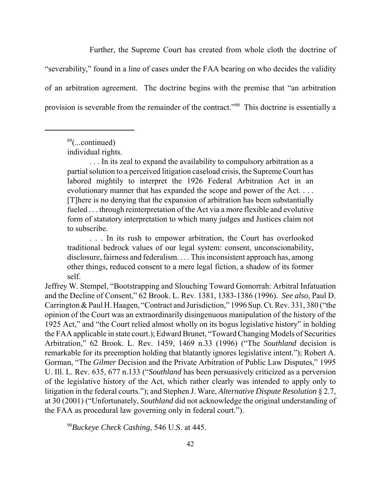Further, the Supreme Court has created from whole cloth the doctrine of "severability," found in a line of cases under the FAA bearing on who decides the validity of an arbitration agreement. The doctrine begins with the premise that "an arbitration provision is severable from the remainder of the contract."<sup>90</sup> This doctrine is essentially a

 . . . In its zeal to expand the availability to compulsory arbitration as a partial solution to a perceived litigation caseload crisis, the Supreme Court has labored mightily to interpret the 1926 Federal Arbitration Act in an evolutionary manner that has expanded the scope and power of the Act. . . . [T]here is no denying that the expansion of arbitration has been substantially fueled . . . through reinterpretation of the Act via a more flexible and evolutive form of statutory interpretation to which many judges and Justices claim not to subscribe.

 . . . In its rush to empower arbitration, the Court has overlooked traditional bedrock values of our legal system: consent, unconscionability, disclosure, fairness and federalism. . . . This inconsistent approach has, among other things, reduced consent to a mere legal fiction, a shadow of its former self.

 Jeffrey W. Stempel, "Bootstrapping and Slouching Toward Gomorrah: Arbitral Infatuation and the Decline of Consent," 62 Brook. L. Rev. 1381, 1383-1386 (1996). *See also*, Paul D. Carrington & Paul H. Haagen, "Contract and Jurisdiction," 1996 Sup. Ct. Rev. 331, 380 ("the opinion of the Court was an extraordinarily disingenuous manipulation of the history of the 1925 Act," and "the Court relied almost wholly on its bogus legislative history" in holding the FAA applicable in state court.); Edward Brunet, "Toward Changing Models of Securities Arbitration," 62 Brook. L. Rev. 1459, 1469 n.33 (1996) ("The *Southland* decision is remarkable for its preemption holding that blatantly ignores legislative intent."); Robert A. Gorman, "The *Gilmer* Decision and the Private Arbitration of Public Law Disputes," 1995 U. Ill. L. Rev. 635, 677 n.133 ("*Southland* has been persuasively criticized as a perversion of the legislative history of the Act, which rather clearly was intended to apply only to litigation in the federal courts."); and Stephen J. Ware, *Alternative Dispute Resolution* § 2.7, at 30 (2001) ("Unfortunately, *Southland* did not acknowledge the original understanding of the FAA as procedural law governing only in federal court.").

 <sup>90</sup>*Buckeye Check Cashing*, 546 U.S. at 445.

 $89$ (...continued)

individual rights.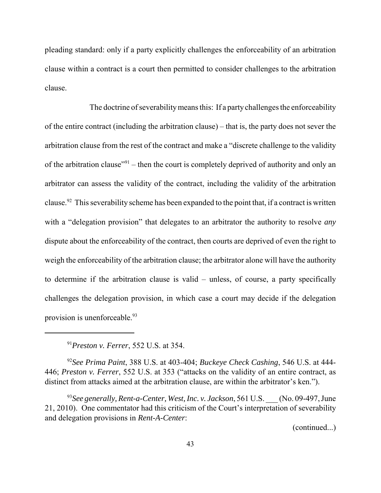pleading standard: only if a party explicitly challenges the enforceability of an arbitration clause within a contract is a court then permitted to consider challenges to the arbitration clause.

 The doctrine of severability means this: If a partychallenges the enforceability of the entire contract (including the arbitration clause) – that is, the party does not sever the arbitration clause from the rest of the contract and make a "discrete challenge to the validity of the arbitration clause<sup> $291$ </sup> – then the court is completely deprived of authority and only an arbitrator can assess the validity of the contract, including the validity of the arbitration clause.<sup>92</sup> This severability scheme has been expanded to the point that, if a contract is written with a "delegation provision" that delegates to an arbitrator the authority to resolve *any*  dispute about the enforceability of the contract, then courts are deprived of even the right to weigh the enforceability of the arbitration clause; the arbitrator alone will have the authority to determine if the arbitration clause is valid – unless, of course, a party specifically challenges the delegation provision, in which case a court may decide if the delegation provision is unenforceable.<sup>93</sup>

 <sup>91</sup>*Preston v. Ferrer*, 552 U.S. at 354.

 <sup>92</sup>*See Prima Paint*, 388 U.S. at 403-404; *Buckeye Check Cashing*, 546 U.S. at 444-  446; *Preston v. Ferrer*, 552 U.S. at 353 ("attacks on the validity of an entire contract, as distinct from attacks aimed at the arbitration clause, are within the arbitrator's ken.").

<sup>93</sup>See generally, Rent-a-Center, West, Inc. v. Jackson, 561 U.S. \_\_\_ (No. 09-497, June 21, 2010). One commentator had this criticism of the Court's interpretation of severability and delegation provisions in *Rent-A-Center*:

(continued...)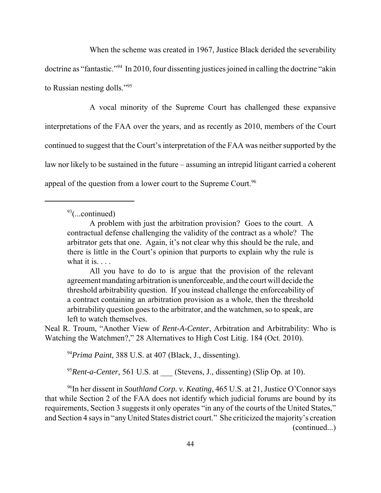When the scheme was created in 1967, Justice Black derided the severability

doctrine as "fantastic."<sup>94</sup> In 2010, four dissenting justices joined in calling the doctrine "akin to Russian nesting dolls."95

 A vocal minority of the Supreme Court has challenged these expansive interpretations of the FAA over the years, and as recently as 2010, members of the Court continued to suggest that the Court's interpretation of the FAA was neither supported by the law nor likely to be sustained in the future – assuming an intrepid litigant carried a coherent appeal of the question from a lower court to the Supreme Court.<sup>96</sup>

 All you have to do to is argue that the provision of the relevant agreement mandating arbitration is unenforceable, and the court will decide the threshold arbitrability question. If you instead challenge the enforceability of a contract containing an arbitration provision as a whole, then the threshold arbitrability question goes to the arbitrator, and the watchmen, so to speak, are left to watch themselves.

 Neal R. Troum, "Another View of *Rent-A-Center*, Arbitration and Arbitrability: Who is Watching the Watchmen?," 28 Alternatives to High Cost Litig. 184 (Oct. 2010).

<sup>94</sup>*Prima Paint*, 388 U.S. at 407 (Black, J., dissenting).

<sup>95</sup>*Rent-a-Center,* 561 U.S. at \_\_\_ (Stevens, J., dissenting) (Slip Op. at 10).

 96In her dissent in *Southland Corp. v. Keating*, 465 U.S. at 21, Justice O'Connor says that while Section 2 of the FAA does not identify which judicial forums are bound by its requirements, Section 3 suggests it only operates "in any of the courts of the United States," and Section 4 says in "any United States district court." She criticized the majority's creation (continued...)

 $93$ (...continued)

 A problem with just the arbitration provision? Goes to the court. A contractual defense challenging the validity of the contract as a whole? The arbitrator gets that one. Again, it's not clear why this should be the rule, and there is little in the Court's opinion that purports to explain why the rule is what it is.  $\ldots$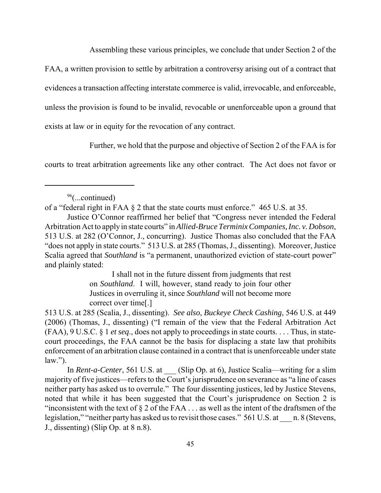Assembling these various principles, we conclude that under Section 2 of the

FAA, a written provision to settle by arbitration a controversy arising out of a contract that

evidences a transaction affecting interstate commerce is valid, irrevocable, and enforceable,

unless the provision is found to be invalid, revocable or unenforceable upon a ground that

exists at law or in equity for the revocation of any contract.

Further, we hold that the purpose and objective of Section 2 of the FAA is for

courts to treat arbitration agreements like any other contract. The Act does not favor or

 I shall not in the future dissent from judgments that rest on *Southland*. I will, however, stand ready to join four other Justices in overruling it, since *Southland* will not become more correct over time[.]

 $96$ (...continued)

 of a "federal right in FAA § 2 that the state courts must enforce." 465 U.S. at 35.

 Justice O'Connor reaffirmed her belief that "Congress never intended the Federal Arbitration Act to apply in state courts" in *Allied-Bruce Terminix Companies, Inc. v. Dobson*, 513 U.S. at 282 (O'Connor, J., concurring). Justice Thomas also concluded that the FAA "does not apply in state courts." 513 U.S. at 285 (Thomas, J., dissenting). Moreover, Justice Scalia agreed that *Southland* is "a permanent, unauthorized eviction of state-court power" and plainly stated:

 513 U.S. at 285 (Scalia, J., dissenting). *See also*, *Buckeye Check Cashing*, 546 U.S. at 449 (2006) (Thomas, J., dissenting) ("I remain of the view that the Federal Arbitration Act (FAA), 9 U.S.C. § 1 *et seq*., does not apply to proceedings in state courts. . . . Thus, in state- court proceedings, the FAA cannot be the basis for displacing a state law that prohibits enforcement of an arbitration clause contained in a contract that is unenforceable under state  $law.'$ ).

In *Rent-a-Center*, 561 U.S. at \_\_\_ (Slip Op. at 6), Justice Scalia—writing for a slim majority of five justices—refers to the Court's jurisprudence on severance as "a line of cases neither party has asked us to overrule." The four dissenting justices, led by Justice Stevens, noted that while it has been suggested that the Court's jurisprudence on Section 2 is "inconsistent with the text of  $\S 2$  of the FAA . . . as well as the intent of the draftsmen of the legislation," "neither party has asked us to revisit those cases." 561 U.S. at \_\_\_ n. 8 (Stevens, J., dissenting) (Slip Op. at 8 n.8).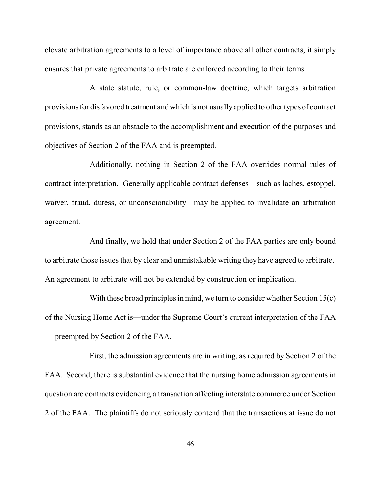elevate arbitration agreements to a level of importance above all other contracts; it simply ensures that private agreements to arbitrate are enforced according to their terms.

 A state statute, rule, or common-law doctrine, which targets arbitration provisions for disfavored treatment and which is not usually applied to other types of contract provisions, stands as an obstacle to the accomplishment and execution of the purposes and objectives of Section 2 of the FAA and is preempted.

 Additionally, nothing in Section 2 of the FAA overrides normal rules of contract interpretation. Generally applicable contract defenses—such as laches, estoppel, waiver, fraud, duress, or unconscionability—may be applied to invalidate an arbitration agreement.

 And finally, we hold that under Section 2 of the FAA parties are only bound to arbitrate those issues that by clear and unmistakable writing they have agreed to arbitrate. An agreement to arbitrate will not be extended by construction or implication.

 With these broad principles in mind, we turn to consider whether Section 15(c) of the Nursing Home Act is—under the Supreme Court's current interpretation of the FAA — preempted by Section 2 of the FAA.

 First, the admission agreements are in writing, as required by Section 2 of the FAA. Second, there is substantial evidence that the nursing home admission agreements in question are contracts evidencing a transaction affecting interstate commerce under Section 2 of the FAA. The plaintiffs do not seriously contend that the transactions at issue do not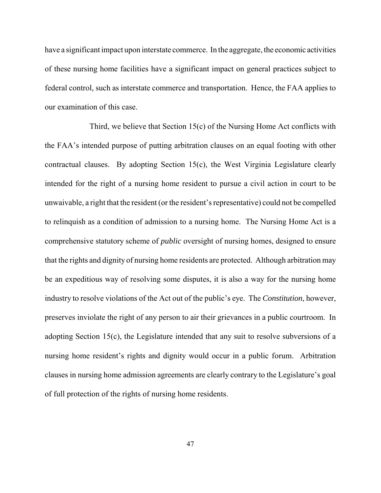have a significant impact upon interstate commerce. In the aggregate, the economic activities of these nursing home facilities have a significant impact on general practices subject to federal control, such as interstate commerce and transportation. Hence, the FAA applies to our examination of this case.

 Third, we believe that Section 15(c) of the Nursing Home Act conflicts with the FAA's intended purpose of putting arbitration clauses on an equal footing with other contractual clauses. By adopting Section 15(c), the West Virginia Legislature clearly intended for the right of a nursing home resident to pursue a civil action in court to be unwaivable, a right that the resident (or the resident's representative) could not be compelled to relinquish as a condition of admission to a nursing home. The Nursing Home Act is a comprehensive statutory scheme of *public* oversight of nursing homes, designed to ensure that the rights and dignity of nursing home residents are protected. Although arbitration may be an expeditious way of resolving some disputes, it is also a way for the nursing home industry to resolve violations of the Act out of the public's eye. The *Constitution*, however, preserves inviolate the right of any person to air their grievances in a public courtroom. In adopting Section 15(c), the Legislature intended that any suit to resolve subversions of a nursing home resident's rights and dignity would occur in a public forum. Arbitration clauses in nursing home admission agreements are clearly contrary to the Legislature's goal of full protection of the rights of nursing home residents.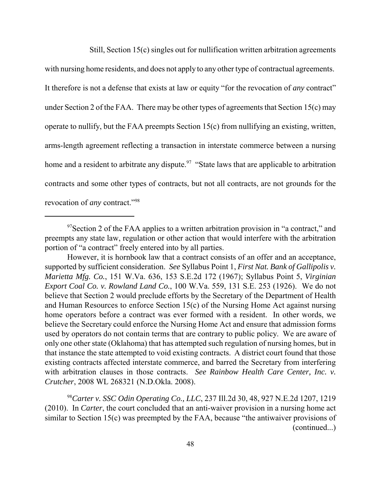Still, Section 15(c) singles out for nullification written arbitration agreements

 with nursing home residents, and does not apply to any other type of contractual agreements. It therefore is not a defense that exists at law or equity "for the revocation of *any* contract" under Section 2 of the FAA. There may be other types of agreements that Section 15(c) may operate to nullify, but the FAA preempts Section 15(c) from nullifying an existing, written, arms-length agreement reflecting a transaction in interstate commerce between a nursing home and a resident to arbitrate any dispute.<sup>97</sup> "State laws that are applicable to arbitration contracts and some other types of contracts, but not all contracts, are not grounds for the revocation of *any* contract."98

 <sup>98</sup>*Carter v. SSC Odin Operating Co., LLC*, 237 Ill.2d 30, 48, 927 N.E.2d 1207, 1219 (2010). In *Carter*, the court concluded that an anti-waiver provision in a nursing home act similar to Section 15(c) was preempted by the FAA, because "the antiwaiver provisions of (continued...)

 $97$ Section 2 of the FAA applies to a written arbitration provision in "a contract," and preempts any state law, regulation or other action that would interfere with the arbitration portion of "a contract" freely entered into by all parties.

 However, it is hornbook law that a contract consists of an offer and an acceptance, supported by sufficient consideration. *See* Syllabus Point 1, *First Nat. Bank of Gallipolis v. Marietta Mfg. Co.*, 151 W.Va. 636, 153 S.E.2d 172 (1967); Syllabus Point 5, *Virginian Export Coal Co. v. Rowland Land Co.*, 100 W.Va. 559, 131 S.E. 253 (1926). We do not believe that Section 2 would preclude efforts by the Secretary of the Department of Health and Human Resources to enforce Section 15(c) of the Nursing Home Act against nursing home operators before a contract was ever formed with a resident. In other words, we believe the Secretary could enforce the Nursing Home Act and ensure that admission forms used by operators do not contain terms that are contrary to public policy. We are aware of only one other state (Oklahoma) that has attempted such regulation of nursing homes, but in that instance the state attempted to void existing contracts. A district court found that those existing contracts affected interstate commerce, and barred the Secretary from interfering with arbitration clauses in those contracts. *See Rainbow Health Care Center, Inc. v. Crutcher*, 2008 WL 268321 (N.D.Okla. 2008).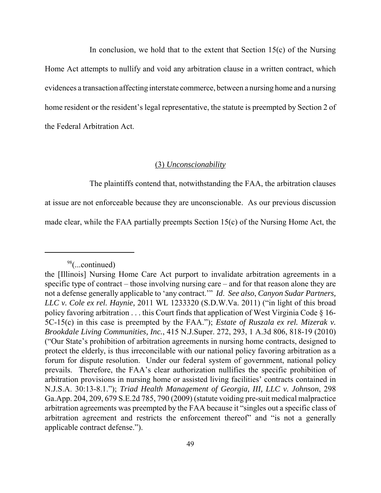In conclusion, we hold that to the extent that Section  $15(c)$  of the Nursing Home Act attempts to nullify and void any arbitration clause in a written contract, which evidences a transaction affecting interstate commerce, between a nursing home and a nursing home resident or the resident's legal representative, the statute is preempted by Section 2 of the Federal Arbitration Act.

## (3) *Unconscionability*

The plaintiffs contend that, notwithstanding the FAA, the arbitration clauses

at issue are not enforceable because they are unconscionable. As our previous discussion

made clear, while the FAA partially preempts Section 15(c) of the Nursing Home Act, the

 $98$ (...continued)

 the [Illinois] Nursing Home Care Act purport to invalidate arbitration agreements in a specific type of contract – those involving nursing care – and for that reason alone they are not a defense generally applicable to 'any contract.'" *Id*. *See also*, *Canyon Sudar Partners, LLC v. Cole ex rel. Haynie,* 2011 WL 1233320 (S.D.W.Va. 2011) ("in light of this broad policy favoring arbitration . . . this Court finds that application of West Virginia Code § 16- 5C-15(c) in this case is preempted by the FAA."); *Estate of Ruszala ex rel. Mizerak v. Brookdale Living Communities, Inc.*, 415 N.J.Super. 272, 293, 1 A.3d 806, 818-19 (2010) ("Our State's prohibition of arbitration agreements in nursing home contracts, designed to protect the elderly, is thus irreconcilable with our national policy favoring arbitration as a forum for dispute resolution. Under our federal system of government, national policy prevails. Therefore, the FAA's clear authorization nullifies the specific prohibition of arbitration provisions in nursing home or assisted living facilities' contracts contained in  N.J.S.A. 30:13-8.1."); *Triad Health Management of Georgia, III, LLC v. Johnson*, 298 Ga.App. 204, 209, 679 S.E.2d 785, 790 (2009) (statute voiding pre-suit medical malpractice arbitration agreements was preempted by the FAA because it "singles out a specific class of arbitration agreement and restricts the enforcement thereof" and "is not a generally applicable contract defense.").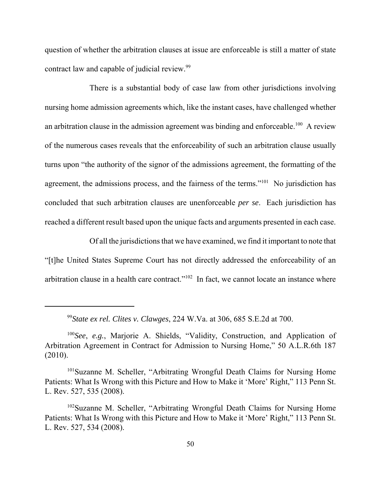question of whether the arbitration clauses at issue are enforceable is still a matter of state contract law and capable of judicial review.<sup>99</sup>

 There is a substantial body of case law from other jurisdictions involving nursing home admission agreements which, like the instant cases, have challenged whether an arbitration clause in the admission agreement was binding and enforceable.<sup>100</sup> A review of the numerous cases reveals that the enforceability of such an arbitration clause usually turns upon "the authority of the signor of the admissions agreement, the formatting of the agreement, the admissions process, and the fairness of the terms."<sup>101</sup> No jurisdiction has concluded that such arbitration clauses are unenforceable *per se*. Each jurisdiction has reached a different result based upon the unique facts and arguments presented in each case.

 Of all the jurisdictions that we have examined, we find it important to note that "[t]he United States Supreme Court has not directly addressed the enforceability of an arbitration clause in a health care contract."<sup>102</sup> In fact, we cannot locate an instance where

 <sup>99</sup>*State ex rel. Clites v. Clawges*, 224 W.Va. at 306, 685 S.E.2d at 700.

 <sup>100</sup>*See*, *e.g.*, Marjorie A. Shields, "Validity, Construction, and Application of Arbitration Agreement in Contract for Admission to Nursing Home," 50 A.L.R.6th 187 (2010).

<sup>&</sup>lt;sup>101</sup>Suzanne M. Scheller, "Arbitrating Wrongful Death Claims for Nursing Home Patients: What Is Wrong with this Picture and How to Make it 'More' Right," 113 Penn St. L. Rev. 527, 535 (2008).

<sup>&</sup>lt;sup>102</sup>Suzanne M. Scheller, "Arbitrating Wrongful Death Claims for Nursing Home Patients: What Is Wrong with this Picture and How to Make it 'More' Right," 113 Penn St. L. Rev. 527, 534 (2008).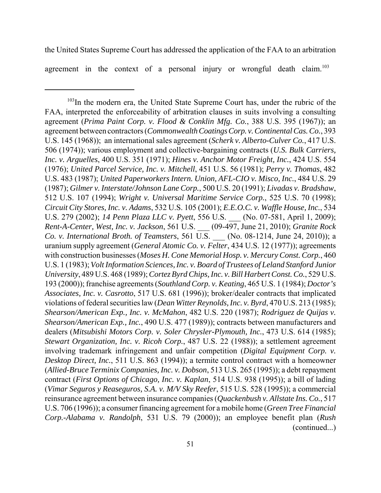the United States Supreme Court has addressed the application of the FAA to an arbitration agreement in the context of a personal injury or wrongful death claim.<sup>103</sup>

 103In the modern era, the United State Supreme Court has, under the rubric of the FAA, interpreted the enforceability of arbitration clauses in suits involving a consulting  agreement (*Prima Paint Corp. v. Flood & Conklin Mfg. Co.*, 388 U.S. 395 (1967)); an agreement between contractors (*Commonwealth Coatings Corp. v. Continental Cas. Co.*, 393 U.S. 145 (1968)); an international sales agreement (*Scherk v. Alberto-Culver Co.*, 417 U.S. 506 (1974)); various employment and collective-bargaining contracts (*U.S. Bulk Carriers, Inc. v. Arguelles*, 400 U.S. 351 (1971); *Hines v. Anchor Motor Freight, Inc.*, 424 U.S. 554  (1976); *United Parcel Service, Inc. v. Mitchell*, 451 U.S. 56 (1981); *Perry v. Thomas*, 482 U.S. 483 (1987); *United Paperworkers Intern. Union, AFL-CIO v. Misco, Inc.*, 484 U.S. 29  (1987); *Gilmer v. Interstate/Johnson Lane Corp.*, 500 U.S. 20 (1991); *Livadas v. Bradshaw*, 512 U.S. 107 (1994); *Wright v. Universal Maritime Service Corp.*, 525 U.S. 70 (1998);  *Circuit City Stores, Inc. v. Adams*, 532 U.S. 105 (2001); *E.E.O.C. v. Waffle House, Inc.*, 534 U.S. 279 (2002); *14 Penn Plaza LLC v. Pyett*, 556 U.S. \_\_\_ (No. 07-581, April 1, 2009);  *Rent-A-Center, West, Inc. v. Jackson*, 561 U.S. \_\_\_ (09-497, June 21, 2010); *Granite Rock Co. v. International Broth. of Teamsters*, 561 U.S. \_\_\_ (No. 08-1214, June 24, 2010)); a uranium supply agreement (*General Atomic Co. v. Felter*, 434 U.S. 12 (1977)); agreements with construction businesses (*Moses H. Cone Memorial Hosp. v. Mercury Const. Corp.*, 460 U.S. 1 (1983); *Volt Information Sciences, Inc. v. Board of Trustees of Leland Stanford Junior University*, 489 U.S. 468 (1989); *Cortez Byrd Chips, Inc. v. Bill Harbert Const. Co.*, 529 U.S. 193 (2000)); franchise agreements (*Southland Corp. v. Keating*, 465 U.S. 1 (1984); *Doctor's Associates, Inc. v. Casrotto*, 517 U.S. 681 (1996)); broker/dealer contracts that implicated violations of federal securities law (*Dean Witter Reynolds, Inc. v. Byrd*, 470 U.S. 213 (1985);  *Shearson/American Exp., Inc. v. McMahon*, 482 U.S. 220 (1987); *Rodriguez de Quijas v. Shearson/American Exp., Inc.*, 490 U.S. 477 (1989)); contracts between manufacturers and  dealers (*Mitsubishi Motors Corp. v. Soler Chrysler-Plymouth, Inc.*, 473 U.S. 614 (1985);  *Stewart Organization, Inc. v. Ricoh Corp.*, 487 U.S. 22 (1988)); a settlement agreement involving trademark infringement and unfair competition (*Digital Equipment Corp. v. Desktop Direct, Inc.*, 511 U.S. 863 (1994)); a termite control contract with a homeowner  (*Allied-Bruce Terminix Companies, Inc. v. Dobson*, 513 U.S. 265 (1995)); a debt repayment  contract (*First Options of Chicago, Inc. v. Kaplan*, 514 U.S. 938 (1995)); a bill of lading  (*Vimar Seguros y Reaseguros, S.A. v. M/V Sky Reefer*, 515 U.S. 528 (1995)); a commercial reinsurance agreement between insurance companies (*Quackenbush v. Allstate Ins. Co.*, 517 U.S. 706 (1996)); a consumer financing agreement for a mobile home (*Green Tree Financial Corp.-Alabama v. Randolph*, 531 U.S. 79 (2000)); an employee benefit plan (*Rush*  (continued...)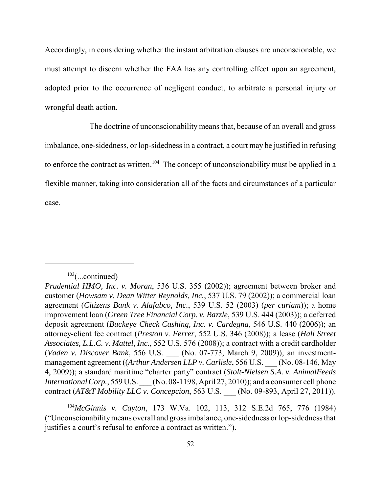Accordingly, in considering whether the instant arbitration clauses are unconscionable, we must attempt to discern whether the FAA has any controlling effect upon an agreement, adopted prior to the occurrence of negligent conduct, to arbitrate a personal injury or wrongful death action.

 The doctrine of unconscionability means that, because of an overall and gross imbalance, one-sidedness, or lop-sidedness in a contract, a court may be justified in refusing to enforce the contract as written.<sup>104</sup> The concept of unconscionability must be applied in a flexible manner, taking into consideration all of the facts and circumstances of a particular case.

 <sup>104</sup>*McGinnis v. Cayton*, 173 W.Va. 102, 113, 312 S.E.2d 765, 776 (1984) ("Unconscionabilitymeans overall and gross imbalance, one-sidedness or lop-sidedness that justifies a court's refusal to enforce a contract as written.").

 $103$ (...continued)

 *Prudential HMO, Inc. v. Moran*, 536 U.S. 355 (2002)); agreement between broker and  customer (*Howsam v. Dean Witter Reynolds, Inc.*, 537 U.S. 79 (2002)); a commercial loan  agreement (*Citizens Bank v. Alafabco, Inc.*, 539 U.S. 52 (2003) (*per curiam*)); a home improvement loan (*Green Tree Financial Corp. v. Bazzle*, 539 U.S. 444 (2003)); a deferred deposit agreement (*Buckeye Check Cashing, Inc. v. Cardegna*, 546 U.S. 440 (2006)); an attorney-client fee contract (*Preston v. Ferrer*, 552 U.S. 346 (2008)); a lease (*Hall Street Associates, L.L.C. v. Mattel, Inc.*, 552 U.S. 576 (2008)); a contract with a credit cardholder  (*Vaden v. Discover Bank*, 556 U.S. \_\_\_ (No. 07-773, March 9, 2009)); an investment- management agreement ((*Arthur Andersen LLP v. Carlisle*, 556 U.S. \_\_\_ (No. 08-146, May 4, 2009)); a standard maritime "charter party" contract (*Stolt-Nielsen S.A. v. AnimalFeeds International Corp.*, 559 U.S. \_\_\_ (No. 08-1198, April 27, 2010)); and a consumer cell phone  contract (*AT&T Mobility LLC v. Concepcion*, 563 U.S. \_\_\_ (No. 09-893, April 27, 2011)).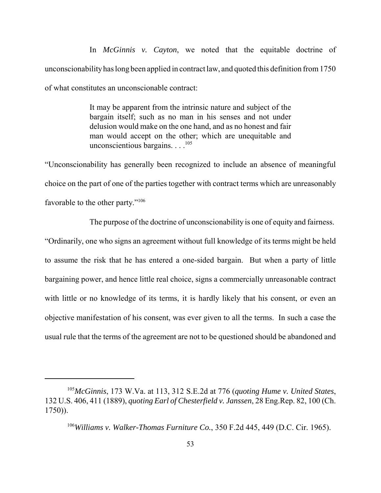In *McGinnis v. Cayton*, we noted that the equitable doctrine of unconscionabilityhas long been applied in contract law, and quoted this definition from 1750 of what constitutes an unconscionable contract:

> It may be apparent from the intrinsic nature and subject of the bargain itself; such as no man in his senses and not under delusion would make on the one hand, and as no honest and fair man would accept on the other; which are unequitable and unconscientious bargains.  $\ldots^{105}$

 "Unconscionability has generally been recognized to include an absence of meaningful choice on the part of one of the parties together with contract terms which are unreasonably favorable to the other party."<sup>106</sup>

 The purpose of the doctrine of unconscionability is one of equity and fairness. "Ordinarily, one who signs an agreement without full knowledge of its terms might be held to assume the risk that he has entered a one-sided bargain. But when a party of little bargaining power, and hence little real choice, signs a commercially unreasonable contract with little or no knowledge of its terms, it is hardly likely that his consent, or even an objective manifestation of his consent, was ever given to all the terms. In such a case the usual rule that the terms of the agreement are not to be questioned should be abandoned and

 <sup>105</sup>*McGinnis*, 173 W.Va. at 113, 312 S.E.2d at 776 (*quoting Hume v. United States*, 132 U.S. 406, 411 (1889), *quoting Earl of Chesterfield v. Janssen*, 28 Eng.Rep. 82, 100 (Ch. 1750)).

 <sup>106</sup>*Williams v. Walker-Thomas Furniture Co.*, 350 F.2d 445, 449 (D.C. Cir. 1965).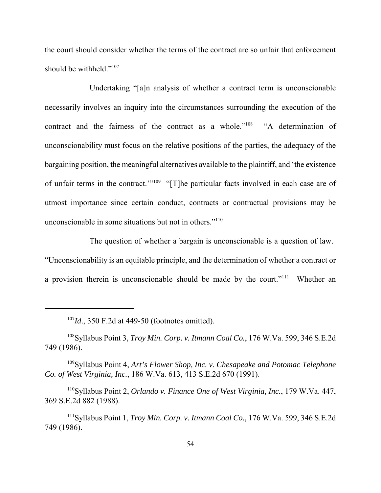the court should consider whether the terms of the contract are so unfair that enforcement should be withheld."<sup>107</sup>

 Undertaking "[a]n analysis of whether a contract term is unconscionable necessarily involves an inquiry into the circumstances surrounding the execution of the contract and the fairness of the contract as a whole."<sup>108</sup> "A determination of unconscionability must focus on the relative positions of the parties, the adequacy of the bargaining position, the meaningful alternatives available to the plaintiff, and 'the existence of unfair terms in the contract.'"<sup>109</sup> "[T]he particular facts involved in each case are of utmost importance since certain conduct, contracts or contractual provisions may be unconscionable in some situations but not in others."<sup>110</sup>

 The question of whether a bargain is unconscionable is a question of law. "Unconscionability is an equitable principle, and the determination of whether a contract or a provision therein is unconscionable should be made by the court."<sup>111</sup> Whether an

 <sup>107</sup>*Id*., 350 F.2d at 449-50 (footnotes omitted).

 108Syllabus Point 3, *Troy Min. Corp. v. Itmann Coal Co.*, 176 W.Va. 599, 346 S.E.2d 749 (1986).

 109Syllabus Point 4, *Art's Flower Shop, Inc. v. Chesapeake and Potomac Telephone Co. of West Virginia, Inc.*, 186 W.Va. 613, 413 S.E.2d 670 (1991).

 110Syllabus Point 2, *Orlando v. Finance One of West Virginia, Inc.*, 179 W.Va. 447, 369 S.E.2d 882 (1988).

 111Syllabus Point 1, *Troy Min. Corp. v. Itmann Coal Co.*, 176 W.Va. 599, 346 S.E.2d 749 (1986).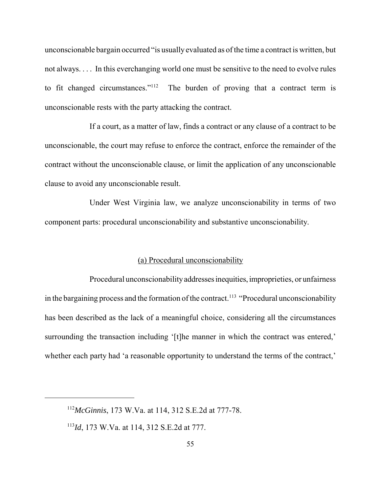unconscionable bargain occurred "is usually evaluated as of the time a contract is written, but not always. . . . In this everchanging world one must be sensitive to the need to evolve rules to fit changed circumstances."<sup>112</sup> unconscionable rests with the party attacking the contract. The burden of proving that a contract term is

 If a court, as a matter of law, finds a contract or any clause of a contract to be unconscionable, the court may refuse to enforce the contract, enforce the remainder of the contract without the unconscionable clause, or limit the application of any unconscionable clause to avoid any unconscionable result.

 Under West Virginia law, we analyze unconscionability in terms of two component parts: procedural unconscionability and substantive unconscionability.

## (a) Procedural unconscionability

 Procedural unconscionabilityaddresses inequities, improprieties, or unfairness in the bargaining process and the formation of the contract.<sup>113</sup> "Procedural unconscionability has been described as the lack of a meaningful choice, considering all the circumstances surrounding the transaction including '[t]he manner in which the contract was entered,' whether each party had 'a reasonable opportunity to understand the terms of the contract,'

 <sup>112</sup>*McGinnis*, 173 W.Va. at 114, 312 S.E.2d at 777-78.

 <sup>113</sup>*Id*, 173 W.Va. at 114, 312 S.E.2d at 777.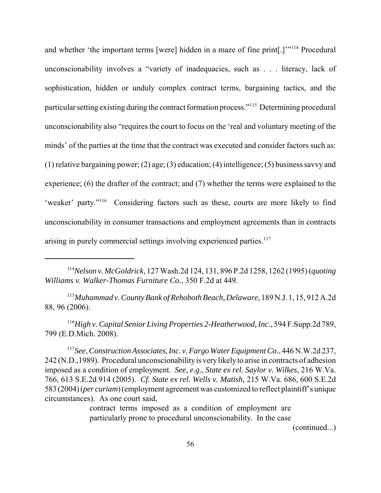and whether 'the important terms [were] hidden in a maze of fine print[.]"<sup>114</sup> Procedural unconscionability involves a "variety of inadequacies, such as . . . literacy, lack of sophistication, hidden or unduly complex contract terms, bargaining tactics, and the particular setting existing during the contract formation process."<sup>115</sup> Determining procedural unconscionability also "requires the court to focus on the 'real and voluntary meeting of the minds' of the parties at the time that the contract was executed and consider factors such as: (1) relative bargaining power; (2) age; (3) education; (4) intelligence; (5) business savvy and experience; (6) the drafter of the contract; and (7) whether the terms were explained to the 'weaker' party."<sup>116</sup> Considering factors such as these, courts are more likely to find unconscionability in consumer transactions and employment agreements than in contracts arising in purely commercial settings involving experienced parties.<sup>117</sup>

 <sup>115</sup>*Muhammad v. County Bank of Rehoboth Beach, Delaware*, 189 N.J. 1, 15, 912 A.2d 88, 96 (2006).

 <sup>116</sup>*High v. Capital Senior Living Properties 2-Heatherwood, Inc.*, 594 F.Supp.2d 789, 799 (E.D.Mich. 2008).

<sup>117</sup>See, Construction Associates, Inc. v. Fargo Water Equipment Co., 446 N.W.2d 237, 242 (N.D.,1989). Procedural unconscionabilityis verylikelyto arise in contracts of adhesion imposed as a condition of employment. *See*, *e.g.*, *State ex rel. Saylor v. Wilkes*, 216 W.Va. 766, 613 S.E.2d 914 (2005). *Cf. State ex rel. Wells v. Matish*, 215 W.Va. 686, 600 S.E.2d 583 (2004) (*per curiam*) (employment agreement was customized to reflect plaintiff's unique circumstances). As one court said,

> contract terms imposed as a condition of employment are particularly prone to procedural unconscionability. In the case

> > (continued...)

 <sup>114</sup>*Nelson v. McGoldrick*, 127 Wash.2d 124, 131, 896 P.2d 1258, 1262 (1995) (*quoting Williams v. Walker-Thomas Furniture Co.*, 350 F.2d at 449.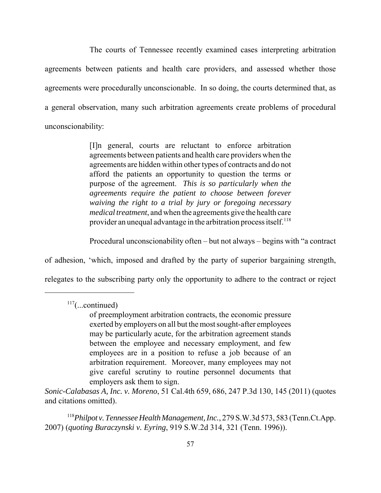The courts of Tennessee recently examined cases interpreting arbitration agreements between patients and health care providers, and assessed whether those agreements were procedurally unconscionable. In so doing, the courts determined that, as a general observation, many such arbitration agreements create problems of procedural unconscionability:

> [I]n general, courts are reluctant to enforce arbitration agreements between patients and health care providers when the agreements are hidden within other types of contracts and do not afford the patients an opportunity to question the terms or purpose of the agreement. *This is so particularly when the agreements require the patient to choose between forever waiving the right to a trial by jury or foregoing necessary medical treatment*, and when the agreements give the health care provider an unequal advantage in the arbitration process itself.<sup>118</sup>

Procedural unconscionability often – but not always – begins with "a contract

of adhesion, 'which, imposed and drafted by the party of superior bargaining strength,

relegates to the subscribing party only the opportunity to adhere to the contract or reject

 $117$ (...continued)

 *Sonic-Calabasas A, Inc. v. Moreno*, 51 Cal.4th 659, 686, 247 P.3d 130, 145 (2011) (quotes and citations omitted).

<sup>118</sup>Philpot v. Tennessee Health Management, Inc., 279 S.W.3d 573, 583 (Tenn.Ct.App. 2007) (*quoting Buraczynski v. Eyring*, 919 S.W.2d 314, 321 (Tenn. 1996)).

 of preemployment arbitration contracts, the economic pressure exerted by employers on all but the most sought-after employees may be particularly acute, for the arbitration agreement stands between the employee and necessary employment, and few employees are in a position to refuse a job because of an arbitration requirement. Moreover, many employees may not give careful scrutiny to routine personnel documents that employers ask them to sign.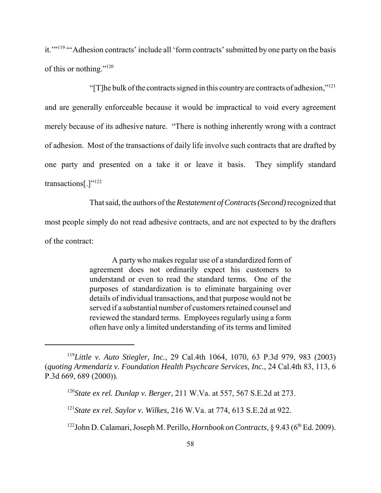it."<sup>119</sup> "Adhesion contracts' include all 'form contracts' submitted by one party on the basis of this or nothing."<sup>120</sup>

"[T]he bulk of the contracts signed in this country are contracts of adhesion,"<sup>121</sup> and are generally enforceable because it would be impractical to void every agreement merely because of its adhesive nature. "There is nothing inherently wrong with a contract of adhesion. Most of the transactions of daily life involve such contracts that are drafted by one party and presented on a take it or leave it basis. They simplify standard transactions[.]"122

 That said, the authors of the *Restatement of Contracts (Second)* recognized that most people simply do not read adhesive contracts, and are not expected to by the drafters of the contract:

> A party who makes regular use of a standardized form of agreement does not ordinarily expect his customers to understand or even to read the standard terms. One of the purposes of standardization is to eliminate bargaining over details of individual transactions, and that purpose would not be reviewed the standard terms. Employees regularly using a form often have only a limited understanding of its terms and limited served if a substantial number of customers retained counsel and

 <sup>119</sup>*Little v. Auto Stiegler, Inc.*, 29 Cal.4th 1064, 1070, 63 P.3d 979, 983 (2003)  (*quoting Armendariz v. Foundation Health Psychcare Services, Inc.*, 24 Cal.4th 83, 113, 6 P.3d 669, 689 (2000)).

 <sup>120</sup>*State ex rel. Dunlap v. Berger*, 211 W.Va. at 557, 567 S.E.2d at 273.

 <sup>121</sup>*State ex rel. Saylor v. Wilkes*, 216 W.Va. at 774, 613 S.E.2d at 922.

<sup>&</sup>lt;sup>122</sup>John D. Calamari, Joseph M. Perillo, *Hornbook on Contracts*, § 9.43 (6<sup>th</sup> Ed. 2009).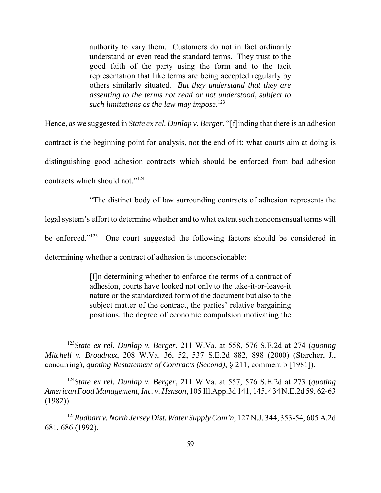authority to vary them. Customers do not in fact ordinarily understand or even read the standard terms. They trust to the good faith of the party using the form and to the tacit representation that like terms are being accepted regularly by others similarly situated. *But they understand that they are assenting to the terms not read or not understood, subject to*  such limitations as the law may impose.<sup>123</sup>

 Hence, as we suggested in *State ex rel. Dunlap v. Berger*, "[f]inding that there is an adhesion contract is the beginning point for analysis, not the end of it; what courts aim at doing is distinguishing good adhesion contracts which should be enforced from bad adhesion contracts which should not."<sup>124</sup>

"The distinct body of law surrounding contracts of adhesion represents the

legal system's effort to determine whether and to what extent such nonconsensual terms will

be enforced." $^{125}$ One court suggested the following factors should be considered in

determining whether a contract of adhesion is unconscionable:

 [I]n determining whether to enforce the terms of a contract of adhesion, courts have looked not only to the take-it-or-leave-it nature or the standardized form of the document but also to the subject matter of the contract, the parties' relative bargaining positions, the degree of economic compulsion motivating the

<sup>124</sup>State ex rel. Dunlap v. Berger, 211 W.Va. at 557, 576 S.E.2d at 273 (quoting  *American Food Management, Inc. v. Henson*, 105 Ill.App.3d 141, 145, 434 N.E.2d 59, 62-63 (1982)).

<sup>&</sup>lt;sup>123</sup>*State ex rel. Dunlap v. Berger*, 211 W.Va. at 558, 576 S.E.2d at 274 (*quoting Mitchell v. Broadnax*, 208 W.Va. 36, 52, 537 S.E.2d 882, 898 (2000) (Starcher, J., concurring), *quoting Restatement of Contracts (Second)*, § 211, comment b [1981]).

 <sup>125</sup>*Rudbart v. North Jersey Dist. Water Supply Com'n*, 127 N.J. 344, 353-54, 605 A.2d 681, 686 (1992).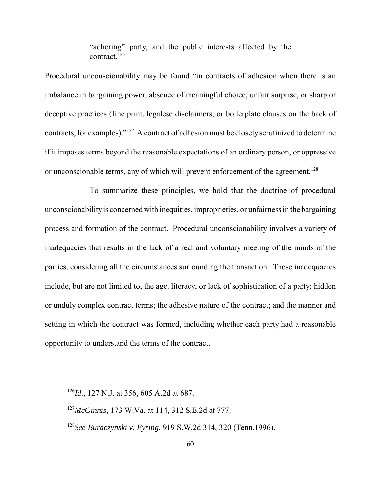"adhering" party, and the public interests affected by the contract.126

 Procedural unconscionability may be found "in contracts of adhesion when there is an imbalance in bargaining power, absence of meaningful choice, unfair surprise, or sharp or deceptive practices (fine print, legalese disclaimers, or boilerplate clauses on the back of contracts, for examples)."<sup>127</sup> A contract of adhesion must be closely scrutinized to determine if it imposes terms beyond the reasonable expectations of an ordinary person, or oppressive or unconscionable terms, any of which will prevent enforcement of the agreement.<sup>128</sup>

 To summarize these principles, we hold that the doctrine of procedural unconscionabilityis concerned with inequities, improprieties, or unfairness in the bargaining process and formation of the contract. Procedural unconscionability involves a variety of inadequacies that results in the lack of a real and voluntary meeting of the minds of the parties, considering all the circumstances surrounding the transaction. These inadequacies include, but are not limited to, the age, literacy, or lack of sophistication of a party; hidden or unduly complex contract terms; the adhesive nature of the contract; and the manner and setting in which the contract was formed, including whether each party had a reasonable opportunity to understand the terms of the contract.

 <sup>126</sup>*Id*., 127 N.J. at 356, 605 A.2d at 687.

 <sup>127</sup>*McGinnis*, 173 W.Va. at 114, 312 S.E.2d at 777.

 <sup>128</sup>*See Buraczynski v. Eyring*, 919 S.W.2d 314, 320 (Tenn.1996).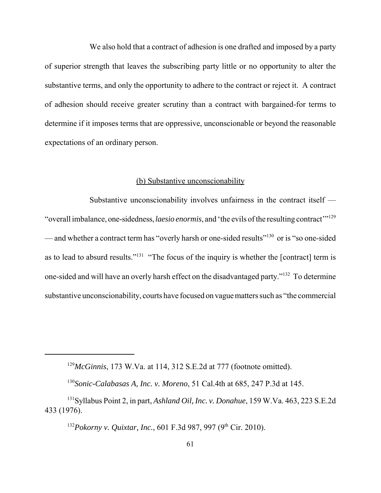We also hold that a contract of adhesion is one drafted and imposed by a party of superior strength that leaves the subscribing party little or no opportunity to alter the substantive terms, and only the opportunity to adhere to the contract or reject it. A contract of adhesion should receive greater scrutiny than a contract with bargained-for terms to determine if it imposes terms that are oppressive, unconscionable or beyond the reasonable expectations of an ordinary person.

## (b) Substantive unconscionability

 Substantive unconscionability involves unfairness in the contract itself — "overall imbalance, one-sidedness, *laesio enormis*, and 'the evils of the resulting contract'<sup>129</sup> — and whether a contract term has "overly harsh or one-sided results"<sup>130</sup> or is "so one-sided as to lead to absurd results."<sup>131</sup> "The focus of the inquiry is whether the [contract] term is one-sided and will have an overly harsh effect on the disadvantaged party."<sup>132</sup> To determine substantive unconscionability, courts have focused on vague matters such as "the commercial

<sup>132</sup>Pokorny v. Quixtar, Inc., 601 F.3d 987, 997 (9<sup>th</sup> Cir. 2010).

 <sup>129</sup>*McGinnis*, 173 W.Va. at 114, 312 S.E.2d at 777 (footnote omitted).

 <sup>130</sup>*Sonic-Calabasas A, Inc. v. Moreno*, 51 Cal.4th at 685, 247 P.3d at 145.

 131Syllabus Point 2, in part, *Ashland Oil, Inc. v. Donahue*, 159 W.Va. 463, 223 S.E.2d 433 (1976).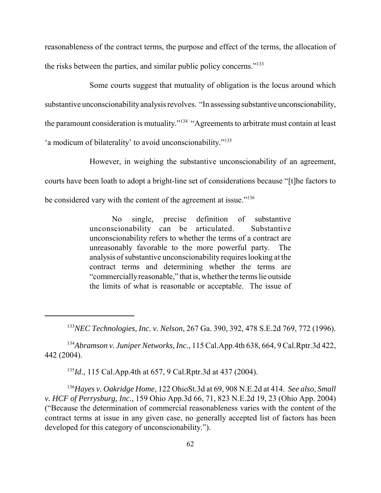reasonableness of the contract terms, the purpose and effect of the terms, the allocation of the risks between the parties, and similar public policy concerns."<sup>133</sup>

 Some courts suggest that mutuality of obligation is the locus around which substantive unconscionability analysis revolves. "In assessing substantive unconscionability, the paramount consideration is mutuality."<sup>134</sup> "Agreements to arbitrate must contain at least 'a modicum of bilaterality' to avoid unconscionability."135

 However, in weighing the substantive unconscionability of an agreement, courts have been loath to adopt a bright-line set of considerations because "[t]he factors to be considered vary with the content of the agreement at issue."<sup>136</sup>

> $No$  unconscionability can be articulated. Substantive unconscionability refers to whether the terms of a contract are unreasonably favorable to the more powerful party. The analysis of substantive unconscionability requires looking at the contract terms and determining whether the terms are "commerciallyreasonable," that is, whether the terms lie outside the limits of what is reasonable or acceptable. The issue of single, precise definition of substantive

<sup>134</sup>Abramson v. Juniper Networks, Inc., 115 Cal.App.4th 638, 664, 9 Cal.Rptr.3d 422, 442 (2004).

<sup>135</sup>*Id*., 115 Cal.App.4th at 657, 9 Cal.Rptr.3d at 437 (2004).

 <sup>136</sup>*Hayes v. Oakridge Home*, 122 OhioSt.3d at 69, 908 N.E.2d at 414. *See also*, *Small v. HCF of Perrysburg, Inc.*, 159 Ohio App.3d 66, 71, 823 N.E.2d 19, 23 (Ohio App. 2004) ("Because the determination of commercial reasonableness varies with the content of the contract terms at issue in any given case, no generally accepted list of factors has been developed for this category of unconscionability.").

 <sup>133</sup>*NEC Technologies, Inc. v. Nelson*, 267 Ga. 390, 392, 478 S.E.2d 769, 772 (1996).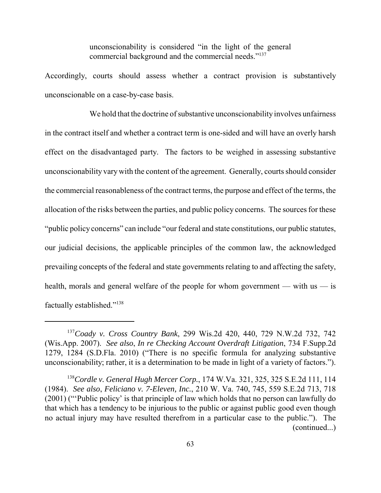unconscionability is considered "in the light of the general commercial background and the commercial needs."<sup>137</sup>

 Accordingly, courts should assess whether a contract provision is substantively unconscionable on a case-by-case basis.

 We hold that the doctrine of substantive unconscionability involves unfairness in the contract itself and whether a contract term is one-sided and will have an overly harsh effect on the disadvantaged party. The factors to be weighed in assessing substantive unconscionability vary with the content of the agreement. Generally, courts should consider the commercial reasonableness of the contract terms, the purpose and effect of the terms, the allocation of the risks between the parties, and public policy concerns. The sources for these "public policy concerns" can include "our federal and state constitutions, our public statutes, our judicial decisions, the applicable principles of the common law, the acknowledged prevailing concepts of the federal and state governments relating to and affecting the safety, health, morals and general welfare of the people for whom government — with us — is factually established."138

 <sup>137</sup>*Coady v. Cross Country Bank*, 299 Wis.2d 420, 440, 729 N.W.2d 732, 742 (Wis.App. 2007). *See also*, *In re Checking Account Overdraft Litigation*, 734 F.Supp.2d 1279, 1284 (S.D.Fla. 2010) ("There is no specific formula for analyzing substantive unconscionability; rather, it is a determination to be made in light of a variety of factors.").

 <sup>138</sup>*Cordle v. General Hugh Mercer Corp.*, 174 W.Va. 321, 325, 325 S.E.2d 111, 114 (1984). *See also*, *Feliciano v. 7-Eleven, Inc.*, 210 W. Va. 740, 745, 559 S.E.2d 713, 718 (2001) ("'Public policy' is that principle of law which holds that no person can lawfully do that which has a tendency to be injurious to the public or against public good even though no actual injury may have resulted therefrom in a particular case to the public."). The (continued...)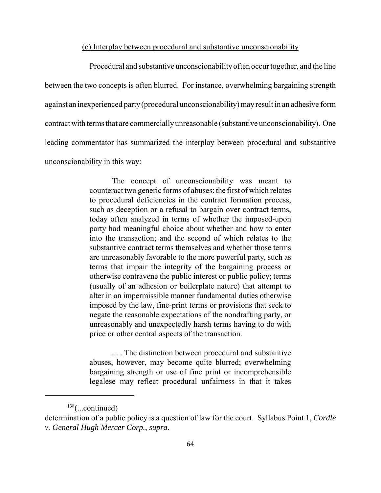#### (c) Interplay between procedural and substantive unconscionability

 Procedural and substantive unconscionabilityoften occur together, and the line between the two concepts is often blurred. For instance, overwhelming bargaining strength against an inexperienced party(procedural unconscionability) mayresult in an adhesive form contract with terms that are commerciallyunreasonable (substantive unconscionability). One leading commentator has summarized the interplay between procedural and substantive unconscionability in this way:

> The concept of unconscionability was meant to counteract two generic forms of abuses: the first of which relates to procedural deficiencies in the contract formation process, such as deception or a refusal to bargain over contract terms, today often analyzed in terms of whether the imposed-upon party had meaningful choice about whether and how to enter into the transaction; and the second of which relates to the substantive contract terms themselves and whether those terms are unreasonably favorable to the more powerful party, such as terms that impair the integrity of the bargaining process or otherwise contravene the public interest or public policy; terms (usually of an adhesion or boilerplate nature) that attempt to alter in an impermissible manner fundamental duties otherwise imposed by the law, fine-print terms or provisions that seek to negate the reasonable expectations of the nondrafting party, or unreasonably and unexpectedly harsh terms having to do with price or other central aspects of the transaction.

> . . . The distinction between procedural and substantive abuses, however, may become quite blurred; overwhelming bargaining strength or use of fine print or incomprehensible legalese may reflect procedural unfairness in that it takes

 $138$ (...continued)

 determination of a public policy is a question of law for the court. Syllabus Point 1, *Cordle v. General Hugh Mercer Corp.*, *supra*.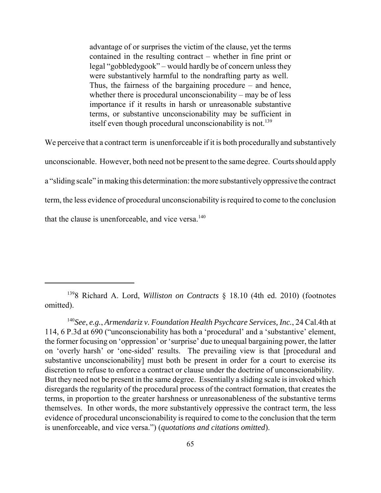advantage of or surprises the victim of the clause, yet the terms contained in the resulting contract – whether in fine print or legal "gobbledygook" – would hardly be of concern unless they were substantively harmful to the nondrafting party as well. Thus, the fairness of the bargaining procedure – and hence, whether there is procedural unconscionability – may be of less importance if it results in harsh or unreasonable substantive terms, or substantive unconscionability may be sufficient in itself even though procedural unconscionability is not.<sup>139</sup>

 We perceive that a contract term is unenforceable if it is both procedurally and substantively unconscionable. However, both need not be present to the same degree. Courts should apply a "sliding scale" in making this determination: the more substantivelyoppressive the contract term, the less evidence of procedural unconscionability is required to come to the conclusion that the clause is unenforceable, and vice versa. $140$ 

 1398 Richard A. Lord, *Williston on Contracts* § 18.10 (4th ed. 2010) (footnotes omitted).

 <sup>140</sup>*See*, *e.g.*, *Armendariz v. Foundation Health Psychcare Services, Inc.*, 24 Cal.4th at 114, 6 P.3d at 690 ("unconscionability has both a 'procedural' and a 'substantive' element, the former focusing on 'oppression' or 'surprise' due to unequal bargaining power, the latter on 'overly harsh' or 'one-sided' results. The prevailing view is that [procedural and substantive unconscionability] must both be present in order for a court to exercise its discretion to refuse to enforce a contract or clause under the doctrine of unconscionability. But they need not be present in the same degree. Essentially a sliding scale is invoked which disregards the regularity of the procedural process of the contract formation, that creates the terms, in proportion to the greater harshness or unreasonableness of the substantive terms themselves. In other words, the more substantively oppressive the contract term, the less evidence of procedural unconscionability is required to come to the conclusion that the term is unenforceable, and vice versa.") (*quotations and citations omitted*).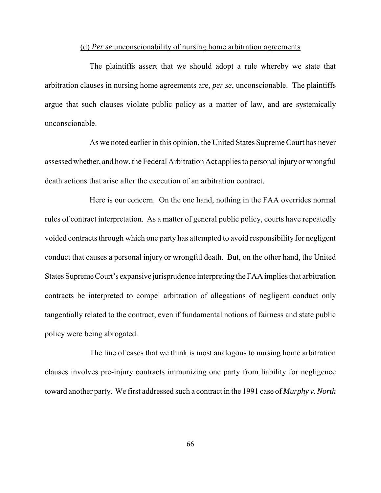#### (d) *Per se* unconscionability of nursing home arbitration agreements

 The plaintiffs assert that we should adopt a rule whereby we state that arbitration clauses in nursing home agreements are*, per se*, unconscionable. The plaintiffs argue that such clauses violate public policy as a matter of law, and are systemically unconscionable.

 As we noted earlier in this opinion, the United States Supreme Court has never assessed whether, and how, the Federal Arbitration Act applies to personal injuryor wrongful death actions that arise after the execution of an arbitration contract.

 Here is our concern. On the one hand, nothing in the FAA overrides normal rules of contract interpretation. As a matter of general public policy, courts have repeatedly voided contracts through which one party has attempted to avoid responsibility for negligent conduct that causes a personal injury or wrongful death. But, on the other hand, the United States Supreme Court's expansive jurisprudence interpreting the FAA implies that arbitration contracts be interpreted to compel arbitration of allegations of negligent conduct only tangentially related to the contract, even if fundamental notions of fairness and state public policy were being abrogated.

 The line of cases that we think is most analogous to nursing home arbitration clauses involves pre-injury contracts immunizing one party from liability for negligence toward another party. We first addressed such a contract in the 1991 case of *Murphy v. North*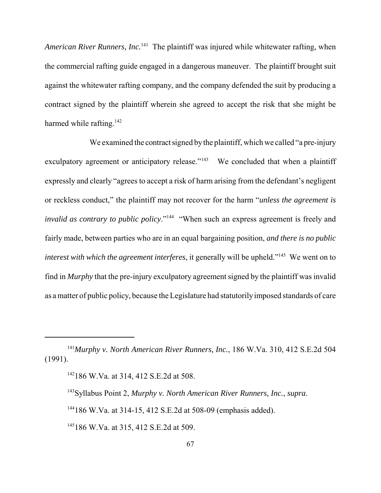American River Runners, Inc.<sup>141</sup> The plaintiff was injured while whitewater rafting, when the commercial rafting guide engaged in a dangerous maneuver. The plaintiff brought suit against the whitewater rafting company, and the company defended the suit by producing a contract signed by the plaintiff wherein she agreed to accept the risk that she might be harmed while rafting.<sup>142</sup>

 We examined the contract signed bythe plaintiff, which we called "a pre-injury exculpatory agreement or anticipatory release."<sup>143</sup> We concluded that when a plaintiff expressly and clearly "agrees to accept a risk of harm arising from the defendant's negligent or reckless conduct," the plaintiff may not recover for the harm "*unless the agreement is invalid as contrary to public policy*."<sup>144</sup> "When such an express agreement is freely and fairly made, between parties who are in an equal bargaining position, *and there is no public interest with which the agreement interferes*, it generally will be upheld."145 We went on to find in *Murphy* that the pre-injury exculpatory agreement signed by the plaintiff was invalid as a matter of public policy, because the Legislature had statutorily imposed standards of care

143Syllabus Point 2, *Murphy v. North American River Runners, Inc.*, *supra*.

<sup>&</sup>lt;sup>141</sup>Murphy v. North American River Runners, Inc., 186 W.Va. 310, 412 S.E.2d 504 (1991).

<sup>&</sup>lt;sup>142</sup>186 W.Va. at 314, 412 S.E.2d at 508.

 144186 W.Va. at 314-15, 412 S.E.2d at 508-09 (emphasis added).

<sup>&</sup>lt;sup>145</sup>186 W.Va. at 315, 412 S.E.2d at 509.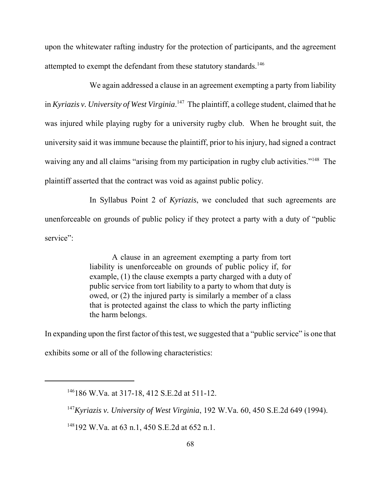upon the whitewater rafting industry for the protection of participants, and the agreement attempted to exempt the defendant from these statutory standards.<sup>146</sup>

 We again addressed a clause in an agreement exempting a party from liability  in *Kyriazis v. University of West Virginia*. 147 The plaintiff, a college student, claimed that he was injured while playing rugby for a university rugby club. When he brought suit, the university said it was immune because the plaintiff, prior to his injury, had signed a contract waiving any and all claims "arising from my participation in rugby club activities."<sup>148</sup> The plaintiff asserted that the contract was void as against public policy.

 In Syllabus Point 2 of *Kyriazis*, we concluded that such agreements are unenforceable on grounds of public policy if they protect a party with a duty of "public service":

> A clause in an agreement exempting a party from tort liability is unenforceable on grounds of public policy if, for example, (1) the clause exempts a party charged with a duty of public service from tort liability to a party to whom that duty is owed, or (2) the injured party is similarly a member of a class that is protected against the class to which the party inflicting the harm belongs.

In expanding upon the first factor of this test, we suggested that a "public service" is one that

exhibits some or all of the following characteristics:

148192 W.Va. at 63 n.1, 450 S.E.2d at 652 n.1.

 146186 W.Va. at 317-18, 412 S.E.2d at 511-12.

 <sup>147</sup>*Kyriazis v. University of West Virginia*, 192 W.Va. 60, 450 S.E.2d 649 (1994).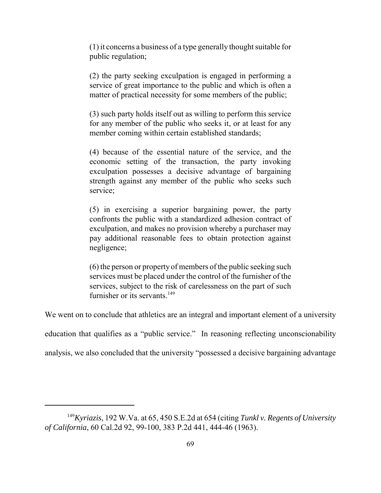(1) it concerns a business of a type generally thought suitable for public regulation;

 (2) the party seeking exculpation is engaged in performing a service of great importance to the public and which is often a matter of practical necessity for some members of the public;

 (3) such party holds itself out as willing to perform this service for any member of the public who seeks it, or at least for any member coming within certain established standards;

 (4) because of the essential nature of the service, and the economic setting of the transaction, the party invoking exculpation possesses a decisive advantage of bargaining strength against any member of the public who seeks such service;

 (5) in exercising a superior bargaining power, the party confronts the public with a standardized adhesion contract of exculpation, and makes no provision whereby a purchaser may pay additional reasonable fees to obtain protection against negligence;

 (6) the person or property of members of the public seeking such services must be placed under the control of the furnisher of the services, subject to the risk of carelessness on the part of such furnisher or its servants.<sup>149</sup>

We went on to conclude that athletics are an integral and important element of a university

education that qualifies as a "public service." In reasoning reflecting unconscionability

analysis, we also concluded that the university "possessed a decisive bargaining advantage

 <sup>149</sup>*Kyriazis*, 192 W.Va. at 65, 450 S.E.2d at 654 (citing *Tunkl v. Regents of University of California*, 60 Cal.2d 92, 99-100, 383 P.2d 441, 444-46 (1963).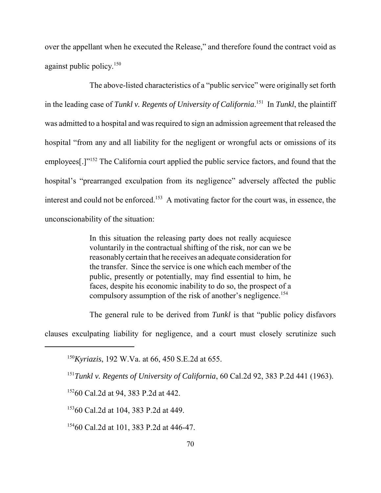over the appellant when he executed the Release," and therefore found the contract void as against public policy.<sup>150</sup>

 The above-listed characteristics of a "public service" were originally set forth in the leading case of *Tunkl v. Regents of University of California*. 151 In *Tunkl*, the plaintiff was admitted to a hospital and was required to sign an admission agreement that released the hospital "from any and all liability for the negligent or wrongful acts or omissions of its employees[.]"<sup>152</sup> The California court applied the public service factors, and found that the hospital's "prearranged exculpation from its negligence" adversely affected the public interest and could not be enforced.<sup>153</sup> A motivating factor for the court was, in essence, the unconscionability of the situation:

> In this situation the releasing party does not really acquiesce voluntarily in the contractual shifting of the risk, nor can we be reasonably certain that he receives an adequate consideration for the transfer. Since the service is one which each member of the public, presently or potentially, may find essential to him, he faces, despite his economic inability to do so, the prospect of a compulsory assumption of the risk of another's negligence.<sup>154</sup>

The general rule to be derived from *Tunkl* is that "public policy disfavors

clauses exculpating liability for negligence, and a court must closely scrutinize such

<sup>152</sup>60 Cal.2d at 94, 383 P.2d at 442.

15360 Cal.2d at 104, 383 P.2d at 449.

<sup>154</sup>60 Cal.2d at 101, 383 P.2d at 446-47.

 <sup>150</sup>*Kyriazis*, 192 W.Va. at 66, 450 S.E.2d at 655.

 <sup>151</sup>*Tunkl v. Regents of University of California*, 60 Cal.2d 92, 383 P.2d 441 (1963).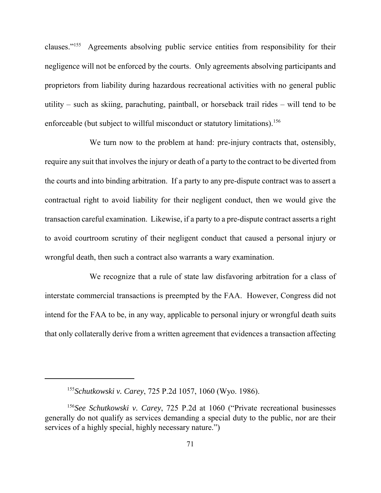clauses."<sup>155</sup> Agreements absolving public service entities from responsibility for their negligence will not be enforced by the courts. Only agreements absolving participants and proprietors from liability during hazardous recreational activities with no general public utility – such as skiing, parachuting, paintball, or horseback trail rides – will tend to be enforceable (but subject to willful misconduct or statutory limitations).<sup>156</sup>

 We turn now to the problem at hand: pre-injury contracts that, ostensibly, require any suit that involves the injury or death of a party to the contract to be diverted from the courts and into binding arbitration. If a party to any pre-dispute contract was to assert a contractual right to avoid liability for their negligent conduct, then we would give the transaction careful examination. Likewise, if a party to a pre-dispute contract asserts a right to avoid courtroom scrutiny of their negligent conduct that caused a personal injury or wrongful death, then such a contract also warrants a wary examination.

 We recognize that a rule of state law disfavoring arbitration for a class of interstate commercial transactions is preempted by the FAA. However, Congress did not intend for the FAA to be, in any way, applicable to personal injury or wrongful death suits that only collaterally derive from a written agreement that evidences a transaction affecting

 <sup>155</sup>*Schutkowski v. Carey*, 725 P.2d 1057, 1060 (Wyo. 1986).

<sup>&</sup>lt;sup>156</sup>See Schutkowski v. Carey, 725 P.2d at 1060 ("Private recreational businesses generally do not qualify as services demanding a special duty to the public, nor are their services of a highly special, highly necessary nature.")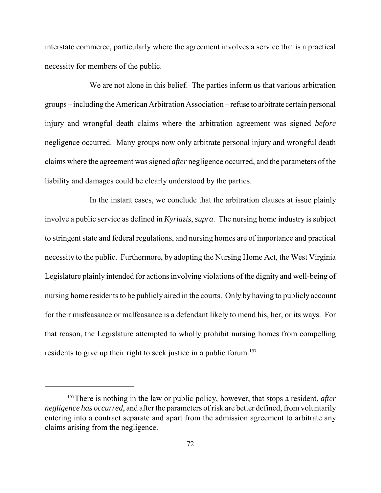interstate commerce, particularly where the agreement involves a service that is a practical necessity for members of the public.

 We are not alone in this belief. The parties inform us that various arbitration groups – including the American Arbitration Association – refuse to arbitrate certain personal injury and wrongful death claims where the arbitration agreement was signed *before*  negligence occurred. Many groups now only arbitrate personal injury and wrongful death claims where the agreement was signed *after* negligence occurred, and the parameters of the liability and damages could be clearly understood by the parties.

 In the instant cases, we conclude that the arbitration clauses at issue plainly involve a public service as defined in *Kyriazis*, *supra*. The nursing home industry is subject to stringent state and federal regulations, and nursing homes are of importance and practical necessity to the public. Furthermore, by adopting the Nursing Home Act, the West Virginia Legislature plainly intended for actions involving violations of the dignity and well-being of nursing home residents to be publicly aired in the courts. Only by having to publicly account for their misfeasance or malfeasance is a defendant likely to mend his, her, or its ways. For that reason, the Legislature attempted to wholly prohibit nursing homes from compelling residents to give up their right to seek justice in a public forum.<sup>157</sup>

 157There is nothing in the law or public policy, however, that stops a resident, *after negligence has occurred*, and after the parameters of risk are better defined, from voluntarily entering into a contract separate and apart from the admission agreement to arbitrate any claims arising from the negligence.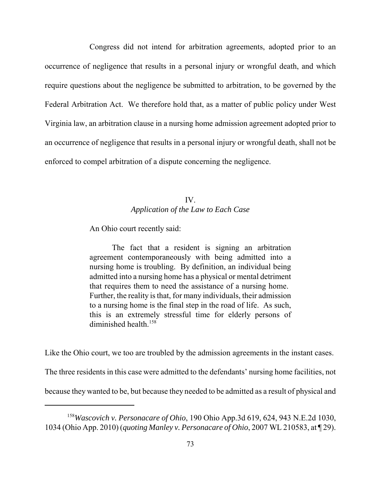Congress did not intend for arbitration agreements, adopted prior to an occurrence of negligence that results in a personal injury or wrongful death, and which require questions about the negligence be submitted to arbitration, to be governed by the Federal Arbitration Act. We therefore hold that, as a matter of public policy under West Virginia law, an arbitration clause in a nursing home admission agreement adopted prior to an occurrence of negligence that results in a personal injury or wrongful death, shall not be enforced to compel arbitration of a dispute concerning the negligence.

## *Application of the Law to Each Case*  IV.

An Ohio court recently said:

 The fact that a resident is signing an arbitration agreement contemporaneously with being admitted into a nursing home is troubling. By definition, an individual being admitted into a nursing home has a physical or mental detriment that requires them to need the assistance of a nursing home. Further, the reality is that, for many individuals, their admission to a nursing home is the final step in the road of life. As such, this is an extremely stressful time for elderly persons of diminished health.<sup>158</sup>

Like the Ohio court, we too are troubled by the admission agreements in the instant cases.

The three residents in this case were admitted to the defendants' nursing home facilities, not

because they wanted to be, but because they needed to be admitted as a result of physical and

 <sup>158</sup>*Wascovich v. Personacare of Ohio*, 190 Ohio App.3d 619, 624, 943 N.E.2d 1030, 1034 (Ohio App. 2010) (*quoting Manley v. Personacare of Ohio*, 2007 WL 210583, at ¶ 29).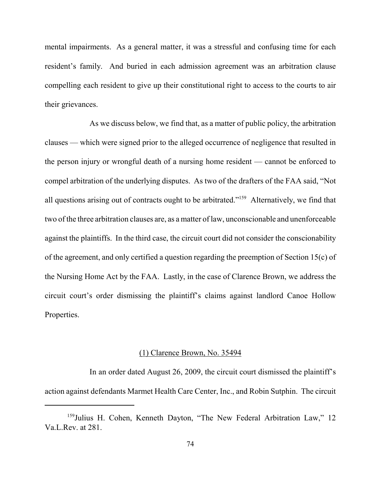mental impairments. As a general matter, it was a stressful and confusing time for each resident's family. And buried in each admission agreement was an arbitration clause compelling each resident to give up their constitutional right to access to the courts to air their grievances.

 As we discuss below, we find that, as a matter of public policy, the arbitration clauses — which were signed prior to the alleged occurrence of negligence that resulted in the person injury or wrongful death of a nursing home resident — cannot be enforced to compel arbitration of the underlying disputes. As two of the drafters of the FAA said, "Not all questions arising out of contracts ought to be arbitrated."<sup>159</sup> Alternatively, we find that two of the three arbitration clauses are, as a matter of law, unconscionable and unenforceable against the plaintiffs. In the third case, the circuit court did not consider the conscionability of the agreement, and only certified a question regarding the preemption of Section 15(c) of the Nursing Home Act by the FAA. Lastly, in the case of Clarence Brown, we address the circuit court's order dismissing the plaintiff's claims against landlord Canoe Hollow Properties.

#### (1) Clarence Brown, No. 35494

 In an order dated August 26, 2009, the circuit court dismissed the plaintiff's action against defendants Marmet Health Care Center, Inc., and Robin Sutphin. The circuit

<sup>&</sup>lt;sup>159</sup>Julius H. Cohen, Kenneth Dayton, "The New Federal Arbitration Law," 12 Va.L.Rev. at 281.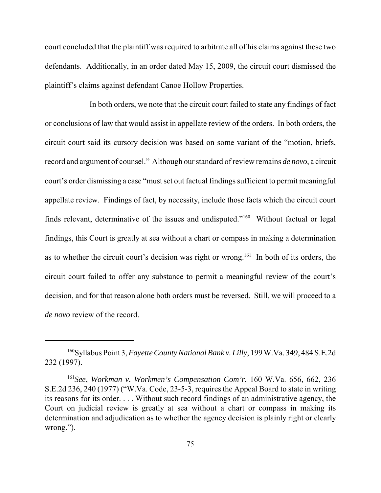court concluded that the plaintiff was required to arbitrate all of his claims against these two defendants. Additionally, in an order dated May 15, 2009, the circuit court dismissed the plaintiff's claims against defendant Canoe Hollow Properties.

 In both orders, we note that the circuit court failed to state any findings of fact or conclusions of law that would assist in appellate review of the orders. In both orders, the circuit court said its cursory decision was based on some variant of the "motion, briefs, record and argument of counsel." Although our standard of review remains *de novo*, a circuit court's order dismissing a case "must set out factual findings sufficient to permit meaningful appellate review. Findings of fact, by necessity, include those facts which the circuit court finds relevant, determinative of the issues and undisputed."<sup>160</sup> Without factual or legal findings, this Court is greatly at sea without a chart or compass in making a determination as to whether the circuit court's decision was right or wrong.<sup>161</sup> In both of its orders, the circuit court failed to offer any substance to permit a meaningful review of the court's decision, and for that reason alone both orders must be reversed. Still, we will proceed to a *de novo* review of the record.

 160Syllabus Point 3, *Fayette County National Bank v. Lilly*, 199 W.Va. 349, 484 S.E.2d 232 (1997).

 <sup>161</sup>*See*, *Workman v. Workmen's Compensation Com'r*, 160 W.Va. 656, 662, 236 S.E.2d 236, 240 (1977) ("W.Va. Code, 23-5-3, requires the Appeal Board to state in writing its reasons for its order. . . . Without such record findings of an administrative agency, the Court on judicial review is greatly at sea without a chart or compass in making its determination and adjudication as to whether the agency decision is plainly right or clearly wrong.").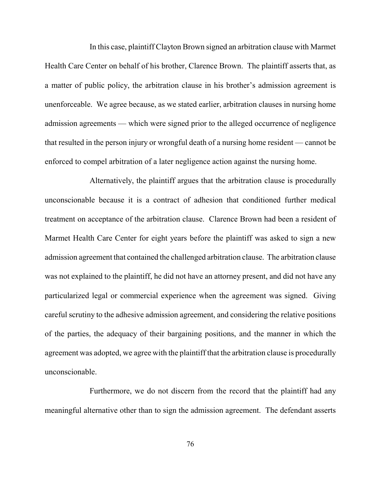In this case, plaintiff Clayton Brown signed an arbitration clause with Marmet Health Care Center on behalf of his brother, Clarence Brown. The plaintiff asserts that, as a matter of public policy, the arbitration clause in his brother's admission agreement is unenforceable. We agree because, as we stated earlier, arbitration clauses in nursing home admission agreements — which were signed prior to the alleged occurrence of negligence that resulted in the person injury or wrongful death of a nursing home resident — cannot be enforced to compel arbitration of a later negligence action against the nursing home.

 Alternatively, the plaintiff argues that the arbitration clause is procedurally unconscionable because it is a contract of adhesion that conditioned further medical treatment on acceptance of the arbitration clause. Clarence Brown had been a resident of Marmet Health Care Center for eight years before the plaintiff was asked to sign a new admission agreement that contained the challenged arbitration clause. The arbitration clause was not explained to the plaintiff, he did not have an attorney present, and did not have any particularized legal or commercial experience when the agreement was signed. Giving careful scrutiny to the adhesive admission agreement, and considering the relative positions of the parties, the adequacy of their bargaining positions, and the manner in which the agreement was adopted, we agree with the plaintiff that the arbitration clause is procedurally unconscionable.

 Furthermore, we do not discern from the record that the plaintiff had any meaningful alternative other than to sign the admission agreement. The defendant asserts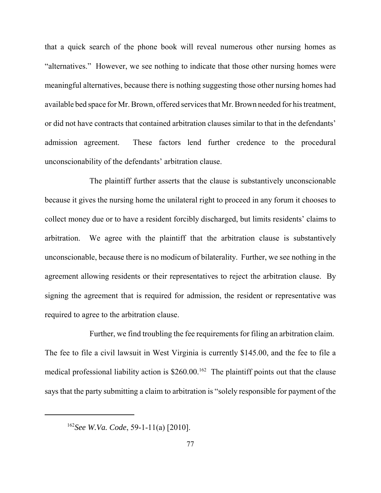that a quick search of the phone book will reveal numerous other nursing homes as "alternatives." However, we see nothing to indicate that those other nursing homes were meaningful alternatives, because there is nothing suggesting those other nursing homes had available bed space for Mr. Brown, offered services that Mr. Brown needed for his treatment, or did not have contracts that contained arbitration clauses similar to that in the defendants' admission agreement. unconscionability of the defendants' arbitration clause. These factors lend further credence to the procedural

 The plaintiff further asserts that the clause is substantively unconscionable because it gives the nursing home the unilateral right to proceed in any forum it chooses to collect money due or to have a resident forcibly discharged, but limits residents' claims to arbitration. We agree with the plaintiff that the arbitration clause is substantively unconscionable, because there is no modicum of bilaterality. Further, we see nothing in the agreement allowing residents or their representatives to reject the arbitration clause. By signing the agreement that is required for admission, the resident or representative was required to agree to the arbitration clause.

 Further, we find troubling the fee requirements for filing an arbitration claim. The fee to file a civil lawsuit in West Virginia is currently \$145.00, and the fee to file a medical professional liability action is  $$260.00$ <sup>162</sup> The plaintiff points out that the clause says that the party submitting a claim to arbitration is "solely responsible for payment of the

<sup>162</sup>*See W.Va. Code*, 59-1-11(a) [2010].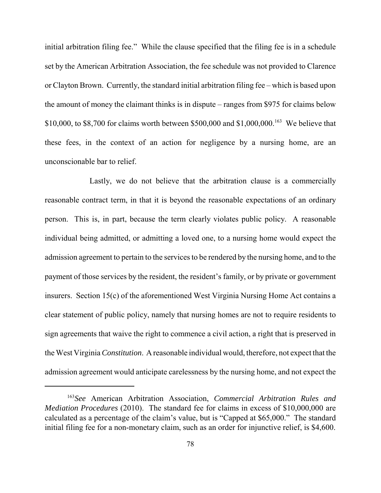initial arbitration filing fee." While the clause specified that the filing fee is in a schedule set by the American Arbitration Association, the fee schedule was not provided to Clarence or Clayton Brown. Currently, the standard initial arbitration filing fee – which is based upon the amount of money the claimant thinks is in dispute – ranges from \$975 for claims below \$10,000, to \$8,700 for claims worth between \$500,000 and \$1,000,000.<sup>163</sup> We believe that these fees, in the context of an action for negligence by a nursing home, are an unconscionable bar to relief.

 Lastly, we do not believe that the arbitration clause is a commercially reasonable contract term, in that it is beyond the reasonable expectations of an ordinary person. This is, in part, because the term clearly violates public policy. A reasonable individual being admitted, or admitting a loved one, to a nursing home would expect the admission agreement to pertain to the services to be rendered by the nursing home, and to the payment of those services by the resident, the resident's family, or by private or government insurers. Section 15(c) of the aforementioned West Virginia Nursing Home Act contains a clear statement of public policy, namely that nursing homes are not to require residents to sign agreements that waive the right to commence a civil action, a right that is preserved in the West Virginia *Constitution*. A reasonable individual would, therefore, not expect that the admission agreement would anticipate carelessness by the nursing home, and not expect the

 <sup>163</sup>*See* American Arbitration Association, *Commercial Arbitration Rules and Mediation Procedures* (2010). The standard fee for claims in excess of \$10,000,000 are calculated as a percentage of the claim's value, but is "Capped at \$65,000." The standard initial filing fee for a non-monetary claim, such as an order for injunctive relief, is \$4,600.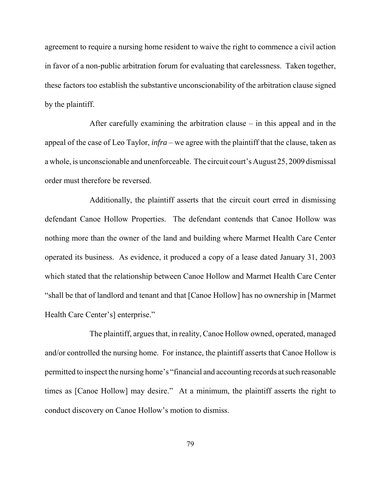agreement to require a nursing home resident to waive the right to commence a civil action in favor of a non-public arbitration forum for evaluating that carelessness. Taken together, these factors too establish the substantive unconscionability of the arbitration clause signed by the plaintiff.

 After carefully examining the arbitration clause – in this appeal and in the appeal of the case of Leo Taylor, *infra* – we agree with the plaintiff that the clause, taken as a whole, is unconscionable and unenforceable. The circuit court's August 25, 2009 dismissal order must therefore be reversed.

 Additionally, the plaintiff asserts that the circuit court erred in dismissing defendant Canoe Hollow Properties. The defendant contends that Canoe Hollow was nothing more than the owner of the land and building where Marmet Health Care Center operated its business. As evidence, it produced a copy of a lease dated January 31, 2003 which stated that the relationship between Canoe Hollow and Marmet Health Care Center "shall be that of landlord and tenant and that [Canoe Hollow] has no ownership in [Marmet Health Care Center's] enterprise."

 The plaintiff, argues that, in reality, Canoe Hollow owned, operated, managed and/or controlled the nursing home. For instance, the plaintiff asserts that Canoe Hollow is permitted to inspect the nursing home's "financial and accounting records at such reasonable times as [Canoe Hollow] may desire." At a minimum, the plaintiff asserts the right to conduct discovery on Canoe Hollow's motion to dismiss.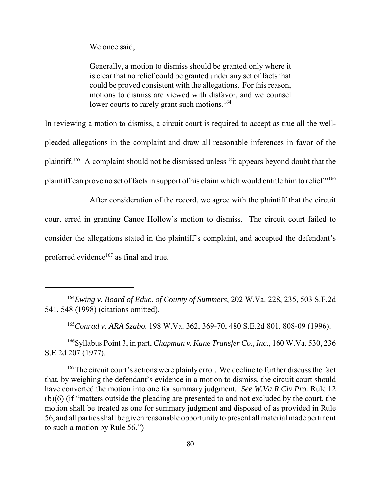We once said,

 Generally, a motion to dismiss should be granted only where it is clear that no relief could be granted under any set of facts that could be proved consistent with the allegations. For this reason, motions to dismiss are viewed with disfavor, and we counsel lower courts to rarely grant such motions.<sup>164</sup>

 In reviewing a motion to dismiss, a circuit court is required to accept as true all the well- pleaded allegations in the complaint and draw all reasonable inferences in favor of the plaintiff.<sup>165</sup> A complaint should not be dismissed unless "it appears beyond doubt that the plaintiff can prove no set of facts in support of his claim which would entitle him to relief."<sup>166</sup>

 After consideration of the record, we agree with the plaintiff that the circuit court erred in granting Canoe Hollow's motion to dismiss. The circuit court failed to consider the allegations stated in the plaintiff's complaint, and accepted the defendant's proferred evidence<sup>167</sup> as final and true.

 166Syllabus Point 3, in part, *Chapman v. Kane Transfer Co., Inc.*, 160 W.Va. 530, 236 S.E.2d 207 (1977).

<sup>167</sup>The circuit court's actions were plainly error. We decline to further discuss the fact that, by weighing the defendant's evidence in a motion to dismiss, the circuit court should have converted the motion into one for summary judgment. *See W.Va.R.Civ.Pro.* Rule 12 (b)(6) (if "matters outside the pleading are presented to and not excluded by the court, the motion shall be treated as one for summary judgment and disposed of as provided in Rule 56, and all parties shall be given reasonable opportunity to present all material made pertinent to such a motion by Rule 56.")

<sup>&</sup>lt;sup>164</sup>Ewing v. Board of Educ. of County of Summers, 202 W.Va. 228, 235, 503 S.E.2d 541, 548 (1998) (citations omitted).

 <sup>165</sup>*Conrad v. ARA Szabo*, 198 W.Va. 362, 369-70, 480 S.E.2d 801, 808-09 (1996).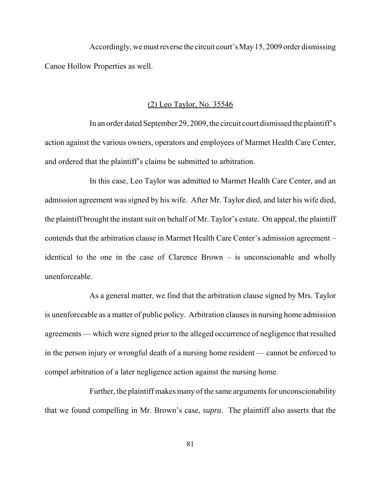Accordingly, we must reverse the circuit court's May15, 2009 order dismissing Canoe Hollow Properties as well.

#### (2) Leo Taylor, No. 35546

 In an order dated September 29, 2009, the circuit court dismissed the plaintiff's action against the various owners, operators and employees of Marmet Health Care Center, and ordered that the plaintiff's claims be submitted to arbitration.

 In this case, Leo Taylor was admitted to Marmet Health Care Center, and an admission agreement was signed by his wife. After Mr. Taylor died, and later his wife died, the plaintiff brought the instant suit on behalf of Mr. Taylor's estate. On appeal, the plaintiff contends that the arbitration clause in Marmet Health Care Center's admission agreement – identical to the one in the case of Clarence Brown – is unconscionable and wholly unenforceable.

 As a general matter, we find that the arbitration clause signed by Mrs. Taylor is unenforceable as a matter of public policy. Arbitration clauses in nursing home admission agreements — which were signed prior to the alleged occurrence of negligence that resulted in the person injury or wrongful death of a nursing home resident — cannot be enforced to compel arbitration of a later negligence action against the nursing home.

 Further, the plaintiff makes many of the same arguments for unconscionability that we found compelling in Mr. Brown's case, *supra*. The plaintiff also asserts that the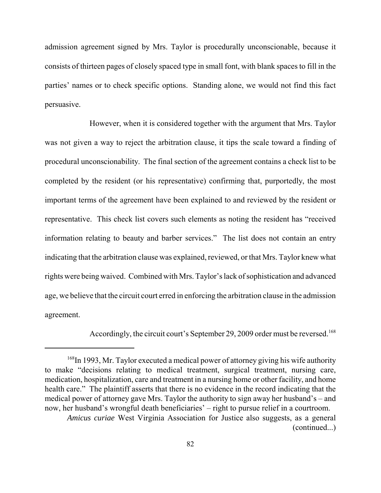admission agreement signed by Mrs. Taylor is procedurally unconscionable, because it consists of thirteen pages of closely spaced type in small font, with blank spaces to fill in the parties' names or to check specific options. Standing alone, we would not find this fact persuasive.

 However, when it is considered together with the argument that Mrs. Taylor was not given a way to reject the arbitration clause, it tips the scale toward a finding of procedural unconscionability. The final section of the agreement contains a check list to be completed by the resident (or his representative) confirming that, purportedly, the most important terms of the agreement have been explained to and reviewed by the resident or representative. This check list covers such elements as noting the resident has "received information relating to beauty and barber services." The list does not contain an entry indicating that the arbitration clause was explained, reviewed, or that Mrs. Taylor knew what rights were being waived. Combined with Mrs. Taylor's lack of sophistication and advanced age, we believe that the circuit court erred in enforcing the arbitration clause in the admission agreement.

Accordingly, the circuit court's September 29, 2009 order must be reversed.<sup>168</sup>

<sup>&</sup>lt;sup>168</sup>In 1993, Mr. Taylor executed a medical power of attorney giving his wife authority to make "decisions relating to medical treatment, surgical treatment, nursing care, medication, hospitalization, care and treatment in a nursing home or other facility, and home health care." The plaintiff asserts that there is no evidence in the record indicating that the medical power of attorney gave Mrs. Taylor the authority to sign away her husband's – and now, her husband's wrongful death beneficiaries' – right to pursue relief in a courtroom. *Amicus curiae* West Virginia Association for Justice also suggests, as a general

<sup>(</sup>continued...)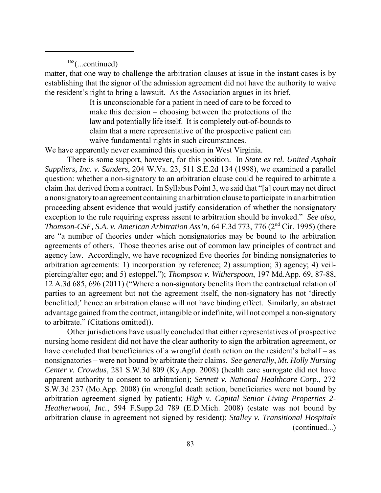$168$ (...continued)

 matter, that one way to challenge the arbitration clauses at issue in the instant cases is by establishing that the signor of the admission agreement did not have the authority to waive the resident's right to bring a lawsuit. As the Association argues in its brief,

> It is unconscionable for a patient in need of care to be forced to make this decision – choosing between the protections of the law and potentially life itself. It is completely out-of-bounds to claim that a mere representative of the prospective patient can waive fundamental rights in such circumstances.

We have apparently never examined this question in West Virginia.

 There is some support, however, for this position. In *State ex rel. United Asphalt Suppliers, Inc. v. Sanders*, 204 W.Va. 23, 511 S.E.2d 134 (1998), we examined a parallel question: whether a non-signatory to an arbitration clause could be required to arbitrate a claim that derived from a contract. In Syllabus Point 3, we said that "[a] court may not direct a nonsignatoryto an agreement containing an arbitration clause to participate in an arbitration proceeding absent evidence that would justify consideration of whether the nonsignatory exception to the rule requiring express assent to arbitration should be invoked." *See also*, *Thomson-CSF, S.A. v. American Arbitration Ass'n, 64 F.3d 773, 776 (2<sup>nd</sup> Cir. 1995) (there*  are "a number of theories under which nonsignatories may be bound to the arbitration agreements of others. Those theories arise out of common law principles of contract and agency law. Accordingly, we have recognized five theories for binding nonsignatories to arbitration agreements: 1) incorporation by reference; 2) assumption; 3) agency; 4) veil- piercing/alter ego; and 5) estoppel."); *Thompson v. Witherspoon*, 197 Md.App. 69, 87-88, 12 A.3d 685, 696 (2011) ("Where a non-signatory benefits from the contractual relation of parties to an agreement but not the agreement itself, the non-signatory has not 'directly benefitted;' hence an arbitration clause will not have binding effect. Similarly, an abstract advantage gained from the contract, intangible or indefinite, will not compel a non-signatory to arbitrate." (Citations omitted)).

 Other jurisdictions have usually concluded that either representatives of prospective nursing home resident did not have the clear authority to sign the arbitration agreement, or have concluded that beneficiaries of a wrongful death action on the resident's behalf – as nonsignatories – were not bound by arbitrate their claims. *See generally*, *Mt. Holly Nursing Center v. Crowdus*, 281 S.W.3d 809 (Ky.App. 2008) (health care surrogate did not have apparent authority to consent to arbitration); *Sennett v. National Healthcare Corp.*, 272 S.W.3d 237 (Mo.App. 2008) (in wrongful death action, beneficiaries were not bound by arbitration agreement signed by patient); *High v. Capital Senior Living Properties 2 Heatherwood, Inc.*, 594 F.Supp.2d 789 (E.D.Mich. 2008) (estate was not bound by arbitration clause in agreement not signed by resident); *Stalley v. Transitional Hospitals*  (continued...)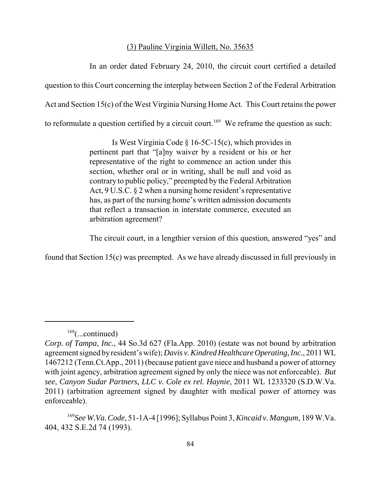#### (3) Pauline Virginia Willett, No. 35635

 In an order dated February 24, 2010, the circuit court certified a detailed question to this Court concerning the interplay between Section 2 of the Federal Arbitration Act and Section 15(c) of the West Virginia Nursing Home Act. This Court retains the power to reformulate a question certified by a circuit court.<sup>169</sup> We reframe the question as such:

> Is West Virginia Code § 16-5C-15(c), which provides in pertinent part that "[a]ny waiver by a resident or his or her representative of the right to commence an action under this section, whether oral or in writing, shall be null and void as contrary to public policy," preempted by the Federal Arbitration Act, 9 U.S.C. § 2 when a nursing home resident's representative has, as part of the nursing home's written admission documents that reflect a transaction in interstate commerce, executed an arbitration agreement?

The circuit court, in a lengthier version of this question, answered "yes" and

found that Section 15(c) was preempted. As we have already discussed in full previously in

<sup>168(...</sup>continued)

 *Corp. of Tampa, Inc.*, 44 So.3d 627 (Fla.App. 2010) (estate was not bound by arbitration agreement signed byresident's wife); *Davis v. Kindred Healthcare Operating, Inc.*, 2011 WL 1467212 (Tenn.Ct.App., 2011) (because patient gave niece and husband a power of attorney with joint agency, arbitration agreement signed by only the niece was not enforceable). *But see*, *Canyon Sudar Partners, LLC v. Cole ex rel. Haynie*, 2011 WL 1233320 (S.D.W.Va. 2011) (arbitration agreement signed by daughter with medical power of attorney was enforceable).

 <sup>169</sup>*See W.Va. Code*, 51-1A-4 [1996]; Syllabus Point 3, *Kincaid v. Mangum*, 189 W.Va. 404, 432 S.E.2d 74 (1993).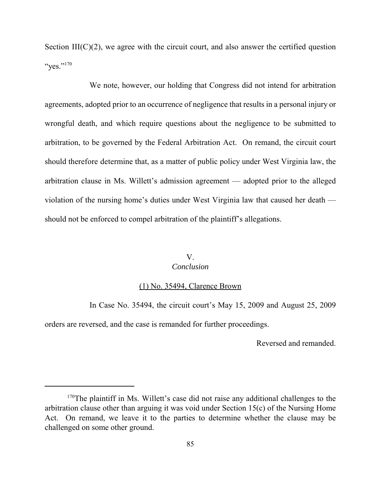Section  $III(C)(2)$ , we agree with the circuit court, and also answer the certified question "yes." $^{170}$ 

 We note, however, our holding that Congress did not intend for arbitration agreements, adopted prior to an occurrence of negligence that results in a personal injury or wrongful death, and which require questions about the negligence to be submitted to arbitration, to be governed by the Federal Arbitration Act. On remand, the circuit court should therefore determine that, as a matter of public policy under West Virginia law, the arbitration clause in Ms. Willett's admission agreement — adopted prior to the alleged violation of the nursing home's duties under West Virginia law that caused her death — should not be enforced to compel arbitration of the plaintiff's allegations.

# V.

## *Conclusion*

#### (1) No. 35494, Clarence Brown

In Case No. 35494, the circuit court's May 15, 2009 and August 25, 2009

orders are reversed, and the case is remanded for further proceedings.

Reversed and remanded.

<sup>&</sup>lt;sup>170</sup>The plaintiff in Ms. Willett's case did not raise any additional challenges to the arbitration clause other than arguing it was void under Section 15(c) of the Nursing Home Act. On remand, we leave it to the parties to determine whether the clause may be challenged on some other ground.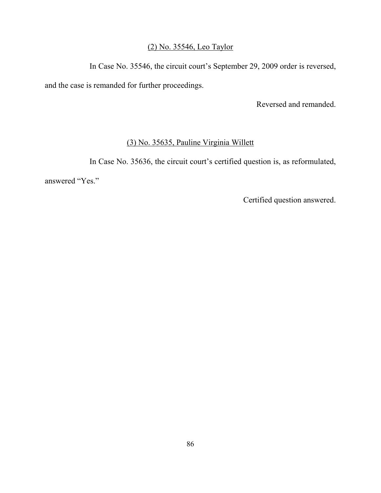### (2) No. 35546, Leo Taylor

In Case No. 35546, the circuit court's September 29, 2009 order is reversed,

and the case is remanded for further proceedings.

Reversed and remanded.

## (3) No. 35635, Pauline Virginia Willett

In Case No. 35636, the circuit court's certified question is, as reformulated,

answered "Yes."

Certified question answered.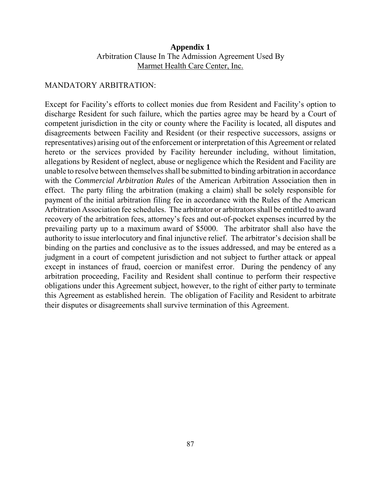## Arbitration Clause In The Admission Agreement Used By Marmet Health Care Center, Inc. **Appendix 1**

#### MANDATORY ARBITRATION:

 Except for Facility's efforts to collect monies due from Resident and Facility's option to discharge Resident for such failure, which the parties agree may be heard by a Court of competent jurisdiction in the city or county where the Facility is located, all disputes and disagreements between Facility and Resident (or their respective successors, assigns or representatives) arising out of the enforcement or interpretation of this Agreement or related hereto or the services provided by Facility hereunder including, without limitation, allegations by Resident of neglect, abuse or negligence which the Resident and Facility are unable to resolve between themselves shall be submitted to binding arbitration in accordance with the *Commercial Arbitration Rules* of the American Arbitration Association then in effect. The party filing the arbitration (making a claim) shall be solely responsible for payment of the initial arbitration filing fee in accordance with the Rules of the American Arbitration Association fee schedules. The arbitrator or arbitrators shall be entitled to award recovery of the arbitration fees, attorney's fees and out-of-pocket expenses incurred by the prevailing party up to a maximum award of \$5000. The arbitrator shall also have the authority to issue interlocutory and final injunctive relief. The arbitrator's decision shall be binding on the parties and conclusive as to the issues addressed, and may be entered as a judgment in a court of competent jurisdiction and not subject to further attack or appeal except in instances of fraud, coercion or manifest error. During the pendency of any arbitration proceeding, Facility and Resident shall continue to perform their respective obligations under this Agreement subject, however, to the right of either party to terminate this Agreement as established herein. The obligation of Facility and Resident to arbitrate their disputes or disagreements shall survive termination of this Agreement.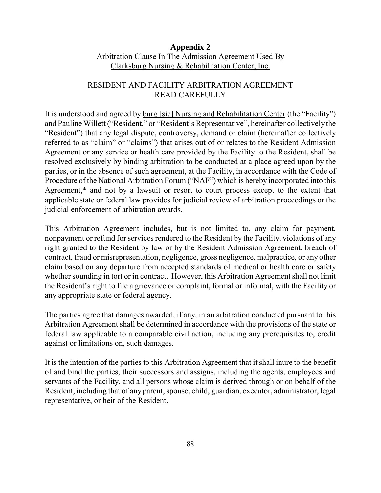## Arbitration Clause In The Admission Agreement Used By Clarksburg Nursing & Rehabilitation Center, Inc. **Appendix 2**

## RESIDENT AND FACILITY ARBITRATION AGREEMENT READ CAREFULLY

It is understood and agreed by **burg** [sic] Nursing and Rehabilitation Center (the "Facility") and Pauline Willett ("Resident," or "Resident's Representative", hereinafter collectively the "Resident") that any legal dispute, controversy, demand or claim (hereinafter collectively referred to as "claim" or "claims") that arises out of or relates to the Resident Admission Agreement or any service or health care provided by the Facility to the Resident, shall be resolved exclusively by binding arbitration to be conducted at a place agreed upon by the parties, or in the absence of such agreement, at the Facility, in accordance with the Code of Procedure of the National Arbitration Forum ("NAF") which is hereby incorporated into this Agreement,\* and not by a lawsuit or resort to court process except to the extent that applicable state or federal law provides for judicial review of arbitration proceedings or the judicial enforcement of arbitration awards.

 This Arbitration Agreement includes, but is not limited to, any claim for payment, nonpayment or refund for services rendered to the Resident by the Facility, violations of any right granted to the Resident by law or by the Resident Admission Agreement, breach of contract, fraud or misrepresentation, negligence, gross negligence, malpractice, or any other claim based on any departure from accepted standards of medical or health care or safety whether sounding in tort or in contract. However, this Arbitration Agreement shall not limit the Resident's right to file a grievance or complaint, formal or informal, with the Facility or any appropriate state or federal agency.

 The parties agree that damages awarded, if any, in an arbitration conducted pursuant to this Arbitration Agreement shall be determined in accordance with the provisions of the state or federal law applicable to a comparable civil action, including any prerequisites to, credit against or limitations on, such damages.

 It is the intention of the parties to this Arbitration Agreement that it shall inure to the benefit of and bind the parties, their successors and assigns, including the agents, employees and servants of the Facility, and all persons whose claim is derived through or on behalf of the Resident, including that of any parent, spouse, child, guardian, executor, administrator, legal representative, or heir of the Resident.